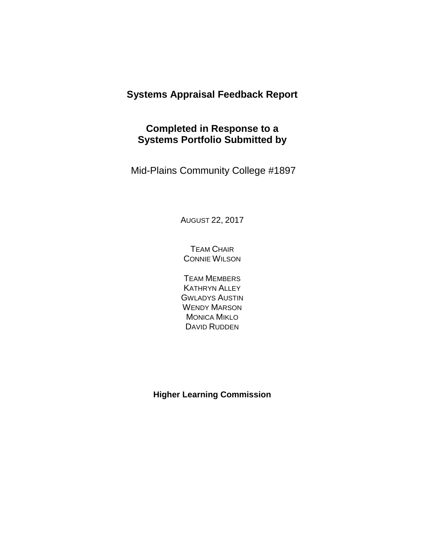# **Systems Appraisal Feedback Report**

# **Completed in Response to a Systems Portfolio Submitted by**

Mid-Plains Community College #1897

AUGUST 22, 2017

TEAM CHAIR CONNIE WILSON

TEAM MEMBERS KATHRYN ALLEY GWLADYS AUSTIN WENDY MARSON MONICA MIKLO DAVID RUDDEN

**Higher Learning Commission**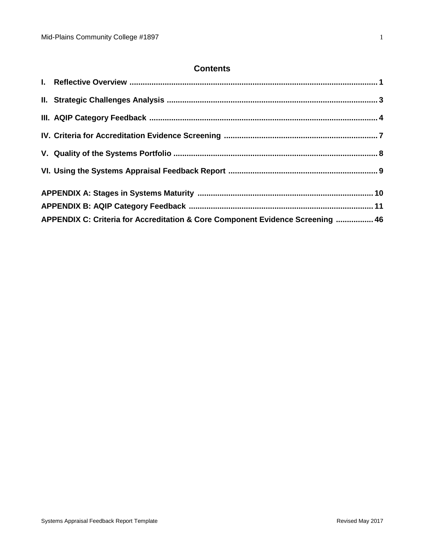## **Contents**

| APPENDIX C: Criteria for Accreditation & Core Component Evidence Screening  46 |  |
|--------------------------------------------------------------------------------|--|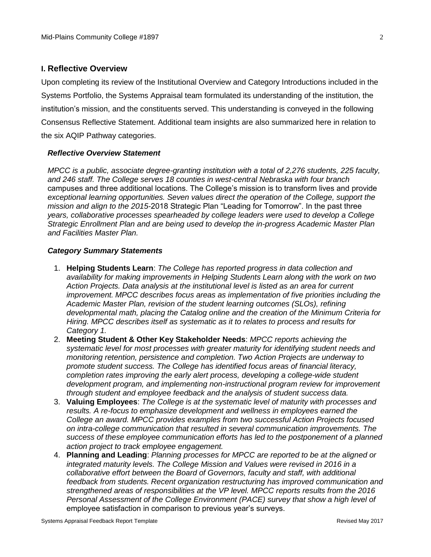#### **I. Reflective Overview**

Upon completing its review of the Institutional Overview and Category Introductions included in the Systems Portfolio, the Systems Appraisal team formulated its understanding of the institution, the institution's mission, and the constituents served. This understanding is conveyed in the following Consensus Reflective Statement. Additional team insights are also summarized here in relation to the six AQIP Pathway categories.

#### *Reflective Overview Statement*

*MPCC is a public, associate degree-granting institution with a total of 2,276 students, 225 faculty, and 246 staff. The College serves 18 counties in west-central Nebraska with four branch campuses and three additional locations. The College's mission is to transform lives and provide exceptional learning opportunities. Seven values direct the operation of the College, support the mission and align to the 2015-2018 Strategic Plan "Leading for Tomorrow". In the past three years, collaborative processes spearheaded by college leaders were used to develop a College Strategic Enrollment Plan and are being used to develop the in-progress Academic Master Plan and Facilities Master Plan.*

#### *Category Summary Statements*

- 1. **Helping Students Learn**: *The College has reported progress in data collection and availability for making improvements in Helping Students Learn along with the work on two Action Projects. Data analysis at the institutional level is listed as an area for current improvement. MPCC describes focus areas as implementation of five priorities including the Academic Master Plan, revision of the student learning outcomes (SLOs), refining developmental math, placing the Catalog online and the creation of the Minimum Criteria for Hiring. MPCC describes itself as systematic as it to relates to process and results for Category 1.*
- 2. **Meeting Student & Other Key Stakeholder Needs**: *MPCC reports achieving the systematic level for most processes with greater maturity for identifying student needs and monitoring retention, persistence and completion. Two Action Projects are underway to promote student success. The College has identified focus areas of financial literacy, completion rates improving the early alert process, developing a college-wide student development program, and implementing non-instructional program review for improvement through student and employee feedback and the analysis of student success data.*
- 3. **Valuing Employees**: *The College is at the systematic level of maturity with processes and results. A re-focus to emphasize development and wellness in employees earned the College an award. MPCC provides examples from two successful Action Projects focused on intra-college communication that resulted in several communication improvements. The success of these employee communication efforts has led to the postponement of a planned action project to track employee engagement.*
- 4. **Planning and Leading**: *Planning processes for MPCC are reported to be at the aligned or integrated maturity levels. The College Mission and Values were revised in 2016 in a collaborative effort between the Board of Governors, faculty and staff, with additional feedback from students. Recent organization restructuring has improved communication and strengthened areas of responsibilities at the VP level. MPCC reports results from the 2016 Personal Assessment of the College Environment (PACE) survey that show a high level of employee satisfaction in comparison to previous year's surveys.*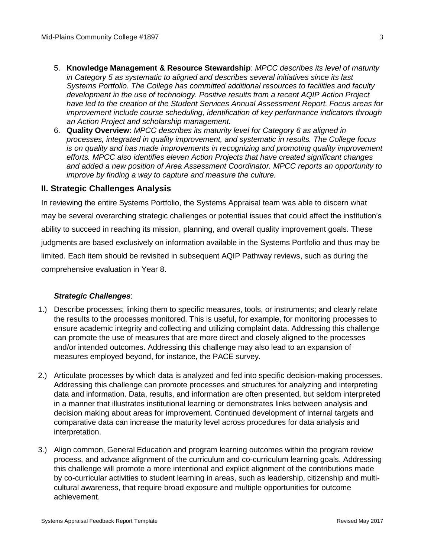- 5. **Knowledge Management & Resource Stewardship**: *MPCC describes its level of maturity in Category 5 as systematic to aligned and describes several initiatives since its last Systems Portfolio. The College has committed additional resources to facilities and faculty development in the use of technology. Positive results from a recent AQIP Action Project have led to the creation of the Student Services Annual Assessment Report. Focus areas for improvement include course scheduling, identification of key performance indicators through an Action Project and scholarship management.*
- 6. **Quality Overview**: *MPCC describes its maturity level for Category 6 as aligned in processes, integrated in quality improvement, and systematic in results. The College focus is on quality and has made improvements in recognizing and promoting quality improvement efforts. MPCC also identifies eleven Action Projects that have created significant changes and added a new position of Area Assessment Coordinator. MPCC reports an opportunity to improve by finding a way to capture and measure the culture.*

## **II. Strategic Challenges Analysis**

In reviewing the entire Systems Portfolio, the Systems Appraisal team was able to discern what may be several overarching strategic challenges or potential issues that could affect the institution's ability to succeed in reaching its mission, planning, and overall quality improvement goals. These judgments are based exclusively on information available in the Systems Portfolio and thus may be limited. Each item should be revisited in subsequent AQIP Pathway reviews, such as during the comprehensive evaluation in Year 8.

#### *Strategic Challenges*:

- 1.) Describe processes; linking them to specific measures, tools, or instruments; and clearly relate the results to the processes monitored. This is useful, for example, for monitoring processes to ensure academic integrity and collecting and utilizing complaint data. Addressing this challenge can promote the use of measures that are more direct and closely aligned to the processes and/or intended outcomes. Addressing this challenge may also lead to an expansion of measures employed beyond, for instance, the PACE survey.
- 2.) Articulate processes by which data is analyzed and fed into specific decision-making processes. Addressing this challenge can promote processes and structures for analyzing and interpreting data and information. Data, results, and information are often presented, but seldom interpreted in a manner that illustrates institutional learning or demonstrates links between analysis and decision making about areas for improvement. Continued development of internal targets and comparative data can increase the maturity level across procedures for data analysis and interpretation.
- 3.) Align common, General Education and program learning outcomes within the program review process, and advance alignment of the curriculum and co-curriculum learning goals. Addressing this challenge will promote a more intentional and explicit alignment of the contributions made by co-curricular activities to student learning in areas, such as leadership, citizenship and multicultural awareness, that require broad exposure and multiple opportunities for outcome achievement.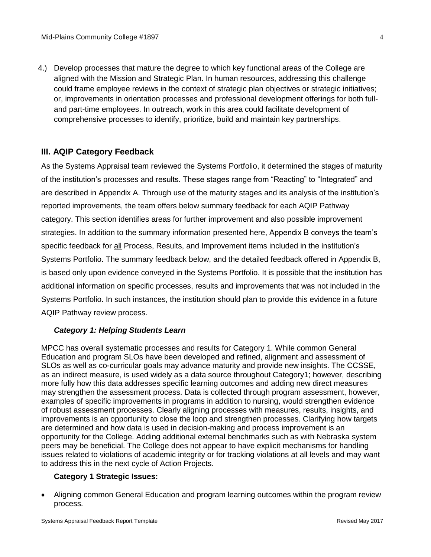4.) Develop processes that mature the degree to which key functional areas of the College are aligned with the Mission and Strategic Plan. In human resources, addressing this challenge could frame employee reviews in the context of strategic plan objectives or strategic initiatives; or, improvements in orientation processes and professional development offerings for both fulland part-time employees. In outreach, work in this area could facilitate development of comprehensive processes to identify, prioritize, build and maintain key partnerships.

## **III. AQIP Category Feedback**

As the Systems Appraisal team reviewed the Systems Portfolio, it determined the stages of maturity of the institution's processes and results. These stages range from "Reacting" to "Integrated" and are described in Appendix A. Through use of the maturity stages and its analysis of the institution's reported improvements, the team offers below summary feedback for each AQIP Pathway category. This section identifies areas for further improvement and also possible improvement strategies. In addition to the summary information presented here, Appendix B conveys the team's specific feedback for all Process, Results, and Improvement items included in the institution's Systems Portfolio. The summary feedback below, and the detailed feedback offered in Appendix B, is based only upon evidence conveyed in the Systems Portfolio. It is possible that the institution has additional information on specific processes, results and improvements that was not included in the Systems Portfolio. In such instances, the institution should plan to provide this evidence in a future AQIP Pathway review process.

#### *Category 1: Helping Students Learn*

MPCC has overall systematic processes and results for Category 1. While common General Education and program SLOs have been developed and refined, alignment and assessment of SLOs as well as co-curricular goals may advance maturity and provide new insights. The CCSSE, as an indirect measure, is used widely as a data source throughout Category1; however, describing more fully how this data addresses specific learning outcomes and adding new direct measures may strengthen the assessment process. Data is collected through program assessment, however, examples of specific improvements in programs in addition to nursing, would strengthen evidence of robust assessment processes. Clearly aligning processes with measures, results, insights, and improvements is an opportunity to close the loop and strengthen processes. Clarifying how targets are determined and how data is used in decision-making and process improvement is an opportunity for the College. Adding additional external benchmarks such as with Nebraska system peers may be beneficial. The College does not appear to have explicit mechanisms for handling issues related to violations of academic integrity or for tracking violations at all levels and may want to address this in the next cycle of Action Projects.

#### **Category 1 Strategic Issues:**

• Aligning common General Education and program learning outcomes within the program review process.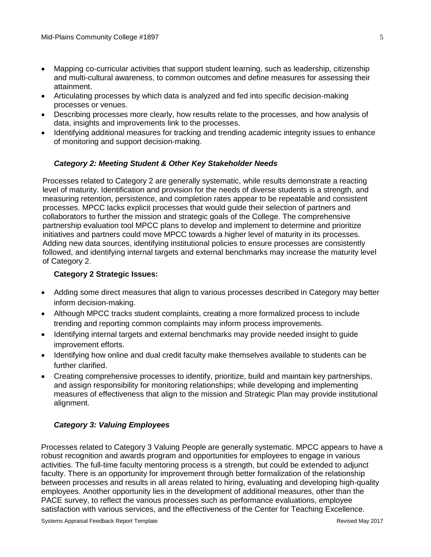- Mapping co-curricular activities that support student learning, such as leadership, citizenship and multi-cultural awareness, to common outcomes and define measures for assessing their attainment.
- Articulating processes by which data is analyzed and fed into specific decision-making processes or venues.
- Describing processes more clearly, how results relate to the processes, and how analysis of data, insights and improvements link to the processes.
- Identifying additional measures for tracking and trending academic integrity issues to enhance of monitoring and support decision-making.

## *Category 2: Meeting Student & Other Key Stakeholder Needs*

Processes related to Category 2 are generally systematic, while results demonstrate a reacting level of maturity. Identification and provision for the needs of diverse students is a strength, and measuring retention, persistence, and completion rates appear to be repeatable and consistent processes. MPCC lacks explicit processes that would guide their selection of partners and collaborators to further the mission and strategic goals of the College. The comprehensive partnership evaluation tool MPCC plans to develop and implement to determine and prioritize initiatives and partners could move MPCC towards a higher level of maturity in its processes. Adding new data sources, identifying institutional policies to ensure processes are consistently followed, and identifying internal targets and external benchmarks may increase the maturity level of Category 2.

## **Category 2 Strategic Issues:**

- Adding some direct measures that align to various processes described in Category may better inform decision-making.
- Although MPCC tracks student complaints, creating a more formalized process to include trending and reporting common complaints may inform process improvements.
- Identifying internal targets and external benchmarks may provide needed insight to guide improvement efforts.
- Identifying how online and dual credit faculty make themselves available to students can be further clarified.
- Creating comprehensive processes to identify, prioritize, build and maintain key partnerships, and assign responsibility for monitoring relationships; while developing and implementing measures of effectiveness that align to the mission and Strategic Plan may provide institutional alignment.

## *Category 3: Valuing Employees*

Processes related to Category 3 Valuing People are generally systematic. MPCC appears to have a robust recognition and awards program and opportunities for employees to engage in various activities. The full-time faculty mentoring process is a strength, but could be extended to adjunct faculty. There is an opportunity for improvement through better formalization of the relationship between processes and results in all areas related to hiring, evaluating and developing high-quality employees. Another opportunity lies in the development of additional measures, other than the PACE survey, to reflect the various processes such as performance evaluations, employee satisfaction with various services, and the effectiveness of the Center for Teaching Excellence.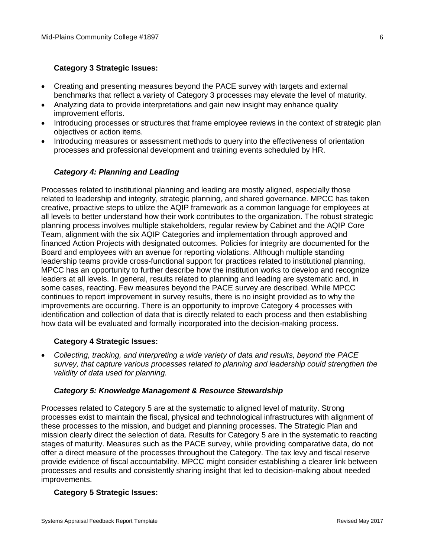## **Category 3 Strategic Issues:**

- Creating and presenting measures beyond the PACE survey with targets and external benchmarks that reflect a variety of Category 3 processes may elevate the level of maturity.
- Analyzing data to provide interpretations and gain new insight may enhance quality improvement efforts.
- Introducing processes or structures that frame employee reviews in the context of strategic plan objectives or action items.
- Introducing measures or assessment methods to query into the effectiveness of orientation processes and professional development and training events scheduled by HR.

## *Category 4: Planning and Leading*

Processes related to institutional planning and leading are mostly aligned, especially those related to leadership and integrity, strategic planning, and shared governance. MPCC has taken creative, proactive steps to utilize the AQIP framework as a common language for employees at all levels to better understand how their work contributes to the organization. The robust strategic planning process involves multiple stakeholders, regular review by Cabinet and the AQIP Core Team, alignment with the six AQIP Categories and implementation through approved and financed Action Projects with designated outcomes. Policies for integrity are documented for the Board and employees with an avenue for reporting violations. Although multiple standing leadership teams provide cross-functional support for practices related to institutional planning, MPCC has an opportunity to further describe how the institution works to develop and recognize leaders at all levels. In general, results related to planning and leading are systematic and, in some cases, reacting. Few measures beyond the PACE survey are described. While MPCC continues to report improvement in survey results, there is no insight provided as to why the improvements are occurring. There is an opportunity to improve Category 4 processes with identification and collection of data that is directly related to each process and then establishing how data will be evaluated and formally incorporated into the decision-making process.

#### **Category 4 Strategic Issues:**

• *Collecting, tracking, and interpreting a wide variety of data and results, beyond the PACE survey, that capture various processes related to planning and leadership could strengthen the validity of data used for planning.*

#### *Category 5: Knowledge Management & Resource Stewardship*

Processes related to Category 5 are at the systematic to aligned level of maturity. Strong processes exist to maintain the fiscal, physical and technological infrastructures with alignment of these processes to the mission, and budget and planning processes. The Strategic Plan and mission clearly direct the selection of data. Results for Category 5 are in the systematic to reacting stages of maturity. Measures such as the PACE survey, while providing comparative data, do not offer a direct measure of the processes throughout the Category. The tax levy and fiscal reserve provide evidence of fiscal accountability. MPCC might consider establishing a clearer link between processes and results and consistently sharing insight that led to decision-making about needed improvements.

#### **Category 5 Strategic Issues:**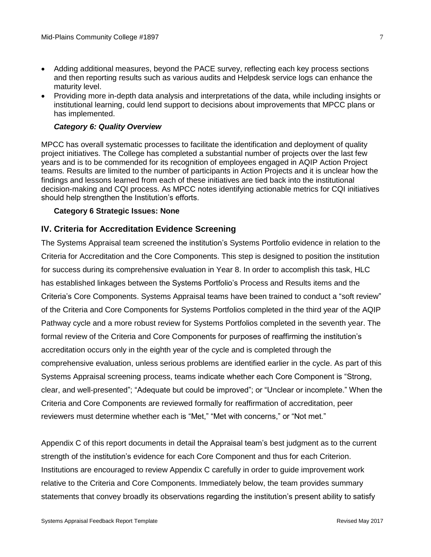- Adding additional measures, beyond the PACE survey, reflecting each key process sections and then reporting results such as various audits and Helpdesk service logs can enhance the maturity level.
- Providing more in-depth data analysis and interpretations of the data, while including insights or institutional learning, could lend support to decisions about improvements that MPCC plans or has implemented.

#### *Category 6: Quality Overview*

MPCC has overall systematic processes to facilitate the identification and deployment of quality project initiatives. The College has completed a substantial number of projects over the last few years and is to be commended for its recognition of employees engaged in AQIP Action Project teams. Results are limited to the number of participants in Action Projects and it is unclear how the findings and lessons learned from each of these initiatives are tied back into the institutional decision-making and CQI process. As MPCC notes identifying actionable metrics for CQI initiatives should help strengthen the Institution's efforts.

#### **Category 6 Strategic Issues: None**

## **IV. Criteria for Accreditation Evidence Screening**

The Systems Appraisal team screened the institution's Systems Portfolio evidence in relation to the Criteria for Accreditation and the Core Components. This step is designed to position the institution for success during its comprehensive evaluation in Year 8. In order to accomplish this task, HLC has established linkages between the Systems Portfolio's Process and Results items and the Criteria's Core Components. Systems Appraisal teams have been trained to conduct a "soft review" of the Criteria and Core Components for Systems Portfolios completed in the third year of the AQIP Pathway cycle and a more robust review for Systems Portfolios completed in the seventh year. The formal review of the Criteria and Core Components for purposes of reaffirming the institution's accreditation occurs only in the eighth year of the cycle and is completed through the comprehensive evaluation, unless serious problems are identified earlier in the cycle. As part of this Systems Appraisal screening process, teams indicate whether each Core Component is "Strong, clear, and well-presented"; "Adequate but could be improved"; or "Unclear or incomplete." When the Criteria and Core Components are reviewed formally for reaffirmation of accreditation, peer reviewers must determine whether each is "Met," "Met with concerns," or "Not met."

Appendix C of this report documents in detail the Appraisal team's best judgment as to the current strength of the institution's evidence for each Core Component and thus for each Criterion. Institutions are encouraged to review Appendix C carefully in order to guide improvement work relative to the Criteria and Core Components. Immediately below, the team provides summary statements that convey broadly its observations regarding the institution's present ability to satisfy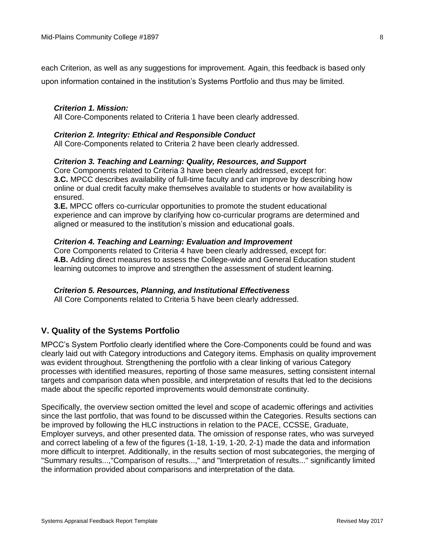each Criterion, as well as any suggestions for improvement. Again, this feedback is based only

upon information contained in the institution's Systems Portfolio and thus may be limited.

#### *Criterion 1. Mission:*

All Core-Components related to Criteria 1 have been clearly addressed.

#### *Criterion 2. Integrity: Ethical and Responsible Conduct*

All Core-Components related to Criteria 2 have been clearly addressed.

#### *Criterion 3. Teaching and Learning: Quality, Resources, and Support*

Core Components related to Criteria 3 have been clearly addressed, except for: **3.C.** MPCC describes availability of full-time faculty and can improve by describing how online or dual credit faculty make themselves available to students or how availability is ensured.

**3.E.** MPCC offers co-curricular opportunities to promote the student educational experience and can improve by clarifying how co-curricular programs are determined and aligned or measured to the institution's mission and educational goals.

#### *Criterion 4. Teaching and Learning: Evaluation and Improvement*

Core Components related to Criteria 4 have been clearly addressed, except for: **4.B.** Adding direct measures to assess the College-wide and General Education student learning outcomes to improve and strengthen the assessment of student learning.

#### *Criterion 5. Resources, Planning, and Institutional Effectiveness*

All Core Components related to Criteria 5 have been clearly addressed.

## **V. Quality of the Systems Portfolio**

MPCC's System Portfolio clearly identified where the Core-Components could be found and was clearly laid out with Category introductions and Category items. Emphasis on quality improvement was evident throughout. Strengthening the portfolio with a clear linking of various Category processes with identified measures, reporting of those same measures, setting consistent internal targets and comparison data when possible, and interpretation of results that led to the decisions made about the specific reported improvements would demonstrate continuity.

Specifically, the overview section omitted the level and scope of academic offerings and activities since the last portfolio, that was found to be discussed within the Categories. Results sections can be improved by following the HLC instructions in relation to the PACE, CCSSE, Graduate, Employer surveys, and other presented data. The omission of response rates, who was surveyed and correct labeling of a few of the figures (1-18, 1-19, 1-20, 2-1) made the data and information more difficult to interpret. Additionally, in the results section of most subcategories, the merging of "Summary results...,"Comparison of results...," and "Interpretation of results..." significantly limited the information provided about comparisons and interpretation of the data.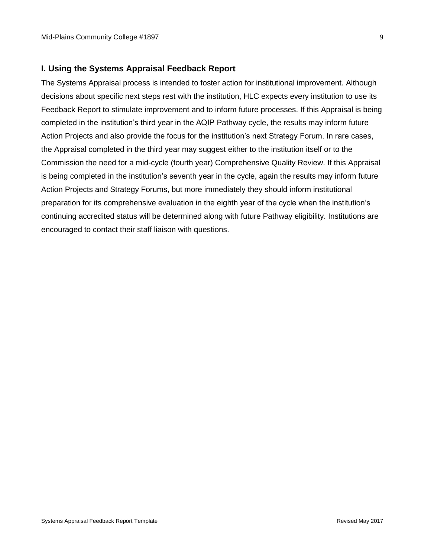## **I. Using the Systems Appraisal Feedback Report**

The Systems Appraisal process is intended to foster action for institutional improvement. Although decisions about specific next steps rest with the institution, HLC expects every institution to use its Feedback Report to stimulate improvement and to inform future processes. If this Appraisal is being completed in the institution's third year in the AQIP Pathway cycle, the results may inform future Action Projects and also provide the focus for the institution's next Strategy Forum. In rare cases, the Appraisal completed in the third year may suggest either to the institution itself or to the Commission the need for a mid-cycle (fourth year) Comprehensive Quality Review. If this Appraisal is being completed in the institution's seventh year in the cycle, again the results may inform future Action Projects and Strategy Forums, but more immediately they should inform institutional preparation for its comprehensive evaluation in the eighth year of the cycle when the institution's continuing accredited status will be determined along with future Pathway eligibility. Institutions are encouraged to contact their staff liaison with questions.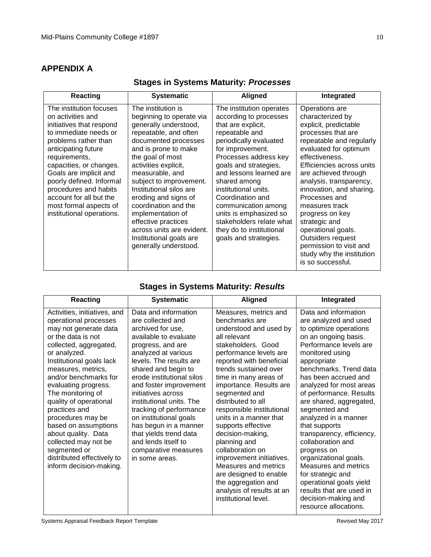## **APPENDIX A**

| <b>Reacting</b>                                                                                                                                                                                                                                                                                                                                               | <b>Systematic</b>                                                                                                                                                                                                                                                                                                                                                                                                                                  | <b>Aligned</b>                                                                                                                                                                                                                                                                                                                                                                                                      | Integrated                                                                                                                                                                                                                                                                                                                                                                                                                                                          |
|---------------------------------------------------------------------------------------------------------------------------------------------------------------------------------------------------------------------------------------------------------------------------------------------------------------------------------------------------------------|----------------------------------------------------------------------------------------------------------------------------------------------------------------------------------------------------------------------------------------------------------------------------------------------------------------------------------------------------------------------------------------------------------------------------------------------------|---------------------------------------------------------------------------------------------------------------------------------------------------------------------------------------------------------------------------------------------------------------------------------------------------------------------------------------------------------------------------------------------------------------------|---------------------------------------------------------------------------------------------------------------------------------------------------------------------------------------------------------------------------------------------------------------------------------------------------------------------------------------------------------------------------------------------------------------------------------------------------------------------|
| The institution focuses<br>on activities and<br>initiatives that respond<br>to immediate needs or<br>problems rather than<br>anticipating future<br>requirements,<br>capacities, or changes.<br>Goals are implicit and<br>poorly defined. Informal<br>procedures and habits<br>account for all but the<br>most formal aspects of<br>institutional operations. | The institution is<br>beginning to operate via<br>generally understood,<br>repeatable, and often<br>documented processes<br>and is prone to make<br>the goal of most<br>activities explicit,<br>measurable, and<br>subject to improvement.<br>Institutional silos are<br>eroding and signs of<br>coordination and the<br>implementation of<br>effective practices<br>across units are evident.<br>Institutional goals are<br>generally understood. | The institution operates<br>according to processes<br>that are explicit,<br>repeatable and<br>periodically evaluated<br>for improvement.<br>Processes address key<br>goals and strategies,<br>and lessons learned are<br>shared among<br>institutional units.<br>Coordination and<br>communication among<br>units is emphasized so<br>stakeholders relate what<br>they do to institutional<br>goals and strategies. | Operations are<br>characterized by<br>explicit, predictable<br>processes that are<br>repeatable and regularly<br>evaluated for optimum<br>effectiveness.<br>Efficiencies across units<br>are achieved through<br>analysis, transparency,<br>innovation, and sharing.<br>Processes and<br>measures track<br>progress on key<br>strategic and<br>operational goals.<br>Outsiders request<br>permission to visit and<br>study why the institution<br>is so successful. |

# **Stages in Systems Maturity:** *Processes*

## **Stages in Systems Maturity:** *Results*

| Reacting                                                                                                                                                                                                                                                                                                                                                                                                                                                                               | <b>Systematic</b>                                                                                                                                                                                                                                                                                                                                                                                                                                                       | <b>Aligned</b>                                                                                                                                                                                                                                                                                                                                                                                                                                                                                                                                                                   | Integrated                                                                                                                                                                                                                                                                                                                                                                                                                                                                                                                                                                                             |
|----------------------------------------------------------------------------------------------------------------------------------------------------------------------------------------------------------------------------------------------------------------------------------------------------------------------------------------------------------------------------------------------------------------------------------------------------------------------------------------|-------------------------------------------------------------------------------------------------------------------------------------------------------------------------------------------------------------------------------------------------------------------------------------------------------------------------------------------------------------------------------------------------------------------------------------------------------------------------|----------------------------------------------------------------------------------------------------------------------------------------------------------------------------------------------------------------------------------------------------------------------------------------------------------------------------------------------------------------------------------------------------------------------------------------------------------------------------------------------------------------------------------------------------------------------------------|--------------------------------------------------------------------------------------------------------------------------------------------------------------------------------------------------------------------------------------------------------------------------------------------------------------------------------------------------------------------------------------------------------------------------------------------------------------------------------------------------------------------------------------------------------------------------------------------------------|
| Activities, initiatives, and<br>operational processes<br>may not generate data<br>or the data is not<br>collected, aggregated,<br>or analyzed.<br>Institutional goals lack<br>measures, metrics,<br>and/or benchmarks for<br>evaluating progress.<br>The monitoring of<br>quality of operational<br>practices and<br>procedures may be<br>based on assumptions<br>about quality. Data<br>collected may not be<br>segmented or<br>distributed effectively to<br>inform decision-making. | Data and information<br>are collected and<br>archived for use,<br>available to evaluate<br>progress, and are<br>analyzed at various<br>levels. The results are<br>shared and begin to<br>erode institutional silos<br>and foster improvement<br>initiatives across<br>institutional units. The<br>tracking of performance<br>on institutional goals<br>has begun in a manner<br>that yields trend data<br>and lends itself to<br>comparative measures<br>in some areas. | Measures, metrics and<br>benchmarks are<br>understood and used by<br>all relevant<br>stakeholders. Good<br>performance levels are<br>reported with beneficial<br>trends sustained over<br>time in many areas of<br>importance. Results are<br>segmented and<br>distributed to all<br>responsible institutional<br>units in a manner that<br>supports effective<br>decision-making,<br>planning and<br>collaboration on<br>improvement initiatives.<br>Measures and metrics<br>are designed to enable<br>the aggregation and<br>analysis of results at an<br>institutional level. | Data and information<br>are analyzed and used<br>to optimize operations<br>on an ongoing basis.<br>Performance levels are<br>monitored using<br>appropriate<br>benchmarks. Trend data<br>has been accrued and<br>analyzed for most areas<br>of performance. Results<br>are shared, aggregated,<br>segmented and<br>analyzed in a manner<br>that supports<br>transparency, efficiency,<br>collaboration and<br>progress on<br>organizational goals.<br>Measures and metrics<br>for strategic and<br>operational goals yield<br>results that are used in<br>decision-making and<br>resource allocations. |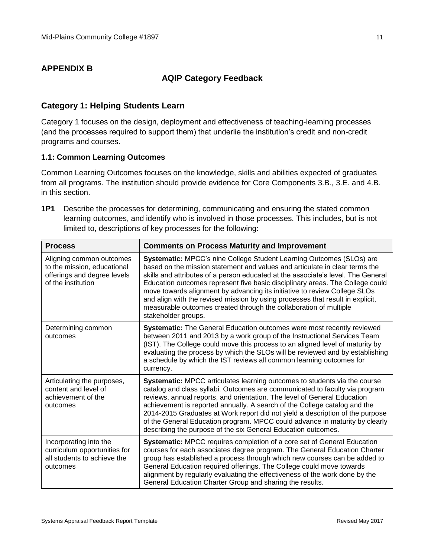## **APPENDIX B**

## **AQIP Category Feedback**

## **Category 1: Helping Students Learn**

Category 1 focuses on the design, deployment and effectiveness of teaching-learning processes (and the processes required to support them) that underlie the institution's credit and non-credit programs and courses.

## **1.1: Common Learning Outcomes**

Common Learning Outcomes focuses on the knowledge, skills and abilities expected of graduates from all programs. The institution should provide evidence for Core Components 3.B., 3.E. and 4.B. in this section.

**1P1** Describe the processes for determining, communicating and ensuring the stated common learning outcomes, and identify who is involved in those processes. This includes, but is not limited to, descriptions of key processes for the following:

| <b>Process</b>                                                                                               | <b>Comments on Process Maturity and Improvement</b>                                                                                                                                                                                                                                                                                                                                                                                                                                                                                                                                 |
|--------------------------------------------------------------------------------------------------------------|-------------------------------------------------------------------------------------------------------------------------------------------------------------------------------------------------------------------------------------------------------------------------------------------------------------------------------------------------------------------------------------------------------------------------------------------------------------------------------------------------------------------------------------------------------------------------------------|
| Aligning common outcomes<br>to the mission, educational<br>offerings and degree levels<br>of the institution | Systematic: MPCC's nine College Student Learning Outcomes (SLOs) are<br>based on the mission statement and values and articulate in clear terms the<br>skills and attributes of a person educated at the associate's level. The General<br>Education outcomes represent five basic disciplinary areas. The College could<br>move towards alignment by advancing its initiative to review College SLOs<br>and align with the revised mission by using processes that result in explicit,<br>measurable outcomes created through the collaboration of multiple<br>stakeholder groups. |
| Determining common<br>outcomes                                                                               | Systematic: The General Education outcomes were most recently reviewed<br>between 2011 and 2013 by a work group of the Instructional Services Team<br>(IST). The College could move this process to an aligned level of maturity by<br>evaluating the process by which the SLOs will be reviewed and by establishing<br>a schedule by which the IST reviews all common learning outcomes for<br>currency.                                                                                                                                                                           |
| Articulating the purposes,<br>content and level of<br>achievement of the<br>outcomes                         | Systematic: MPCC articulates learning outcomes to students via the course<br>catalog and class syllabi. Outcomes are communicated to faculty via program<br>reviews, annual reports, and orientation. The level of General Education<br>achievement is reported annually. A search of the College catalog and the<br>2014-2015 Graduates at Work report did not yield a description of the purpose<br>of the General Education program. MPCC could advance in maturity by clearly<br>describing the purpose of the six General Education outcomes.                                  |
| Incorporating into the<br>curriculum opportunities for<br>all students to achieve the<br>outcomes            | Systematic: MPCC requires completion of a core set of General Education<br>courses for each associates degree program. The General Education Charter<br>group has established a process through which new courses can be added to<br>General Education required offerings. The College could move towards<br>alignment by regularly evaluating the effectiveness of the work done by the<br>General Education Charter Group and sharing the results.                                                                                                                                |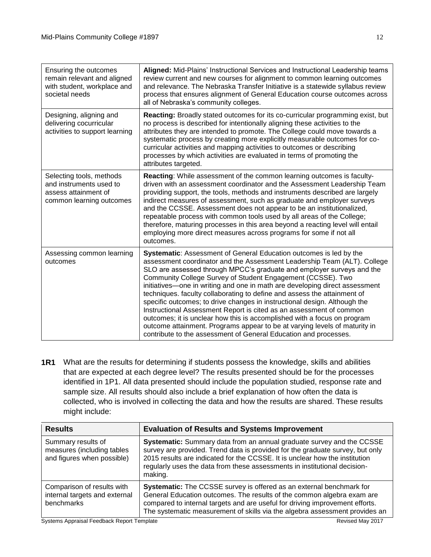| Ensuring the outcomes<br>remain relevant and aligned<br>with student, workplace and<br>societal needs   | Aligned: Mid-Plains' Instructional Services and Instructional Leadership teams<br>review current and new courses for alignment to common learning outcomes<br>and relevance. The Nebraska Transfer Initiative is a statewide syllabus review<br>process that ensures alignment of General Education course outcomes across<br>all of Nebraska's community colleges.                                                                                                                                                                                                                                                                                                                                                                                                                                                                 |
|---------------------------------------------------------------------------------------------------------|-------------------------------------------------------------------------------------------------------------------------------------------------------------------------------------------------------------------------------------------------------------------------------------------------------------------------------------------------------------------------------------------------------------------------------------------------------------------------------------------------------------------------------------------------------------------------------------------------------------------------------------------------------------------------------------------------------------------------------------------------------------------------------------------------------------------------------------|
| Designing, aligning and<br>delivering cocurricular<br>activities to support learning                    | <b>Reacting:</b> Broadly stated outcomes for its co-curricular programming exist, but<br>no process is described for intentionally aligning these activities to the<br>attributes they are intended to promote. The College could move towards a<br>systematic process by creating more explicitly measurable outcomes for co-<br>curricular activities and mapping activities to outcomes or describing<br>processes by which activities are evaluated in terms of promoting the<br>attributes targeted.                                                                                                                                                                                                                                                                                                                           |
| Selecting tools, methods<br>and instruments used to<br>assess attainment of<br>common learning outcomes | Reacting: While assessment of the common learning outcomes is faculty-<br>driven with an assessment coordinator and the Assessment Leadership Team<br>providing support, the tools, methods and instruments described are largely<br>indirect measures of assessment, such as graduate and employer surveys<br>and the CCSSE. Assessment does not appear to be an institutionalized,<br>repeatable process with common tools used by all areas of the College;<br>therefore, maturing processes in this area beyond a reacting level will entail<br>employing more direct measures across programs for some if not all<br>outcomes.                                                                                                                                                                                                 |
| Assessing common learning<br>outcomes                                                                   | Systematic: Assessment of General Education outcomes is led by the<br>assessment coordinator and the Assessment Leadership Team (ALT). College<br>SLO are assessed through MPCC's graduate and employer surveys and the<br>Community College Survey of Student Engagement (CCSSE). Two<br>initiatives-one in writing and one in math are developing direct assessment<br>techniques. faculty collaborating to define and assess the attainment of<br>specific outcomes; to drive changes in instructional design. Although the<br>Instructional Assessment Report is cited as an assessment of common<br>outcomes; it is unclear how this is accomplished with a focus on program<br>outcome attainment. Programs appear to be at varying levels of maturity in<br>contribute to the assessment of General Education and processes. |

**1R1** What are the results for determining if students possess the knowledge, skills and abilities that are expected at each degree level? The results presented should be for the processes identified in 1P1. All data presented should include the population studied, response rate and sample size. All results should also include a brief explanation of how often the data is collected, who is involved in collecting the data and how the results are shared. These results might include:

| <b>Results</b>                                                                 | <b>Evaluation of Results and Systems Improvement</b>                                                                                                                                                                                                                                                                          |
|--------------------------------------------------------------------------------|-------------------------------------------------------------------------------------------------------------------------------------------------------------------------------------------------------------------------------------------------------------------------------------------------------------------------------|
| Summary results of<br>measures (including tables<br>and figures when possible) | Systematic: Summary data from an annual graduate survey and the CCSSE<br>survey are provided. Trend data is provided for the graduate survey, but only<br>2015 results are indicated for the CCSSE. It is unclear how the institution<br>regularly uses the data from these assessments in institutional decision-<br>making. |
| Comparison of results with<br>internal targets and external<br>benchmarks      | Systematic: The CCSSE survey is offered as an external benchmark for<br>General Education outcomes. The results of the common algebra exam are<br>compared to internal targets and are useful for driving improvement efforts.<br>The systematic measurement of skills via the algebra assessment provides an                 |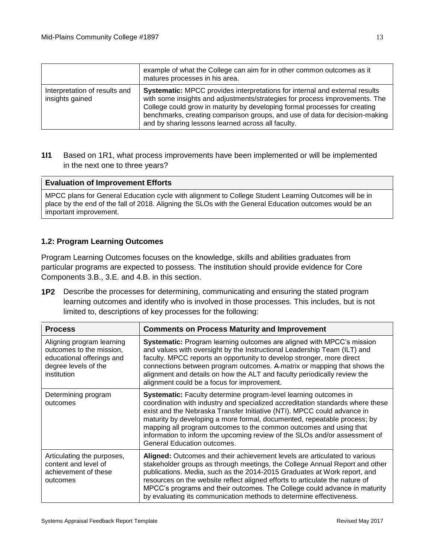|                                                  | example of what the College can aim for in other common outcomes as it<br>matures processes in his area.                                                                                                                                                                                                                                                                             |
|--------------------------------------------------|--------------------------------------------------------------------------------------------------------------------------------------------------------------------------------------------------------------------------------------------------------------------------------------------------------------------------------------------------------------------------------------|
| Interpretation of results and<br>insights gained | <b>Systematic:</b> MPCC provides interpretations for internal and external results<br>with some insights and adjustments/strategies for process improvements. The<br>College could grow in maturity by developing formal processes for creating<br>benchmarks, creating comparison groups, and use of data for decision-making<br>and by sharing lessons learned across all faculty. |

**1I1** Based on 1R1, what process improvements have been implemented or will be implemented in the next one to three years?

#### **Evaluation of Improvement Efforts**

MPCC plans for General Education cycle with alignment to College Student Learning Outcomes will be in place by the end of the fall of 2018. Aligning the SLOs with the General Education outcomes would be an important improvement.

## **1.2: Program Learning Outcomes**

Program Learning Outcomes focuses on the knowledge, skills and abilities graduates from particular programs are expected to possess. The institution should provide evidence for Core Components 3.B., 3.E. and 4.B. in this section.

**1P2** Describe the processes for determining, communicating and ensuring the stated program learning outcomes and identify who is involved in those processes. This includes, but is not limited to, descriptions of key processes for the following:

| <b>Process</b>                                                                                                            | <b>Comments on Process Maturity and Improvement</b>                                                                                                                                                                                                                                                                                                                                                                                                                                                        |
|---------------------------------------------------------------------------------------------------------------------------|------------------------------------------------------------------------------------------------------------------------------------------------------------------------------------------------------------------------------------------------------------------------------------------------------------------------------------------------------------------------------------------------------------------------------------------------------------------------------------------------------------|
| Aligning program learning<br>outcomes to the mission,<br>educational offerings and<br>degree levels of the<br>institution | <b>Systematic:</b> Program learning outcomes are aligned with MPCC's mission<br>and values with oversight by the Instructional Leadership Team (ILT) and<br>faculty. MPCC reports an opportunity to develop stronger, more direct<br>connections between program outcomes. A-matrix or mapping that shows the<br>alignment and details on how the ALT and faculty periodically review the<br>alignment could be a focus for improvement.                                                                   |
| Determining program<br>outcomes                                                                                           | <b>Systematic:</b> Faculty determine program-level learning outcomes in<br>coordination with industry and specialized accreditation standards where these<br>exist and the Nebraska Transfer Initiative (NTI). MPCC could advance in<br>maturity by developing a more formal, documented, repeatable process; by<br>mapping all program outcomes to the common outcomes and using that<br>information to inform the upcoming review of the SLOs and/or assessment of<br><b>General Education outcomes.</b> |
| Articulating the purposes,<br>content and level of<br>achievement of these<br>outcomes                                    | Aligned: Outcomes and their achievement levels are articulated to various<br>stakeholder groups as through meetings, the College Annual Report and other<br>publications. Media, such as the 2014-2015 Graduates at Work report, and<br>resources on the website reflect aligned efforts to articulate the nature of<br>MPCC's programs and their outcomes. The College could advance in maturity<br>by evaluating its communication methods to determine effectiveness.                                   |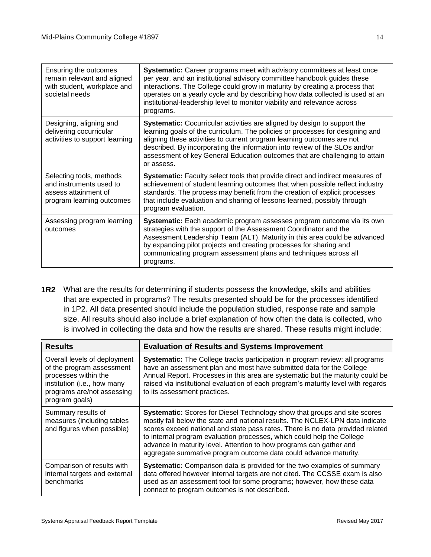| Ensuring the outcomes<br>remain relevant and aligned<br>with student, workplace and<br>societal needs    | <b>Systematic:</b> Career programs meet with advisory committees at least once<br>per year, and an institutional advisory committee handbook guides these<br>interactions. The College could grow in maturity by creating a process that<br>operates on a yearly cycle and by describing how data collected is used at an<br>institutional-leadership level to monitor viability and relevance across<br>programs.    |
|----------------------------------------------------------------------------------------------------------|-----------------------------------------------------------------------------------------------------------------------------------------------------------------------------------------------------------------------------------------------------------------------------------------------------------------------------------------------------------------------------------------------------------------------|
| Designing, aligning and<br>delivering cocurricular<br>activities to support learning                     | <b>Systematic:</b> Cocurricular activities are aligned by design to support the<br>learning goals of the curriculum. The policies or processes for designing and<br>aligning these activities to current program learning outcomes are not<br>described. By incorporating the information into review of the SLOs and/or<br>assessment of key General Education outcomes that are challenging to attain<br>or assess. |
| Selecting tools, methods<br>and instruments used to<br>assess attainment of<br>program learning outcomes | Systematic: Faculty select tools that provide direct and indirect measures of<br>achievement of student learning outcomes that when possible reflect industry<br>standards. The process may benefit from the creation of explicit processes<br>that include evaluation and sharing of lessons learned, possibly through<br>program evaluation.                                                                        |
| Assessing program learning<br>outcomes                                                                   | Systematic: Each academic program assesses program outcome via its own<br>strategies with the support of the Assessment Coordinator and the<br>Assessment Leadership Team (ALT). Maturity in this area could be advanced<br>by expanding pilot projects and creating processes for sharing and<br>communicating program assessment plans and techniques across all<br>programs.                                       |

**1R2** What are the results for determining if students possess the knowledge, skills and abilities that are expected in programs? The results presented should be for the processes identified in 1P2. All data presented should include the population studied, response rate and sample size. All results should also include a brief explanation of how often the data is collected, who is involved in collecting the data and how the results are shared. These results might include:

| <b>Results</b>                                                                                                                                                   | <b>Evaluation of Results and Systems Improvement</b>                                                                                                                                                                                                                                                                                                                                                                                                                     |
|------------------------------------------------------------------------------------------------------------------------------------------------------------------|--------------------------------------------------------------------------------------------------------------------------------------------------------------------------------------------------------------------------------------------------------------------------------------------------------------------------------------------------------------------------------------------------------------------------------------------------------------------------|
| Overall levels of deployment<br>of the program assessment<br>processes within the<br>institution (i.e., how many<br>programs are/not assessing<br>program goals) | Systematic: The College tracks participation in program review; all programs<br>have an assessment plan and most have submitted data for the College<br>Annual Report. Processes in this area are systematic but the maturity could be<br>raised via institutional evaluation of each program's maturity level with regards<br>to its assessment practices.                                                                                                              |
| Summary results of<br>measures (including tables<br>and figures when possible)                                                                                   | <b>Systematic:</b> Scores for Diesel Technology show that groups and site scores<br>mostly fall below the state and national results. The NCLEX-LPN data indicate<br>scores exceed national and state pass rates. There is no data provided related<br>to internal program evaluation processes, which could help the College<br>advance in maturity level. Attention to how programs can gather and<br>aggregate summative program outcome data could advance maturity. |
| Comparison of results with<br>internal targets and external<br>benchmarks                                                                                        | Systematic: Comparison data is provided for the two examples of summary<br>data offered however internal targets are not cited. The CCSSE exam is also<br>used as an assessment tool for some programs; however, how these data<br>connect to program outcomes is not described.                                                                                                                                                                                         |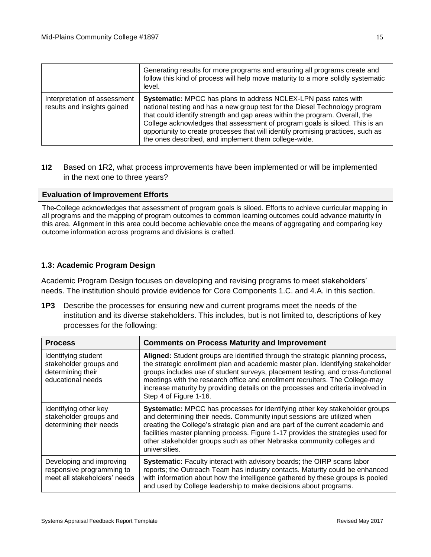|                                                             | Generating results for more programs and ensuring all programs create and<br>follow this kind of process will help move maturity to a more solidly systematic<br>level.                                                                                                                                                                                                                                                                                 |
|-------------------------------------------------------------|---------------------------------------------------------------------------------------------------------------------------------------------------------------------------------------------------------------------------------------------------------------------------------------------------------------------------------------------------------------------------------------------------------------------------------------------------------|
| Interpretation of assessment<br>results and insights gained | Systematic: MPCC has plans to address NCLEX-LPN pass rates with<br>national testing and has a new group test for the Diesel Technology program<br>that could identify strength and gap areas within the program. Overall, the<br>College acknowledges that assessment of program goals is siloed. This is an<br>opportunity to create processes that will identify promising practices, such as<br>the ones described, and implement them college-wide. |

## **1I2** Based on 1R2, what process improvements have been implemented or will be implemented in the next one to three years?

#### **Evaluation of Improvement Efforts**

The College acknowledges that assessment of program goals is siloed. Efforts to achieve curricular mapping in all programs and the mapping of program outcomes to common learning outcomes could advance maturity in this area. Alignment in this area could become achievable once the means of aggregating and comparing key outcome information across programs and divisions is crafted.

#### **1.3: Academic Program Design**

Academic Program Design focuses on developing and revising programs to meet stakeholders' needs. The institution should provide evidence for Core Components 1.C. and 4.A. in this section.

**1P3** Describe the processes for ensuring new and current programs meet the needs of the institution and its diverse stakeholders. This includes, but is not limited to, descriptions of key processes for the following:

| <b>Process</b>                                                                          | <b>Comments on Process Maturity and Improvement</b>                                                                                                                                                                                                                                                                                                                                                                                                |
|-----------------------------------------------------------------------------------------|----------------------------------------------------------------------------------------------------------------------------------------------------------------------------------------------------------------------------------------------------------------------------------------------------------------------------------------------------------------------------------------------------------------------------------------------------|
| Identifying student<br>stakeholder groups and<br>determining their<br>educational needs | Aligned: Student groups are identified through the strategic planning process,<br>the strategic enrollment plan and academic master plan. Identifying stakeholder<br>groups includes use of student surveys, placement testing, and cross-functional<br>meetings with the research office and enrollment recruiters. The College-may<br>increase maturity by providing details on the processes and criteria involved in<br>Step 4 of Figure 1-16. |
| Identifying other key<br>stakeholder groups and<br>determining their needs              | Systematic: MPCC has processes for identifying other key stakeholder groups<br>and determining their needs. Community input sessions are utilized when<br>creating the College's strategic plan and are part of the current academic and<br>facilities master planning process. Figure 1-17 provides the strategies used for<br>other stakeholder groups such as other Nebraska community colleges and<br>universities.                            |
| Developing and improving<br>responsive programming to<br>meet all stakeholders' needs   | Systematic: Faculty interact with advisory boards; the OIRP scans labor<br>reports; the Outreach Team has industry contacts. Maturity could be enhanced<br>with information about how the intelligence gathered by these groups is pooled<br>and used by College leadership to make decisions about programs.                                                                                                                                      |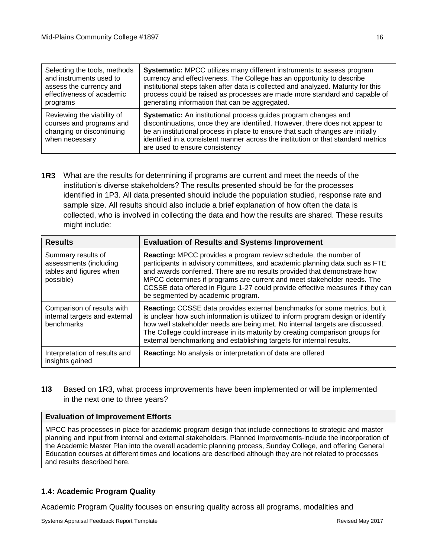| Selecting the tools, methods                                                                          | Systematic: MPCC utilizes many different instruments to assess program                                                                                                                                                                                                                                                                                    |
|-------------------------------------------------------------------------------------------------------|-----------------------------------------------------------------------------------------------------------------------------------------------------------------------------------------------------------------------------------------------------------------------------------------------------------------------------------------------------------|
| and instruments used to                                                                               | currency and effectiveness. The College has an opportunity to describe                                                                                                                                                                                                                                                                                    |
| assess the currency and                                                                               | institutional steps taken after data is collected and analyzed. Maturity for this                                                                                                                                                                                                                                                                         |
| effectiveness of academic                                                                             | process could be raised as processes are made more standard and capable of                                                                                                                                                                                                                                                                                |
| programs                                                                                              | generating information that can be aggregated.                                                                                                                                                                                                                                                                                                            |
| Reviewing the viability of<br>courses and programs and<br>changing or discontinuing<br>when necessary | Systematic: An institutional process guides program changes and<br>discontinuations, once they are identified. However, there does not appear to<br>be an institutional process in place to ensure that such changes are initially<br>identified in a consistent manner across the institution or that standard metrics<br>are used to ensure consistency |

**1R3** What are the results for determining if programs are current and meet the needs of the institution's diverse stakeholders? The results presented should be for the processes identified in 1P3. All data presented should include the population studied, response rate and sample size. All results should also include a brief explanation of how often the data is collected, who is involved in collecting the data and how the results are shared. These results might include:

| <b>Results</b>                                                                       | <b>Evaluation of Results and Systems Improvement</b>                                                                                                                                                                                                                                                                                                                                                                                 |
|--------------------------------------------------------------------------------------|--------------------------------------------------------------------------------------------------------------------------------------------------------------------------------------------------------------------------------------------------------------------------------------------------------------------------------------------------------------------------------------------------------------------------------------|
| Summary results of<br>assessments (including<br>tables and figures when<br>possible) | <b>Reacting:</b> MPCC provides a program review schedule, the number of<br>participants in advisory committees, and academic planning data such as FTE<br>and awards conferred. There are no results provided that demonstrate how<br>MPCC determines if programs are current and meet stakeholder needs. The<br>CCSSE data offered in Figure 1-27 could provide effective measures if they can<br>be segmented by academic program. |
| Comparison of results with<br>internal targets and external<br>benchmarks            | Reacting: CCSSE data provides external benchmarks for some metrics, but it<br>is unclear how such information is utilized to inform program design or identify<br>how well stakeholder needs are being met. No internal targets are discussed.<br>The College could increase in its maturity by creating comparison groups for<br>external benchmarking and establishing targets for internal results.                               |
| Interpretation of results and<br>insights gained                                     | Reacting: No analysis or interpretation of data are offered                                                                                                                                                                                                                                                                                                                                                                          |

**1I3** Based on 1R3, what process improvements have been implemented or will be implemented in the next one to three years?

#### **Evaluation of Improvement Efforts**

MPCC has processes in place for academic program design that include connections to strategic and master planning and input from internal and external stakeholders. Planned improvements include the incorporation of the Academic Master Plan into the overall academic planning process, Sunday College, and offering General Education courses at different times and locations are described although they are not related to processes and results described here.

## **1.4: Academic Program Quality**

Academic Program Quality focuses on ensuring quality across all programs, modalities and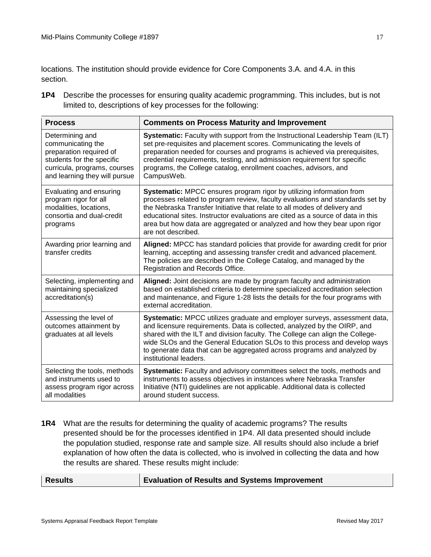locations. The institution should provide evidence for Core Components 3.A. and 4.A. in this section.

**1P4** Describe the processes for ensuring quality academic programming. This includes, but is not limited to, descriptions of key processes for the following:

| <b>Process</b>                                                                                                                                                | <b>Comments on Process Maturity and Improvement</b>                                                                                                                                                                                                                                                                                                                                                                      |
|---------------------------------------------------------------------------------------------------------------------------------------------------------------|--------------------------------------------------------------------------------------------------------------------------------------------------------------------------------------------------------------------------------------------------------------------------------------------------------------------------------------------------------------------------------------------------------------------------|
| Determining and<br>communicating the<br>preparation required of<br>students for the specific<br>curricula, programs, courses<br>and learning they will pursue | Systematic: Faculty with support from the Instructional Leadership Team (ILT)<br>set pre-requisites and placement scores. Communicating the levels of<br>preparation needed for courses and programs is achieved via prerequisites,<br>credential requirements, testing, and admission requirement for specific<br>programs, the College catalog, enrollment coaches, advisors, and<br>CampusWeb.                        |
| Evaluating and ensuring<br>program rigor for all<br>modalities, locations,<br>consortia and dual-credit<br>programs                                           | Systematic: MPCC ensures program rigor by utilizing information from<br>processes related to program review, faculty evaluations and standards set by<br>the Nebraska Transfer Initiative that relate to all modes of delivery and<br>educational sites. Instructor evaluations are cited as a source of data in this<br>area but how data are aggregated or analyzed and how they bear upon rigor<br>are not described. |
| Awarding prior learning and<br>transfer credits                                                                                                               | Aligned: MPCC has standard policies that provide for awarding credit for prior<br>learning, accepting and assessing transfer credit and advanced placement.<br>The policies are described in the College Catalog, and managed by the<br>Registration and Records Office.                                                                                                                                                 |
| Selecting, implementing and<br>maintaining specialized<br>accreditation(s)                                                                                    | Aligned: Joint decisions are made by program faculty and administration<br>based on established criteria to determine specialized accreditation selection<br>and maintenance, and Figure 1-28 lists the details for the four programs with<br>external accreditation.                                                                                                                                                    |
| Assessing the level of<br>outcomes attainment by<br>graduates at all levels                                                                                   | Systematic: MPCC utilizes graduate and employer surveys, assessment data,<br>and licensure requirements. Data is collected, analyzed by the OIRP, and<br>shared with the ILT and division faculty. The College can align the College-<br>wide SLOs and the General Education SLOs to this process and develop ways<br>to generate data that can be aggregated across programs and analyzed by<br>institutional leaders.  |
| Selecting the tools, methods<br>and instruments used to<br>assess program rigor across<br>all modalities                                                      | Systematic: Faculty and advisory committees select the tools, methods and<br>instruments to assess objectives in instances where Nebraska Transfer<br>Initiative (NTI) guidelines are not applicable. Additional data is collected<br>around student success.                                                                                                                                                            |

**1R4** What are the results for determining the quality of academic programs? The results presented should be for the processes identified in 1P4. All data presented should include the population studied, response rate and sample size. All results should also include a brief explanation of how often the data is collected, who is involved in collecting the data and how the results are shared. These results might include:

**Results Evaluation of Results and Systems Improvement**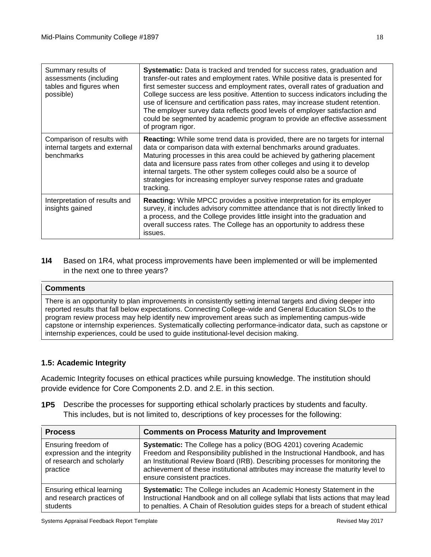| Summary results of<br>assessments (including<br>tables and figures when<br>possible) | <b>Systematic:</b> Data is tracked and trended for success rates, graduation and<br>transfer-out rates and employment rates. While positive data is presented for<br>first semester success and employment rates, overall rates of graduation and<br>College success are less positive. Attention to success indicators including the<br>use of licensure and certification pass rates, may increase student retention.<br>The employer survey data reflects good levels of employer satisfaction and<br>could be segmented by academic program to provide an effective assessment<br>of program rigor. |
|--------------------------------------------------------------------------------------|---------------------------------------------------------------------------------------------------------------------------------------------------------------------------------------------------------------------------------------------------------------------------------------------------------------------------------------------------------------------------------------------------------------------------------------------------------------------------------------------------------------------------------------------------------------------------------------------------------|
| Comparison of results with<br>internal targets and external<br>benchmarks            | Reacting: While some trend data is provided, there are no targets for internal<br>data or comparison data with external benchmarks around graduates.<br>Maturing processes in this area could be achieved by gathering placement<br>data and licensure pass rates from other colleges and using it to develop<br>internal targets. The other system colleges could also be a source of<br>strategies for increasing employer survey response rates and graduate<br>tracking.                                                                                                                            |
| Interpretation of results and<br>insights gained                                     | <b>Reacting:</b> While MPCC provides a positive interpretation for its employer<br>survey, it includes advisory committee attendance that is not directly linked to<br>a process, and the College provides little insight into the graduation and<br>overall success rates. The College has an opportunity to address these<br>issues.                                                                                                                                                                                                                                                                  |

**1I4** Based on 1R4, what process improvements have been implemented or will be implemented in the next one to three years?

### **Comments**

There is an opportunity to plan improvements in consistently setting internal targets and diving deeper into reported results that fall below expectations. Connecting College-wide and General Education SLOs to the program review process may help identify new improvement areas such as implementing campus-wide capstone or internship experiences. Systematically collecting performance-indicator data, such as capstone or internship experiences, could be used to guide institutional-level decision making.

## **1.5: Academic Integrity**

Academic Integrity focuses on ethical practices while pursuing knowledge. The institution should provide evidence for Core Components 2.D. and 2.E. in this section.

**1P5** Describe the processes for supporting ethical scholarly practices by students and faculty. This includes, but is not limited to, descriptions of key processes for the following:

| <b>Process</b>                                                                               | <b>Comments on Process Maturity and Improvement</b>                                                                                                                                                                                                                                                                                                  |
|----------------------------------------------------------------------------------------------|------------------------------------------------------------------------------------------------------------------------------------------------------------------------------------------------------------------------------------------------------------------------------------------------------------------------------------------------------|
| Ensuring freedom of<br>expression and the integrity<br>of research and scholarly<br>practice | Systematic: The College has a policy (BOG 4201) covering Academic<br>Freedom and Responsibility published in the Instructional Handbook, and has<br>an Institutional Review Board (IRB). Describing processes for monitoring the<br>achievement of these institutional attributes may increase the maturity level to<br>ensure consistent practices. |
| Ensuring ethical learning<br>and research practices of<br>students                           | Systematic: The College includes an Academic Honesty Statement in the<br>Instructional Handbook and on all college syllabi that lists actions that may lead<br>to penalties. A Chain of Resolution guides steps for a breach of student ethical                                                                                                      |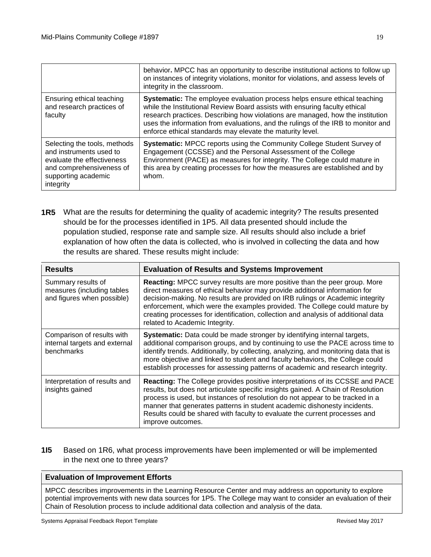|                                                                                                                                                       | behavior. MPCC has an opportunity to describe institutional actions to follow up<br>on instances of integrity violations, monitor for violations, and assess levels of<br>integrity in the classroom.                                                                                                                                                                                             |
|-------------------------------------------------------------------------------------------------------------------------------------------------------|---------------------------------------------------------------------------------------------------------------------------------------------------------------------------------------------------------------------------------------------------------------------------------------------------------------------------------------------------------------------------------------------------|
| Ensuring ethical teaching<br>and research practices of<br>faculty                                                                                     | <b>Systematic:</b> The employee evaluation process helps ensure ethical teaching<br>while the Institutional Review Board assists with ensuring faculty ethical<br>research practices. Describing how violations are managed, how the institution<br>uses the information from evaluations, and the rulings of the IRB to monitor and<br>enforce ethical standards may elevate the maturity level. |
| Selecting the tools, methods<br>and instruments used to<br>evaluate the effectiveness<br>and comprehensiveness of<br>supporting academic<br>integrity | Systematic: MPCC reports using the Community College Student Survey of<br>Engagement (CCSSE) and the Personal Assessment of the College<br>Environment (PACE) as measures for integrity. The College could mature in<br>this area by creating processes for how the measures are established and by<br>whom.                                                                                      |

**1R5** What are the results for determining the quality of academic integrity? The results presented should be for the processes identified in 1P5. All data presented should include the population studied, response rate and sample size. All results should also include a brief explanation of how often the data is collected, who is involved in collecting the data and how the results are shared. These results might include:

| <b>Results</b>                                                                 | <b>Evaluation of Results and Systems Improvement</b>                                                                                                                                                                                                                                                                                                                                                                                                 |
|--------------------------------------------------------------------------------|------------------------------------------------------------------------------------------------------------------------------------------------------------------------------------------------------------------------------------------------------------------------------------------------------------------------------------------------------------------------------------------------------------------------------------------------------|
| Summary results of<br>measures (including tables<br>and figures when possible) | <b>Reacting:</b> MPCC survey results are more positive than the peer group. More<br>direct measures of ethical behavior may provide additional information for<br>decision-making. No results are provided on IRB rulings or Academic integrity<br>enforcement, which were the examples provided. The College could mature by<br>creating processes for identification, collection and analysis of additional data<br>related to Academic Integrity. |
| Comparison of results with<br>internal targets and external<br>benchmarks      | <b>Systematic:</b> Data could be made stronger by identifying internal targets,<br>additional comparison groups, and by continuing to use the PACE across time to<br>identify trends. Additionally, by collecting, analyzing, and monitoring data that is<br>more objective and linked to student and faculty behaviors, the College could<br>establish processes for assessing patterns of academic and research integrity.                         |
| Interpretation of results and<br>insights gained                               | <b>Reacting:</b> The College provides positive interpretations of its CCSSE and PACE<br>results, but does not articulate specific insights gained. A Chain of Resolution<br>process is used, but instances of resolution do not appear to be tracked in a<br>manner that generates patterns in student academic dishonesty incidents.<br>Results could be shared with faculty to evaluate the current processes and<br>improve outcomes.             |

**1I5** Based on 1R6, what process improvements have been implemented or will be implemented in the next one to three years?

## **Evaluation of Improvement Efforts**

MPCC describes improvements in the Learning Resource Center and may address an opportunity to explore potential improvements with new data sources for 1P5. The College may want to consider an evaluation of their Chain of Resolution process to include additional data collection and analysis of the data.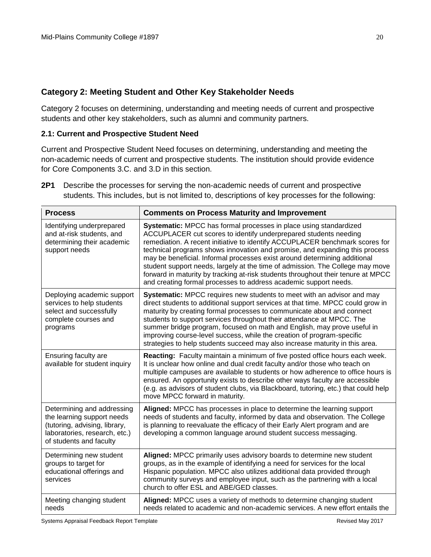## **Category 2: Meeting Student and Other Key Stakeholder Needs**

Category 2 focuses on determining, understanding and meeting needs of current and prospective students and other key stakeholders, such as alumni and community partners.

## **2.1: Current and Prospective Student Need**

Current and Prospective Student Need focuses on determining, understanding and meeting the non-academic needs of current and prospective students. The institution should provide evidence for Core Components 3.C. and 3.D in this section.

**2P1** Describe the processes for serving the non-academic needs of current and prospective students. This includes, but is not limited to, descriptions of key processes for the following:

| <b>Process</b>                                                                                                                                        | <b>Comments on Process Maturity and Improvement</b>                                                                                                                                                                                                                                                                                                                                                                                                                                                                                                                                                                        |
|-------------------------------------------------------------------------------------------------------------------------------------------------------|----------------------------------------------------------------------------------------------------------------------------------------------------------------------------------------------------------------------------------------------------------------------------------------------------------------------------------------------------------------------------------------------------------------------------------------------------------------------------------------------------------------------------------------------------------------------------------------------------------------------------|
| Identifying underprepared<br>and at-risk students, and<br>determining their academic<br>support needs                                                 | Systematic: MPCC has formal processes in place using standardized<br>ACCUPLACER cut scores to identify underprepared students needing<br>remediation. A recent initiative to identify ACCUPLACER benchmark scores for<br>technical programs shows innovation and promise, and expanding this process<br>may be beneficial. Informal processes exist around determining additional<br>student support needs, largely at the time of admission. The College may move<br>forward in maturity by tracking at-risk students throughout their tenure at MPCC<br>and creating formal processes to address academic support needs. |
| Deploying academic support<br>services to help students<br>select and successfully<br>complete courses and<br>programs                                | Systematic: MPCC requires new students to meet with an advisor and may<br>direct students to additional support services at that time. MPCC could grow in<br>maturity by creating formal processes to communicate about and connect<br>students to support services throughout their attendance at MPCC. The<br>summer bridge program, focused on math and English, may prove useful in<br>improving course-level success, while the creation of program-specific<br>strategies to help students succeed may also increase maturity in this area.                                                                          |
| Ensuring faculty are<br>available for student inquiry                                                                                                 | Reacting: Faculty maintain a minimum of five posted office hours each week.<br>It is unclear how online and dual credit faculty and/or those who teach on<br>multiple campuses are available to students or how adherence to office hours is<br>ensured. An opportunity exists to describe other ways faculty are accessible<br>(e.g. as advisors of student clubs, via Blackboard, tutoring, etc.) that could help<br>move MPCC forward in maturity.                                                                                                                                                                      |
| Determining and addressing<br>the learning support needs<br>(tutoring, advising, library,<br>laboratories, research, etc.)<br>of students and faculty | Aligned: MPCC has processes in place to determine the learning support<br>needs of students and faculty, informed by data and observation. The College<br>is planning to reevaluate the efficacy of their Early Alert program and are<br>developing a common language around student success messaging.                                                                                                                                                                                                                                                                                                                    |
| Determining new student<br>groups to target for<br>educational offerings and<br>services                                                              | Aligned: MPCC primarily uses advisory boards to determine new student<br>groups, as in the example of identifying a need for services for the local<br>Hispanic population. MPCC also utilizes additional data provided through<br>community surveys and employee input, such as the partnering with a local<br>church to offer ESL and ABE/GED classes.                                                                                                                                                                                                                                                                   |
| Meeting changing student<br>needs                                                                                                                     | Aligned: MPCC uses a variety of methods to determine changing student<br>needs related to academic and non-academic services. A new effort entails the                                                                                                                                                                                                                                                                                                                                                                                                                                                                     |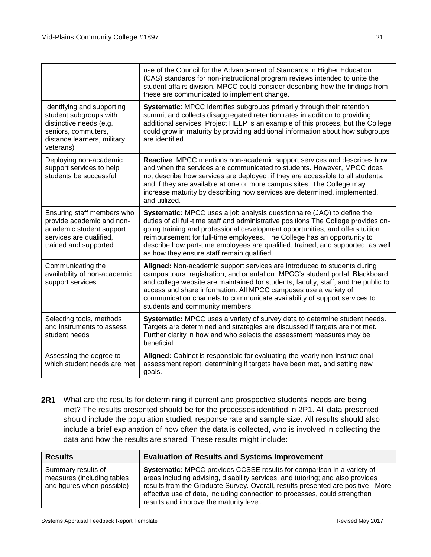|                                                                                                                                                     | use of the Council for the Advancement of Standards in Higher Education<br>(CAS) standards for non-instructional program reviews intended to unite the<br>student affairs division. MPCC could consider describing how the findings from<br>these are communicated to implement change.                                                                                                                                                                     |
|-----------------------------------------------------------------------------------------------------------------------------------------------------|-------------------------------------------------------------------------------------------------------------------------------------------------------------------------------------------------------------------------------------------------------------------------------------------------------------------------------------------------------------------------------------------------------------------------------------------------------------|
| Identifying and supporting<br>student subgroups with<br>distinctive needs (e.g.,<br>seniors, commuters,<br>distance learners, military<br>veterans) | Systematic: MPCC identifies subgroups primarily through their retention<br>summit and collects disaggregated retention rates in addition to providing<br>additional services. Project HELP is an example of this process, but the College<br>could grow in maturity by providing additional information about how subgroups<br>are identified.                                                                                                              |
| Deploying non-academic<br>support services to help<br>students be successful                                                                        | Reactive: MPCC mentions non-academic support services and describes how<br>and when the services are communicated to students. However, MPCC does<br>not describe how services are deployed, if they are accessible to all students,<br>and if they are available at one or more campus sites. The College may<br>increase maturity by describing how services are determined, implemented,<br>and utilized.                                                |
| Ensuring staff members who<br>provide academic and non-<br>academic student support<br>services are qualified,<br>trained and supported             | Systematic: MPCC uses a job analysis questionnaire (JAQ) to define the<br>duties of all full-time staff and administrative positions The College provides on-<br>going training and professional development opportunities, and offers tuition<br>reimbursement for full-time employees. The College has an opportunity to<br>describe how part-time employees are qualified, trained, and supported, as well<br>as how they ensure staff remain qualified. |
| Communicating the<br>availability of non-academic<br>support services                                                                               | Aligned: Non-academic support services are introduced to students during<br>campus tours, registration, and orientation. MPCC's student portal, Blackboard,<br>and college website are maintained for students, faculty, staff, and the public to<br>access and share information. All MPCC campuses use a variety of<br>communication channels to communicate availability of support services to<br>students and community members.                       |
| Selecting tools, methods<br>and instruments to assess<br>student needs                                                                              | Systematic: MPCC uses a variety of survey data to determine student needs.<br>Targets are determined and strategies are discussed if targets are not met.<br>Further clarity in how and who selects the assessment measures may be<br>beneficial.                                                                                                                                                                                                           |
| Assessing the degree to<br>which student needs are met                                                                                              | Aligned: Cabinet is responsible for evaluating the yearly non-instructional<br>assessment report, determining if targets have been met, and setting new<br>goals.                                                                                                                                                                                                                                                                                           |

**2R1** What are the results for determining if current and prospective students' needs are being met? The results presented should be for the processes identified in 2P1. All data presented should include the population studied, response rate and sample size. All results should also include a brief explanation of how often the data is collected, who is involved in collecting the data and how the results are shared. These results might include:

| <b>Results</b>                                                                 | <b>Evaluation of Results and Systems Improvement</b>                                                                                                                                                                                                                                                                                                                        |
|--------------------------------------------------------------------------------|-----------------------------------------------------------------------------------------------------------------------------------------------------------------------------------------------------------------------------------------------------------------------------------------------------------------------------------------------------------------------------|
| Summary results of<br>measures (including tables<br>and figures when possible) | <b>Systematic:</b> MPCC provides CCSSE results for comparison in a variety of<br>areas including advising, disability services, and tutoring; and also provides<br>results from the Graduate Survey. Overall, results presented are positive. More<br>effective use of data, including connection to processes, could strengthen<br>results and improve the maturity level. |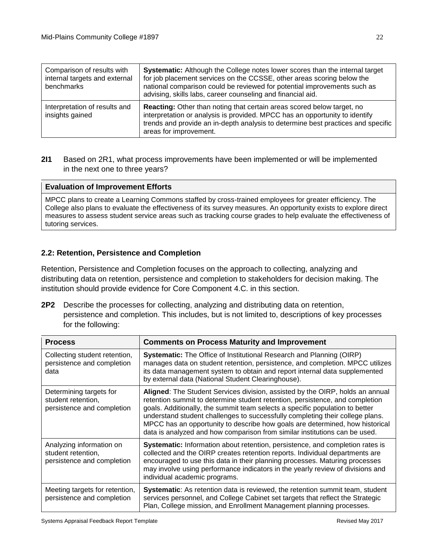| Comparison of results with<br>internal targets and external<br>benchmarks | Systematic: Although the College notes lower scores than the internal target<br>for job placement services on the CCSSE, other areas scoring below the<br>national comparison could be reviewed for potential improvements such as<br>advising, skills labs, career counseling and financial aid. |
|---------------------------------------------------------------------------|---------------------------------------------------------------------------------------------------------------------------------------------------------------------------------------------------------------------------------------------------------------------------------------------------|
| Interpretation of results and<br>insights gained                          | Reacting: Other than noting that certain areas scored below target, no<br>interpretation or analysis is provided. MPCC has an opportunity to identify<br>trends and provide an in-depth analysis to determine best practices and specific<br>areas for improvement.                               |

## **2I1** Based on 2R1, what process improvements have been implemented or will be implemented in the next one to three years?

## **Evaluation of Improvement Efforts**

MPCC plans to create a Learning Commons staffed by cross-trained employees for greater efficiency. The College also plans to evaluate the effectiveness of its survey measures. An opportunity exists to explore direct measures to assess student service areas such as tracking course grades to help evaluate the effectiveness of tutoring services.

## **2.2: Retention, Persistence and Completion**

Retention, Persistence and Completion focuses on the approach to collecting, analyzing and distributing data on retention, persistence and completion to stakeholders for decision making. The institution should provide evidence for Core Component 4.C. in this section.

**2P2** Describe the processes for collecting, analyzing and distributing data on retention, persistence and completion. This includes, but is not limited to, descriptions of key processes for the following:

| <b>Process</b>                                                               | <b>Comments on Process Maturity and Improvement</b>                                                                                                                                                                                                                                                                                                                                                                                                                                          |
|------------------------------------------------------------------------------|----------------------------------------------------------------------------------------------------------------------------------------------------------------------------------------------------------------------------------------------------------------------------------------------------------------------------------------------------------------------------------------------------------------------------------------------------------------------------------------------|
| Collecting student retention,<br>persistence and completion<br>data          | <b>Systematic:</b> The Office of Institutional Research and Planning (OIRP)<br>manages data on student retention, persistence, and completion. MPCC utilizes<br>its data management system to obtain and report internal data supplemented<br>by external data (National Student Clearinghouse).                                                                                                                                                                                             |
| Determining targets for<br>student retention,<br>persistence and completion  | Aligned: The Student Services division, assisted by the OIRP, holds an annual<br>retention summit to determine student retention, persistence, and completion<br>goals. Additionally, the summit team selects a specific population to better<br>understand student challenges to successfully completing their college plans.<br>MPCC has an opportunity to describe how goals are determined, how historical<br>data is analyzed and how comparison from similar institutions can be used. |
| Analyzing information on<br>student retention,<br>persistence and completion | <b>Systematic:</b> Information about retention, persistence, and completion rates is<br>collected and the OIRP creates retention reports. Individual departments are<br>encouraged to use this data in their planning processes. Maturing processes<br>may involve using performance indicators in the yearly review of divisions and<br>individual academic programs.                                                                                                                       |
| Meeting targets for retention,<br>persistence and completion                 | <b>Systematic:</b> As retention data is reviewed, the retention summit team, student<br>services personnel, and College Cabinet set targets that reflect the Strategic<br>Plan, College mission, and Enrollment Management planning processes.                                                                                                                                                                                                                                               |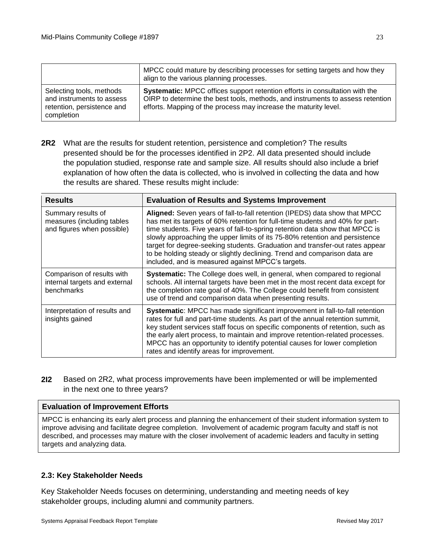|                                                                                                   | MPCC could mature by describing processes for setting targets and how they<br>align to the various planning processes.                                                                                                                   |
|---------------------------------------------------------------------------------------------------|------------------------------------------------------------------------------------------------------------------------------------------------------------------------------------------------------------------------------------------|
| Selecting tools, methods<br>and instruments to assess<br>retention, persistence and<br>completion | <b>Systematic:</b> MPCC offices support retention efforts in consultation with the<br>OIRP to determine the best tools, methods, and instruments to assess retention<br>efforts. Mapping of the process may increase the maturity level. |

**2R2** What are the results for student retention, persistence and completion? The results presented should be for the processes identified in 2P2. All data presented should include the population studied, response rate and sample size. All results should also include a brief explanation of how often the data is collected, who is involved in collecting the data and how the results are shared. These results might include:

| <b>Results</b>                                                                 | <b>Evaluation of Results and Systems Improvement</b>                                                                                                                                                                                                                                                                                                                                                                                                                                                                                         |
|--------------------------------------------------------------------------------|----------------------------------------------------------------------------------------------------------------------------------------------------------------------------------------------------------------------------------------------------------------------------------------------------------------------------------------------------------------------------------------------------------------------------------------------------------------------------------------------------------------------------------------------|
| Summary results of<br>measures (including tables<br>and figures when possible) | Aligned: Seven years of fall-to-fall retention (IPEDS) data show that MPCC<br>has met its targets of 60% retention for full-time students and 40% for part-<br>time students. Five years of fall-to-spring retention data show that MPCC is<br>slowly approaching the upper limits of its 75-80% retention and persistence<br>target for degree-seeking students. Graduation and transfer-out rates appear<br>to be holding steady or slightly declining. Trend and comparison data are<br>included, and is measured against MPCC's targets. |
| Comparison of results with<br>internal targets and external<br>benchmarks      | Systematic: The College does well, in general, when compared to regional<br>schools. All internal targets have been met in the most recent data except for<br>the completion rate goal of 40%. The College could benefit from consistent<br>use of trend and comparison data when presenting results.                                                                                                                                                                                                                                        |
| Interpretation of results and<br>insights gained                               | Systematic: MPCC has made significant improvement in fall-to-fall retention<br>rates for full and part-time students. As part of the annual retention summit,<br>key student services staff focus on specific components of retention, such as<br>the early alert process, to maintain and improve retention-related processes.<br>MPCC has an opportunity to identify potential causes for lower completion<br>rates and identify areas for improvement.                                                                                    |

**2I2** Based on 2R2, what process improvements have been implemented or will be implemented in the next one to three years?

#### **Evaluation of Improvement Efforts**

MPCC is enhancing its early alert process and planning the enhancement of their student information system to improve advising and facilitate degree completion. Involvement of academic program faculty and staff is not described, and processes may mature with the closer involvement of academic leaders and faculty in setting targets and analyzing data.

#### **2.3: Key Stakeholder Needs**

Key Stakeholder Needs focuses on determining, understanding and meeting needs of key stakeholder groups, including alumni and community partners.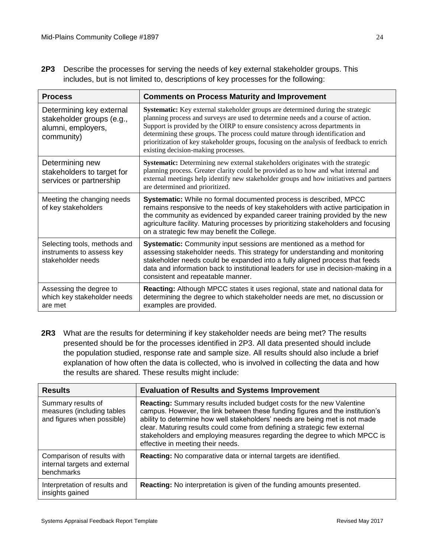**2P3** Describe the processes for serving the needs of key external stakeholder groups. This includes, but is not limited to, descriptions of key processes for the following:

| <b>Process</b>                                                                            | <b>Comments on Process Maturity and Improvement</b>                                                                                                                                                                                                                                                                                                                                                                                                                    |
|-------------------------------------------------------------------------------------------|------------------------------------------------------------------------------------------------------------------------------------------------------------------------------------------------------------------------------------------------------------------------------------------------------------------------------------------------------------------------------------------------------------------------------------------------------------------------|
| Determining key external<br>stakeholder groups (e.g.,<br>alumni, employers,<br>community) | Systematic: Key external stakeholder groups are determined during the strategic<br>planning process and surveys are used to determine needs and a course of action.<br>Support is provided by the OIRP to ensure consistency across departments in<br>determining these groups. The process could mature through identification and<br>prioritization of key stakeholder groups, focusing on the analysis of feedback to enrich<br>existing decision-making processes. |
| Determining new<br>stakeholders to target for<br>services or partnership                  | Systematic: Determining new external stakeholders originates with the strategic<br>planning process. Greater clarity could be provided as to how and what internal and<br>external meetings help identify new stakeholder groups and how initiatives and partners<br>are determined and prioritized.                                                                                                                                                                   |
| Meeting the changing needs<br>of key stakeholders                                         | Systematic: While no formal documented process is described, MPCC<br>remains responsive to the needs of key stakeholders with active participation in<br>the community as evidenced by expanded career training provided by the new<br>agriculture facility. Maturing processes by prioritizing stakeholders and focusing<br>on a strategic few may benefit the College.                                                                                               |
| Selecting tools, methods and<br>instruments to assess key<br>stakeholder needs            | Systematic: Community input sessions are mentioned as a method for<br>assessing stakeholder needs. This strategy for understanding and monitoring<br>stakeholder needs could be expanded into a fully aligned process that feeds<br>data and information back to institutional leaders for use in decision-making in a<br>consistent and repeatable manner.                                                                                                            |
| Assessing the degree to<br>which key stakeholder needs<br>are met                         | <b>Reacting:</b> Although MPCC states it uses regional, state and national data for<br>determining the degree to which stakeholder needs are met, no discussion or<br>examples are provided.                                                                                                                                                                                                                                                                           |

**2R3** What are the results for determining if key stakeholder needs are being met? The results presented should be for the processes identified in 2P3. All data presented should include the population studied, response rate and sample size. All results should also include a brief explanation of how often the data is collected, who is involved in collecting the data and how the results are shared. These results might include:

| <b>Results</b>                                                                 | <b>Evaluation of Results and Systems Improvement</b>                                                                                                                                                                                                                                                                                                                                                                                 |
|--------------------------------------------------------------------------------|--------------------------------------------------------------------------------------------------------------------------------------------------------------------------------------------------------------------------------------------------------------------------------------------------------------------------------------------------------------------------------------------------------------------------------------|
| Summary results of<br>measures (including tables<br>and figures when possible) | Reacting: Summary results included budget costs for the new Valentine<br>campus. However, the link between these funding figures and the institution's<br>ability to determine how well stakeholders' needs are being met is not made<br>clear. Maturing results could come from defining a strategic few external<br>stakeholders and employing measures regarding the degree to which MPCC is<br>effective in meeting their needs. |
| Comparison of results with<br>internal targets and external<br>benchmarks      | Reacting: No comparative data or internal targets are identified.                                                                                                                                                                                                                                                                                                                                                                    |
| Interpretation of results and<br>insights gained                               | <b>Reacting:</b> No interpretation is given of the funding amounts presented.                                                                                                                                                                                                                                                                                                                                                        |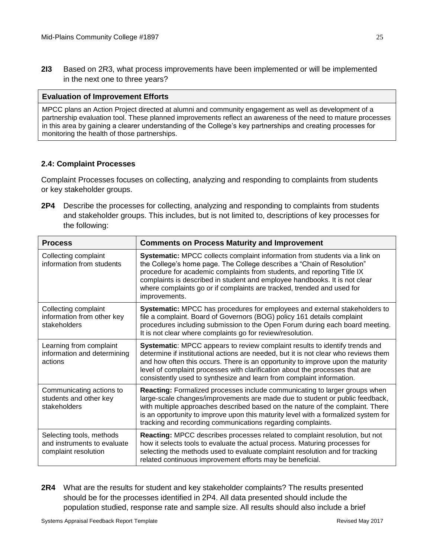**2I3** Based on 2R3, what process improvements have been implemented or will be implemented in the next one to three years?

#### **Evaluation of Improvement Efforts**

MPCC plans an Action Project directed at alumni and community engagement as well as development of a partnership evaluation tool. These planned improvements reflect an awareness of the need to mature processes in this area by gaining a clearer understanding of the College's key partnerships and creating processes for monitoring the health of those partnerships.

## **2.4: Complaint Processes**

Complaint Processes focuses on collecting, analyzing and responding to complaints from students or key stakeholder groups.

**2P4** Describe the processes for collecting, analyzing and responding to complaints from students and stakeholder groups. This includes, but is not limited to, descriptions of key processes for the following:

| <b>Process</b>                                                                  | <b>Comments on Process Maturity and Improvement</b>                                                                                                                                                                                                                                                                                                                                                            |
|---------------------------------------------------------------------------------|----------------------------------------------------------------------------------------------------------------------------------------------------------------------------------------------------------------------------------------------------------------------------------------------------------------------------------------------------------------------------------------------------------------|
| Collecting complaint<br>information from students                               | Systematic: MPCC collects complaint information from students via a link on<br>the College's home page. The College describes a "Chain of Resolution"<br>procedure for academic complaints from students, and reporting Title IX<br>complaints is described in student and employee handbooks. It is not clear<br>where complaints go or if complaints are tracked, trended and used for<br>improvements.      |
| Collecting complaint<br>information from other key<br>stakeholders              | Systematic: MPCC has procedures for employees and external stakeholders to<br>file a complaint. Board of Governors (BOG) policy 161 details complaint<br>procedures including submission to the Open Forum during each board meeting.<br>It is not clear where complaints go for review/resolution.                                                                                                            |
| Learning from complaint<br>information and determining<br>actions               | Systematic: MPCC appears to review complaint results to identify trends and<br>determine if institutional actions are needed, but it is not clear who reviews them<br>and how often this occurs. There is an opportunity to improve upon the maturity<br>level of complaint processes with clarification about the processes that are<br>consistently used to synthesize and learn from complaint information. |
| Communicating actions to<br>students and other key<br>stakeholders              | Reacting: Formalized processes include communicating to larger groups when<br>large-scale changes/improvements are made due to student or public feedback,<br>with multiple approaches described based on the nature of the complaint. There<br>is an opportunity to improve upon this maturity level with a formalized system for<br>tracking and recording communications regarding complaints.              |
| Selecting tools, methods<br>and instruments to evaluate<br>complaint resolution | Reacting: MPCC describes processes related to complaint resolution, but not<br>how it selects tools to evaluate the actual process. Maturing processes for<br>selecting the methods used to evaluate complaint resolution and for tracking<br>related continuous improvement efforts may be beneficial.                                                                                                        |

**2R4** What are the results for student and key stakeholder complaints? The results presented should be for the processes identified in 2P4. All data presented should include the population studied, response rate and sample size. All results should also include a brief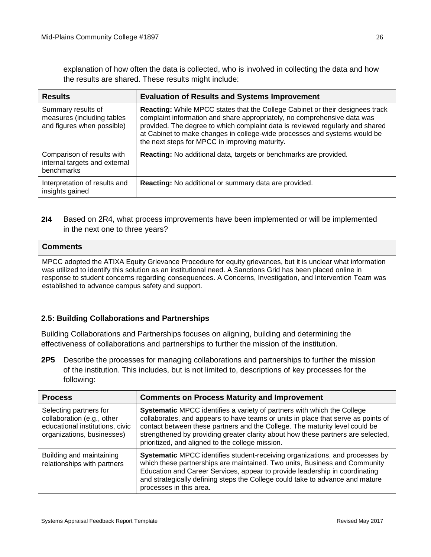explanation of how often the data is collected, who is involved in collecting the data and how the results are shared. These results might include:

| <b>Results</b>                                                                 | <b>Evaluation of Results and Systems Improvement</b>                                                                                                                                                                                                                                                                                                                      |
|--------------------------------------------------------------------------------|---------------------------------------------------------------------------------------------------------------------------------------------------------------------------------------------------------------------------------------------------------------------------------------------------------------------------------------------------------------------------|
| Summary results of<br>measures (including tables<br>and figures when possible) | Reacting: While MPCC states that the College Cabinet or their designees track<br>complaint information and share appropriately, no comprehensive data was<br>provided. The degree to which complaint data is reviewed regularly and shared<br>at Cabinet to make changes in college-wide processes and systems would be<br>the next steps for MPCC in improving maturity. |
| Comparison of results with<br>internal targets and external<br>benchmarks      | Reacting: No additional data, targets or benchmarks are provided.                                                                                                                                                                                                                                                                                                         |
| Interpretation of results and<br>insights gained                               | Reacting: No additional or summary data are provided.                                                                                                                                                                                                                                                                                                                     |

## **2I4** Based on 2R4, what process improvements have been implemented or will be implemented in the next one to three years?

#### **Comments**

MPCC adopted the ATIXA Equity Grievance Procedure for equity grievances, but it is unclear what information was utilized to identify this solution as an institutional need. A Sanctions Grid has been placed online in response to student concerns regarding consequences. A Concerns, Investigation, and Intervention Team was established to advance campus safety and support.

## **2.5: Building Collaborations and Partnerships**

Building Collaborations and Partnerships focuses on aligning, building and determining the effectiveness of collaborations and partnerships to further the mission of the institution.

**2P5** Describe the processes for managing collaborations and partnerships to further the mission of the institution. This includes, but is not limited to, descriptions of key processes for the following:

| <b>Process</b>                                                                                                        | <b>Comments on Process Maturity and Improvement</b>                                                                                                                                                                                                                                                                                                                                 |
|-----------------------------------------------------------------------------------------------------------------------|-------------------------------------------------------------------------------------------------------------------------------------------------------------------------------------------------------------------------------------------------------------------------------------------------------------------------------------------------------------------------------------|
| Selecting partners for<br>collaboration (e.g., other<br>educational institutions, civic<br>organizations, businesses) | Systematic MPCC identifies a variety of partners with which the College<br>collaborates, and appears to have teams or units in place that serve as points of<br>contact between these partners and the College. The maturity level could be<br>strengthened by providing greater clarity about how these partners are selected,<br>prioritized, and aligned to the college mission. |
| Building and maintaining<br>relationships with partners                                                               | Systematic MPCC identifies student-receiving organizations, and processes by<br>which these partnerships are maintained. Two units, Business and Community<br>Education and Career Services, appear to provide leadership in coordinating<br>and strategically defining steps the College could take to advance and mature<br>processes in this area.                               |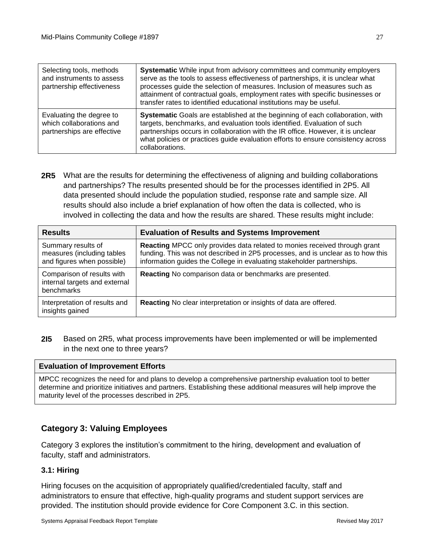| Selecting tools, methods<br>and instruments to assess<br>partnership effectiveness | Systematic While input from advisory committees and community employers<br>serve as the tools to assess effectiveness of partnerships, it is unclear what<br>processes guide the selection of measures. Inclusion of measures such as<br>attainment of contractual goals, employment rates with specific businesses or<br>transfer rates to identified educational institutions may be useful. |
|------------------------------------------------------------------------------------|------------------------------------------------------------------------------------------------------------------------------------------------------------------------------------------------------------------------------------------------------------------------------------------------------------------------------------------------------------------------------------------------|
| Evaluating the degree to<br>which collaborations and<br>partnerships are effective | Systematic Goals are established at the beginning of each collaboration, with<br>targets, benchmarks, and evaluation tools identified. Evaluation of such<br>partnerships occurs in collaboration with the IR office. However, it is unclear<br>what policies or practices guide evaluation efforts to ensure consistency across<br>collaborations.                                            |

**2R5** What are the results for determining the effectiveness of aligning and building collaborations and partnerships? The results presented should be for the processes identified in 2P5. All data presented should include the population studied, response rate and sample size. All results should also include a brief explanation of how often the data is collected, who is involved in collecting the data and how the results are shared. These results might include:

| <b>Results</b>                                                                 | <b>Evaluation of Results and Systems Improvement</b>                                                                                                                                                                                   |
|--------------------------------------------------------------------------------|----------------------------------------------------------------------------------------------------------------------------------------------------------------------------------------------------------------------------------------|
| Summary results of<br>measures (including tables<br>and figures when possible) | Reacting MPCC only provides data related to monies received through grant<br>funding. This was not described in 2P5 processes, and is unclear as to how this<br>information guides the College in evaluating stakeholder partnerships. |
| Comparison of results with<br>internal targets and external<br>benchmarks      | Reacting No comparison data or benchmarks are presented.                                                                                                                                                                               |
| Interpretation of results and<br>insights gained                               | Reacting No clear interpretation or insights of data are offered.                                                                                                                                                                      |

**2I5** Based on 2R5, what process improvements have been implemented or will be implemented in the next one to three years?

#### **Evaluation of Improvement Efforts**

MPCC recognizes the need for and plans to develop a comprehensive partnership evaluation tool to better determine and prioritize initiatives and partners. Establishing these additional measures will help improve the maturity level of the processes described in 2P5.

## **Category 3: Valuing Employees**

Category 3 explores the institution's commitment to the hiring, development and evaluation of faculty, staff and administrators.

#### **3.1: Hiring**

Hiring focuses on the acquisition of appropriately qualified/credentialed faculty, staff and administrators to ensure that effective, high-quality programs and student support services are provided. The institution should provide evidence for Core Component 3.C. in this section.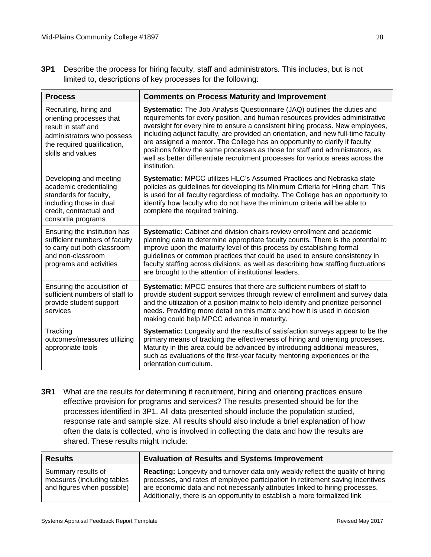**3P1** Describe the process for hiring faculty, staff and administrators. This includes, but is not limited to, descriptions of key processes for the following:

| <b>Process</b>                                                                                                                                              | <b>Comments on Process Maturity and Improvement</b>                                                                                                                                                                                                                                                                                                                                                                                                                                                                                                                                                |
|-------------------------------------------------------------------------------------------------------------------------------------------------------------|----------------------------------------------------------------------------------------------------------------------------------------------------------------------------------------------------------------------------------------------------------------------------------------------------------------------------------------------------------------------------------------------------------------------------------------------------------------------------------------------------------------------------------------------------------------------------------------------------|
| Recruiting, hiring and<br>orienting processes that<br>result in staff and<br>administrators who possess<br>the required qualification,<br>skills and values | Systematic: The Job Analysis Questionnaire (JAQ) outlines the duties and<br>requirements for every position, and human resources provides administrative<br>oversight for every hire to ensure a consistent hiring process. New employees,<br>including adjunct faculty, are provided an orientation, and new full-time faculty<br>are assigned a mentor. The College has an opportunity to clarify if faculty<br>positions follow the same processes as those for staff and administrators, as<br>well as better differentiate recruitment processes for various areas across the<br>institution. |
| Developing and meeting<br>academic credentialing<br>standards for faculty,<br>including those in dual<br>credit, contractual and<br>consortia programs      | Systematic: MPCC utilizes HLC's Assumed Practices and Nebraska state<br>policies as guidelines for developing its Minimum Criteria for Hiring chart. This<br>is used for all faculty regardless of modality. The College has an opportunity to<br>identify how faculty who do not have the minimum criteria will be able to<br>complete the required training.                                                                                                                                                                                                                                     |
| Ensuring the institution has<br>sufficient numbers of faculty<br>to carry out both classroom<br>and non-classroom<br>programs and activities                | Systematic: Cabinet and division chairs review enrollment and academic<br>planning data to determine appropriate faculty counts. There is the potential to<br>improve upon the maturity level of this process by establishing formal<br>guidelines or common practices that could be used to ensure consistency in<br>faculty staffing across divisions, as well as describing how staffing fluctuations<br>are brought to the attention of institutional leaders.                                                                                                                                 |
| Ensuring the acquisition of<br>sufficient numbers of staff to<br>provide student support<br>services                                                        | Systematic: MPCC ensures that there are sufficient numbers of staff to<br>provide student support services through review of enrollment and survey data<br>and the utilization of a position matrix to help identify and prioritize personnel<br>needs. Providing more detail on this matrix and how it is used in decision<br>making could help MPCC advance in maturity.                                                                                                                                                                                                                         |
| Tracking<br>outcomes/measures utilizing<br>appropriate tools                                                                                                | Systematic: Longevity and the results of satisfaction surveys appear to be the<br>primary means of tracking the effectiveness of hiring and orienting processes.<br>Maturity in this area could be advanced by introducing additional measures,<br>such as evaluations of the first-year faculty mentoring experiences or the<br>orientation curriculum.                                                                                                                                                                                                                                           |

**3R1** What are the results for determining if recruitment, hiring and orienting practices ensure effective provision for programs and services? The results presented should be for the processes identified in 3P1. All data presented should include the population studied, response rate and sample size. All results should also include a brief explanation of how often the data is collected, who is involved in collecting the data and how the results are shared. These results might include:

| <b>Results</b>                                                                 | <b>Evaluation of Results and Systems Improvement</b>                                                                                                                                                                                                                                                                           |
|--------------------------------------------------------------------------------|--------------------------------------------------------------------------------------------------------------------------------------------------------------------------------------------------------------------------------------------------------------------------------------------------------------------------------|
| Summary results of<br>measures (including tables<br>and figures when possible) | Reacting: Longevity and turnover data only weakly reflect the quality of hiring<br>processes, and rates of employee participation in retirement saving incentives<br>are economic data and not necessarily attributes linked to hiring processes.<br>Additionally, there is an opportunity to establish a more formalized link |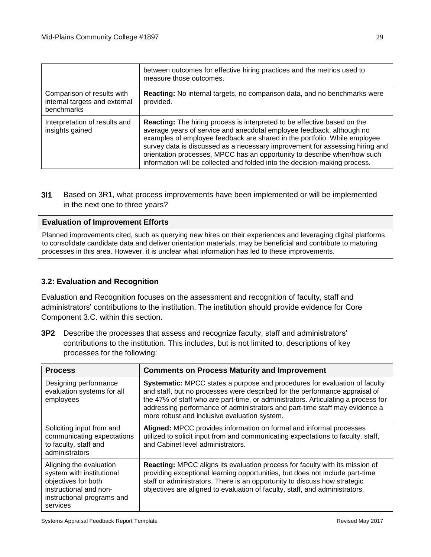|                                                                           | between outcomes for effective hiring practices and the metrics used to<br>measure those outcomes.                                                                                                                                                                                                                                                                                                                                                                              |
|---------------------------------------------------------------------------|---------------------------------------------------------------------------------------------------------------------------------------------------------------------------------------------------------------------------------------------------------------------------------------------------------------------------------------------------------------------------------------------------------------------------------------------------------------------------------|
| Comparison of results with<br>internal targets and external<br>benchmarks | <b>Reacting:</b> No internal targets, no comparison data, and no benchmarks were<br>provided.                                                                                                                                                                                                                                                                                                                                                                                   |
| Interpretation of results and<br>insights gained                          | <b>Reacting:</b> The hiring process is interpreted to be effective based on the<br>average years of service and anecdotal employee feedback, although no<br>examples of employee feedback are shared in the portfolio. While employee<br>survey data is discussed as a necessary improvement for assessing hiring and<br>orientation processes, MPCC has an opportunity to describe when/how such<br>information will be collected and folded into the decision-making process. |

**3I1** Based on 3R1, what process improvements have been implemented or will be implemented in the next one to three years?

#### **Evaluation of Improvement Efforts**

Planned improvements cited, such as querying new hires on their experiences and leveraging digital platforms to consolidate candidate data and deliver orientation materials, may be beneficial and contribute to maturing processes in this area. However, it is unclear what information has led to these improvements.

#### **3.2: Evaluation and Recognition**

Evaluation and Recognition focuses on the assessment and recognition of faculty, staff and administrators' contributions to the institution. The institution should provide evidence for Core Component 3.C. within this section.

**3P2** Describe the processes that assess and recognize faculty, staff and administrators' contributions to the institution. This includes, but is not limited to, descriptions of key processes for the following:

| <b>Process</b>                                                                                                                                  | <b>Comments on Process Maturity and Improvement</b>                                                                                                                                                                                                                                                                                                                           |
|-------------------------------------------------------------------------------------------------------------------------------------------------|-------------------------------------------------------------------------------------------------------------------------------------------------------------------------------------------------------------------------------------------------------------------------------------------------------------------------------------------------------------------------------|
| Designing performance<br>evaluation systems for all<br>employees                                                                                | Systematic: MPCC states a purpose and procedures for evaluation of faculty<br>and staff, but no processes were described for the performance appraisal of<br>the 47% of staff who are part-time, or administrators. Articulating a process for<br>addressing performance of administrators and part-time staff may evidence a<br>more robust and inclusive evaluation system. |
| Soliciting input from and<br>communicating expectations<br>to faculty, staff and<br>administrators                                              | Aligned: MPCC provides information on formal and informal processes<br>utilized to solicit input from and communicating expectations to faculty, staff,<br>and Cabinet level administrators.                                                                                                                                                                                  |
| Aligning the evaluation<br>system with institutional<br>objectives for both<br>instructional and non-<br>instructional programs and<br>services | Reacting: MPCC aligns its evaluation process for faculty with its mission of<br>providing exceptional learning opportunities, but does not include part-time<br>staff or administrators. There is an opportunity to discuss how strategic<br>objectives are aligned to evaluation of faculty, staff, and administrators.                                                      |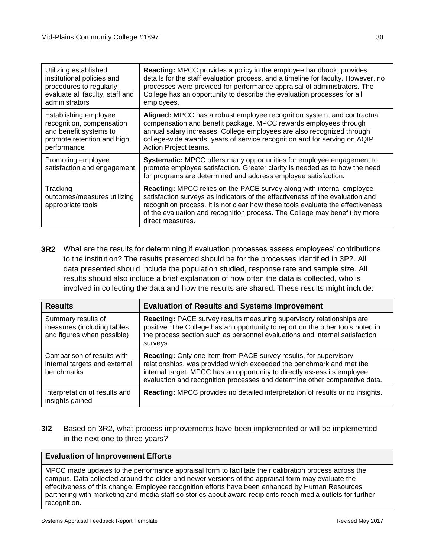| Utilizing established                                        | <b>Reacting:</b> MPCC provides a policy in the employee handbook, provides                                                                                                                                                                                                                                                                         |
|--------------------------------------------------------------|----------------------------------------------------------------------------------------------------------------------------------------------------------------------------------------------------------------------------------------------------------------------------------------------------------------------------------------------------|
| institutional policies and                                   | details for the staff evaluation process, and a timeline for faculty. However, no                                                                                                                                                                                                                                                                  |
| procedures to regularly                                      | processes were provided for performance appraisal of administrators. The                                                                                                                                                                                                                                                                           |
| evaluate all faculty, staff and                              | College has an opportunity to describe the evaluation processes for all                                                                                                                                                                                                                                                                            |
| administrators                                               | employees.                                                                                                                                                                                                                                                                                                                                         |
| Establishing employee                                        | Aligned: MPCC has a robust employee recognition system, and contractual                                                                                                                                                                                                                                                                            |
| recognition, compensation                                    | compensation and benefit package. MPCC rewards employees through                                                                                                                                                                                                                                                                                   |
| and benefit systems to                                       | annual salary increases. College employees are also recognized through                                                                                                                                                                                                                                                                             |
| promote retention and high                                   | college-wide awards, years of service recognition and for serving on AQIP                                                                                                                                                                                                                                                                          |
| performance                                                  | Action Project teams.                                                                                                                                                                                                                                                                                                                              |
| Promoting employee<br>satisfaction and engagement            | Systematic: MPCC offers many opportunities for employee engagement to<br>promote employee satisfaction. Greater clarity is needed as to how the need<br>for programs are determined and address employee satisfaction.                                                                                                                             |
| Tracking<br>outcomes/measures utilizing<br>appropriate tools | <b>Reacting:</b> MPCC relies on the PACE survey along with internal employee<br>satisfaction surveys as indicators of the effectiveness of the evaluation and<br>recognition process. It is not clear how these tools evaluate the effectiveness<br>of the evaluation and recognition process. The College may benefit by more<br>direct measures. |

**3R2** What are the results for determining if evaluation processes assess employees' contributions to the institution? The results presented should be for the processes identified in 3P2. All data presented should include the population studied, response rate and sample size. All results should also include a brief explanation of how often the data is collected, who is involved in collecting the data and how the results are shared. These results might include:

| <b>Results</b>                                                                 | <b>Evaluation of Results and Systems Improvement</b>                                                                                                                                                                                                                                                       |
|--------------------------------------------------------------------------------|------------------------------------------------------------------------------------------------------------------------------------------------------------------------------------------------------------------------------------------------------------------------------------------------------------|
| Summary results of<br>measures (including tables<br>and figures when possible) | <b>Reacting: PACE survey results measuring supervisory relationships are</b><br>positive. The College has an opportunity to report on the other tools noted in<br>the process section such as personnel evaluations and internal satisfaction<br>surveys.                                                  |
| Comparison of results with<br>internal targets and external<br>benchmarks      | <b>Reacting:</b> Only one item from PACE survey results, for supervisory<br>relationships, was provided which exceeded the benchmark and met the<br>internal target. MPCC has an opportunity to directly assess its employee<br>evaluation and recognition processes and determine other comparative data. |
| Interpretation of results and<br>insights gained                               | Reacting: MPCC provides no detailed interpretation of results or no insights.                                                                                                                                                                                                                              |

## **3I2** Based on 3R2, what process improvements have been implemented or will be implemented in the next one to three years?

## **Evaluation of Improvement Efforts**

MPCC made updates to the performance appraisal form to facilitate their calibration process across the campus. Data collected around the older and newer versions of the appraisal form may evaluate the effectiveness of this change. Employee recognition efforts have been enhanced by Human Resources partnering with marketing and media staff so stories about award recipients reach media outlets for further recognition.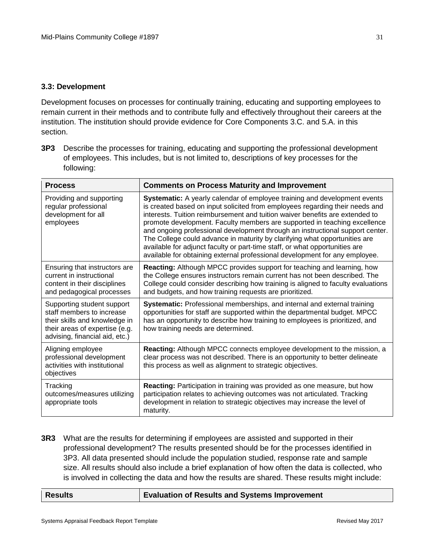## **3.3: Development**

Development focuses on processes for continually training, educating and supporting employees to remain current in their methods and to contribute fully and effectively throughout their careers at the institution. The institution should provide evidence for Core Components 3.C. and 5.A. in this section.

**3P3** Describe the processes for training, educating and supporting the professional development of employees. This includes, but is not limited to, descriptions of key processes for the following:

| <b>Process</b>                                                                                                                                               | <b>Comments on Process Maturity and Improvement</b>                                                                                                                                                                                                                                                                                                                                                                                                                                                                                                                                                                                                 |
|--------------------------------------------------------------------------------------------------------------------------------------------------------------|-----------------------------------------------------------------------------------------------------------------------------------------------------------------------------------------------------------------------------------------------------------------------------------------------------------------------------------------------------------------------------------------------------------------------------------------------------------------------------------------------------------------------------------------------------------------------------------------------------------------------------------------------------|
| Providing and supporting<br>regular professional<br>development for all<br>employees                                                                         | Systematic: A yearly calendar of employee training and development events<br>is created based on input solicited from employees regarding their needs and<br>interests. Tuition reimbursement and tuition waiver benefits are extended to<br>promote development. Faculty members are supported in teaching excellence<br>and ongoing professional development through an instructional support center.<br>The College could advance in maturity by clarifying what opportunities are<br>available for adjunct faculty or part-time staff, or what opportunities are<br>available for obtaining external professional development for any employee. |
| Ensuring that instructors are<br>current in instructional<br>content in their disciplines<br>and pedagogical processes                                       | Reacting: Although MPCC provides support for teaching and learning, how<br>the College ensures instructors remain current has not been described. The<br>College could consider describing how training is aligned to faculty evaluations<br>and budgets, and how training requests are prioritized.                                                                                                                                                                                                                                                                                                                                                |
| Supporting student support<br>staff members to increase<br>their skills and knowledge in<br>their areas of expertise (e.g.<br>advising, financial aid, etc.) | Systematic: Professional memberships, and internal and external training<br>opportunities for staff are supported within the departmental budget. MPCC<br>has an opportunity to describe how training to employees is prioritized, and<br>how training needs are determined.                                                                                                                                                                                                                                                                                                                                                                        |
| Aligning employee<br>professional development<br>activities with institutional<br>objectives                                                                 | Reacting: Although MPCC connects employee development to the mission, a<br>clear process was not described. There is an opportunity to better delineate<br>this process as well as alignment to strategic objectives.                                                                                                                                                                                                                                                                                                                                                                                                                               |
| Tracking<br>outcomes/measures utilizing<br>appropriate tools                                                                                                 | <b>Reacting:</b> Participation in training was provided as one measure, but how<br>participation relates to achieving outcomes was not articulated. Tracking<br>development in relation to strategic objectives may increase the level of<br>maturity.                                                                                                                                                                                                                                                                                                                                                                                              |

**3R3** What are the results for determining if employees are assisted and supported in their professional development? The results presented should be for the processes identified in 3P3. All data presented should include the population studied, response rate and sample size. All results should also include a brief explanation of how often the data is collected, who is involved in collecting the data and how the results are shared. These results might include:

| <b>Results</b> | <b>Evaluation of Results and Systems Improvement</b> |
|----------------|------------------------------------------------------|
|----------------|------------------------------------------------------|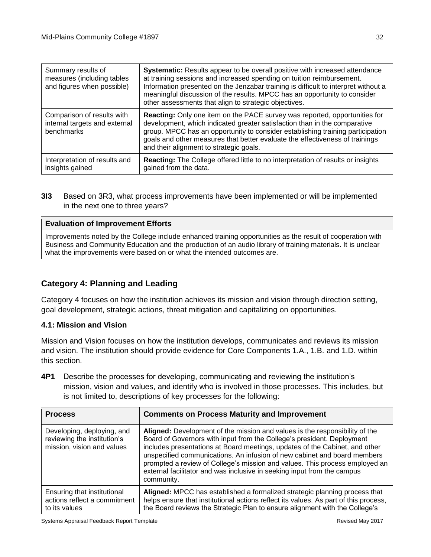| Summary results of<br>measures (including tables<br>and figures when possible) | Systematic: Results appear to be overall positive with increased attendance<br>at training sessions and increased spending on tuition reimbursement.<br>Information presented on the Jenzabar training is difficult to interpret without a<br>meaningful discussion of the results. MPCC has an opportunity to consider<br>other assessments that align to strategic objectives. |
|--------------------------------------------------------------------------------|----------------------------------------------------------------------------------------------------------------------------------------------------------------------------------------------------------------------------------------------------------------------------------------------------------------------------------------------------------------------------------|
| Comparison of results with<br>internal targets and external<br>benchmarks      | Reacting: Only one item on the PACE survey was reported, opportunities for<br>development, which indicated greater satisfaction than in the comparative<br>group. MPCC has an opportunity to consider establishing training participation<br>goals and other measures that better evaluate the effectiveness of trainings<br>and their alignment to strategic goals.             |
| Interpretation of results and<br>insights gained                               | Reacting: The College offered little to no interpretation of results or insights<br>gained from the data.                                                                                                                                                                                                                                                                        |

**3I3** Based on 3R3, what process improvements have been implemented or will be implemented in the next one to three years?

## **Evaluation of Improvement Efforts**

Improvements noted by the College include enhanced training opportunities as the result of cooperation with Business and Community Education and the production of an audio library of training materials. It is unclear what the improvements were based on or what the intended outcomes are.

## **Category 4: Planning and Leading**

Category 4 focuses on how the institution achieves its mission and vision through direction setting, goal development, strategic actions, threat mitigation and capitalizing on opportunities.

#### **4.1: Mission and Vision**

Mission and Vision focuses on how the institution develops, communicates and reviews its mission and vision. The institution should provide evidence for Core Components 1.A., 1.B. and 1.D. within this section.

**4P1** Describe the processes for developing, communicating and reviewing the institution's mission, vision and values, and identify who is involved in those processes. This includes, but is not limited to, descriptions of key processes for the following:

| <b>Process</b>                                                                          | <b>Comments on Process Maturity and Improvement</b>                                                                                                                                                                                                                                                                                                                                                                                                                                      |
|-----------------------------------------------------------------------------------------|------------------------------------------------------------------------------------------------------------------------------------------------------------------------------------------------------------------------------------------------------------------------------------------------------------------------------------------------------------------------------------------------------------------------------------------------------------------------------------------|
| Developing, deploying, and<br>reviewing the institution's<br>mission, vision and values | Aligned: Development of the mission and values is the responsibility of the<br>Board of Governors with input from the College's president. Deployment<br>includes presentations at Board meetings, updates of the Cabinet, and other<br>unspecified communications. An infusion of new cabinet and board members<br>prompted a review of College's mission and values. This process employed an<br>external facilitator and was inclusive in seeking input from the campus<br>community. |
| Ensuring that institutional<br>actions reflect a commitment<br>to its values            | Aligned: MPCC has established a formalized strategic planning process that<br>helps ensure that institutional actions reflect its values. As part of this process,<br>the Board reviews the Strategic Plan to ensure alignment with the College's                                                                                                                                                                                                                                        |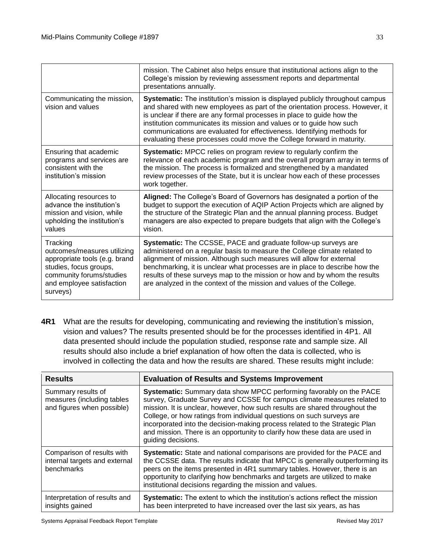|                                                                                                                                                                         | mission. The Cabinet also helps ensure that institutional actions align to the<br>College's mission by reviewing assessment reports and departmental<br>presentations annually.                                                                                                                                                                                                                                                                                              |
|-------------------------------------------------------------------------------------------------------------------------------------------------------------------------|------------------------------------------------------------------------------------------------------------------------------------------------------------------------------------------------------------------------------------------------------------------------------------------------------------------------------------------------------------------------------------------------------------------------------------------------------------------------------|
| Communicating the mission,<br>vision and values                                                                                                                         | <b>Systematic:</b> The institution's mission is displayed publicly throughout campus<br>and shared with new employees as part of the orientation process. However, it<br>is unclear if there are any formal processes in place to guide how the<br>institution communicates its mission and values or to guide how such<br>communications are evaluated for effectiveness. Identifying methods for<br>evaluating these processes could move the College forward in maturity. |
| Ensuring that academic<br>programs and services are<br>consistent with the<br>institution's mission                                                                     | <b>Systematic:</b> MPCC relies on program review to regularly confirm the<br>relevance of each academic program and the overall program array in terms of<br>the mission. The process is formalized and strengthened by a mandated<br>review processes of the State, but it is unclear how each of these processes<br>work together.                                                                                                                                         |
| Allocating resources to<br>advance the institution's<br>mission and vision, while<br>upholding the institution's<br>values                                              | Aligned: The College's Board of Governors has designated a portion of the<br>budget to support the execution of AQIP Action Projects which are aligned by<br>the structure of the Strategic Plan and the annual planning process. Budget<br>managers are also expected to prepare budgets that align with the College's<br>vision.                                                                                                                                           |
| Tracking<br>outcomes/measures utilizing<br>appropriate tools (e.g. brand<br>studies, focus groups,<br>community forums/studies<br>and employee satisfaction<br>surveys) | Systematic: The CCSSE, PACE and graduate follow-up surveys are<br>administered on a regular basis to measure the College climate related to<br>alignment of mission. Although such measures will allow for external<br>benchmarking, it is unclear what processes are in place to describe how the<br>results of these surveys map to the mission or how and by whom the results<br>are analyzed in the context of the mission and values of the College.                    |

**4R1** What are the results for developing, communicating and reviewing the institution's mission, vision and values? The results presented should be for the processes identified in 4P1. All data presented should include the population studied, response rate and sample size. All results should also include a brief explanation of how often the data is collected, who is involved in collecting the data and how the results are shared. These results might include:

| <b>Results</b>                                                                 | <b>Evaluation of Results and Systems Improvement</b>                                                                                                                                                                                                                                                                                                                                                                                                                                       |
|--------------------------------------------------------------------------------|--------------------------------------------------------------------------------------------------------------------------------------------------------------------------------------------------------------------------------------------------------------------------------------------------------------------------------------------------------------------------------------------------------------------------------------------------------------------------------------------|
| Summary results of<br>measures (including tables<br>and figures when possible) | Systematic: Summary data show MPCC performing favorably on the PACE<br>survey, Graduate Survey and CCSSE for campus climate measures related to<br>mission. It is unclear, however, how such results are shared throughout the<br>College, or how ratings from individual questions on such surveys are<br>incorporated into the decision-making process related to the Strategic Plan<br>and mission. There is an opportunity to clarify how these data are used in<br>guiding decisions. |
| Comparison of results with<br>internal targets and external<br>benchmarks      | Systematic: State and national comparisons are provided for the PACE and<br>the CCSSE data. The results indicate that MPCC is generally outperforming its<br>peers on the items presented in 4R1 summary tables. However, there is an<br>opportunity to clarifying how benchmarks and targets are utilized to make<br>institutional decisions regarding the mission and values.                                                                                                            |
| Interpretation of results and<br>insights gained                               | Systematic: The extent to which the institution's actions reflect the mission<br>has been interpreted to have increased over the last six years, as has                                                                                                                                                                                                                                                                                                                                    |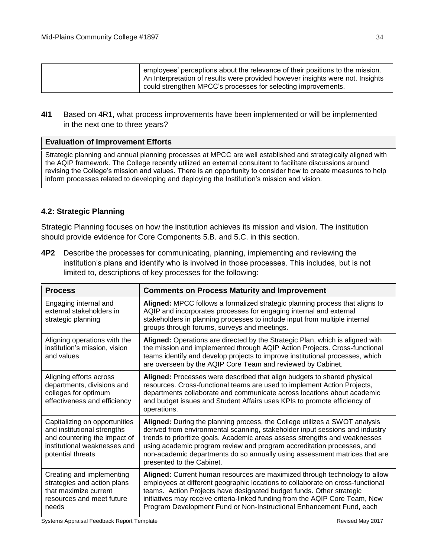| employees' perceptions about the relevance of their positions to the mission.<br>An Interpretation of results were provided however insights were not. Insights |
|-----------------------------------------------------------------------------------------------------------------------------------------------------------------|
| could strengthen MPCC's processes for selecting improvements.                                                                                                   |

**4I1** Based on 4R1, what process improvements have been implemented or will be implemented in the next one to three years?

#### **Evaluation of Improvement Efforts**

Strategic planning and annual planning processes at MPCC are well established and strategically aligned with the AQIP framework. The College recently utilized an external consultant to facilitate discussions around revising the College's mission and values. There is an opportunity to consider how to create measures to help inform processes related to developing and deploying the Institution's mission and vision.

#### **4.2: Strategic Planning**

Strategic Planning focuses on how the institution achieves its mission and vision. The institution should provide evidence for Core Components 5.B. and 5.C. in this section.

| <b>Process</b>                                                                                                                                    | <b>Comments on Process Maturity and Improvement</b>                                                                                                                                                                                                                                                                                                                                                                           |
|---------------------------------------------------------------------------------------------------------------------------------------------------|-------------------------------------------------------------------------------------------------------------------------------------------------------------------------------------------------------------------------------------------------------------------------------------------------------------------------------------------------------------------------------------------------------------------------------|
| Engaging internal and<br>external stakeholders in<br>strategic planning                                                                           | Aligned: MPCC follows a formalized strategic planning process that aligns to<br>AQIP and incorporates processes for engaging internal and external<br>stakeholders in planning processes to include input from multiple internal<br>groups through forums, surveys and meetings.                                                                                                                                              |
| Aligning operations with the<br>institution's mission, vision<br>and values                                                                       | Aligned: Operations are directed by the Strategic Plan, which is aligned with<br>the mission and implemented through AQIP Action Projects. Cross-functional<br>teams identify and develop projects to improve institutional processes, which<br>are overseen by the AQIP Core Team and reviewed by Cabinet.                                                                                                                   |
| Aligning efforts across<br>departments, divisions and<br>colleges for optimum<br>effectiveness and efficiency                                     | Aligned: Processes were described that align budgets to shared physical<br>resources. Cross-functional teams are used to implement Action Projects,<br>departments collaborate and communicate across locations about academic<br>and budget issues and Student Affairs uses KPIs to promote efficiency of<br>operations.                                                                                                     |
| Capitalizing on opportunities<br>and institutional strengths<br>and countering the impact of<br>institutional weaknesses and<br>potential threats | Aligned: During the planning process, the College utilizes a SWOT analysis<br>derived from environmental scanning, stakeholder input sessions and industry<br>trends to prioritize goals. Academic areas assess strengths and weaknesses<br>using academic program review and program accreditation processes, and<br>non-academic departments do so annually using assessment matrices that are<br>presented to the Cabinet. |
| Creating and implementing<br>strategies and action plans<br>that maximize current<br>resources and meet future<br>needs                           | Aligned: Current human resources are maximized through technology to allow<br>employees at different geographic locations to collaborate on cross-functional<br>teams. Action Projects have designated budget funds. Other strategic<br>initiatives may receive criteria-linked funding from the AQIP Core Team, New<br>Program Development Fund or Non-Instructional Enhancement Fund, each                                  |

**4P2** Describe the processes for communicating, planning, implementing and reviewing the institution's plans and identify who is involved in those processes. This includes, but is not limited to, descriptions of key processes for the following: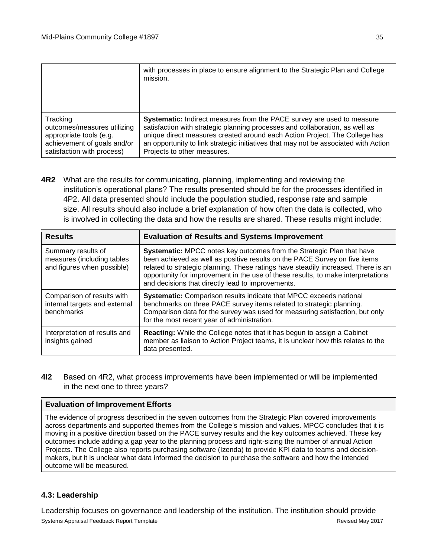|                             | with processes in place to ensure alignment to the Strategic Plan and College<br>mission. |
|-----------------------------|-------------------------------------------------------------------------------------------|
| Tracking                    | Systematic: Indirect measures from the PACE survey are used to measure                    |
| outcomes/measures utilizing | satisfaction with strategic planning processes and collaboration, as well as              |
| appropriate tools (e.g.     | unique direct measures created around each Action Project. The College has                |
| achievement of goals and/or | an opportunity to link strategic initiatives that may not be associated with Action       |
| satisfaction with process)  | Projects to other measures.                                                               |

**4R2** What are the results for communicating, planning, implementing and reviewing the institution's operational plans? The results presented should be for the processes identified in 4P2. All data presented should include the population studied, response rate and sample size. All results should also include a brief explanation of how often the data is collected, who is involved in collecting the data and how the results are shared. These results might include:

| <b>Results</b>                                                                 | <b>Evaluation of Results and Systems Improvement</b>                                                                                                                                                                                                                                                                                                                              |
|--------------------------------------------------------------------------------|-----------------------------------------------------------------------------------------------------------------------------------------------------------------------------------------------------------------------------------------------------------------------------------------------------------------------------------------------------------------------------------|
| Summary results of<br>measures (including tables<br>and figures when possible) | Systematic: MPCC notes key outcomes from the Strategic Plan that have<br>been achieved as well as positive results on the PACE Survey on five items<br>related to strategic planning. These ratings have steadily increased. There is an<br>opportunity for improvement in the use of these results, to make interpretations<br>and decisions that directly lead to improvements. |
| Comparison of results with<br>internal targets and external<br>benchmarks      | <b>Systematic:</b> Comparison results indicate that MPCC exceeds national<br>benchmarks on three PACE survey items related to strategic planning.<br>Comparison data for the survey was used for measuring satisfaction, but only<br>for the most recent year of administration.                                                                                                  |
| Interpretation of results and<br>insights gained                               | <b>Reacting:</b> While the College notes that it has begun to assign a Cabinet<br>member as liaison to Action Project teams, it is unclear how this relates to the<br>data presented.                                                                                                                                                                                             |

**4I2** Based on 4R2, what process improvements have been implemented or will be implemented in the next one to three years?

## **Evaluation of Improvement Efforts**

The evidence of progress described in the seven outcomes from the Strategic Plan covered improvements across departments and supported themes from the College's mission and values. MPCC concludes that it is moving in a positive direction based on the PACE survey results and the key outcomes achieved. These key outcomes include adding a gap year to the planning process and right-sizing the number of annual Action Projects. The College also reports purchasing software (Izenda) to provide KPI data to teams and decisionmakers, but it is unclear what data informed the decision to purchase the software and how the intended outcome will be measured.

## **4.3: Leadership**

Systems Appraisal Feedback Report Template Revised May 2017 Leadership focuses on governance and leadership of the institution. The institution should provide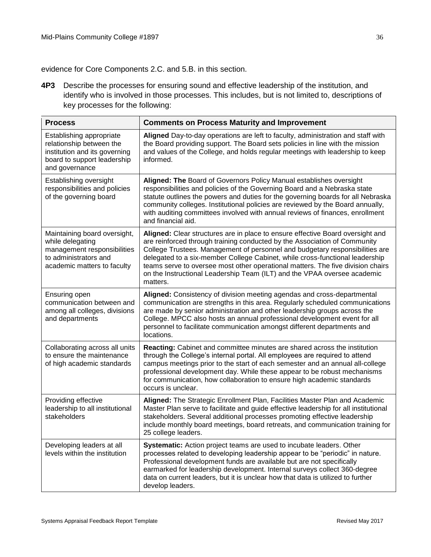evidence for Core Components 2.C. and 5.B. in this section.

**4P3** Describe the processes for ensuring sound and effective leadership of the institution, and identify who is involved in those processes. This includes, but is not limited to, descriptions of key processes for the following:

| <b>Process</b>                                                                                                                          | <b>Comments on Process Maturity and Improvement</b>                                                                                                                                                                                                                                                                                                                                                                                                                                                    |
|-----------------------------------------------------------------------------------------------------------------------------------------|--------------------------------------------------------------------------------------------------------------------------------------------------------------------------------------------------------------------------------------------------------------------------------------------------------------------------------------------------------------------------------------------------------------------------------------------------------------------------------------------------------|
| Establishing appropriate<br>relationship between the<br>institution and its governing<br>board to support leadership<br>and governance  | Aligned Day-to-day operations are left to faculty, administration and staff with<br>the Board providing support. The Board sets policies in line with the mission<br>and values of the College, and holds regular meetings with leadership to keep<br>informed.                                                                                                                                                                                                                                        |
| Establishing oversight<br>responsibilities and policies<br>of the governing board                                                       | Aligned: The Board of Governors Policy Manual establishes oversight<br>responsibilities and policies of the Governing Board and a Nebraska state<br>statute outlines the powers and duties for the governing boards for all Nebraska<br>community colleges. Institutional policies are reviewed by the Board annually,<br>with auditing committees involved with annual reviews of finances, enrollment<br>and financial aid.                                                                          |
| Maintaining board oversight,<br>while delegating<br>management responsibilities<br>to administrators and<br>academic matters to faculty | Aligned: Clear structures are in place to ensure effective Board oversight and<br>are reinforced through training conducted by the Association of Community<br>College Trustees. Management of personnel and budgetary responsibilities are<br>delegated to a six-member College Cabinet, while cross-functional leadership<br>teams serve to oversee most other operational matters. The five division chairs<br>on the Instructional Leadership Team (ILT) and the VPAA oversee academic<br>matters. |
| Ensuring open<br>communication between and<br>among all colleges, divisions<br>and departments                                          | Aligned: Consistency of division meeting agendas and cross-departmental<br>communication are strengths in this area. Regularly scheduled communications<br>are made by senior administration and other leadership groups across the<br>College. MPCC also hosts an annual professional development event for all<br>personnel to facilitate communication amongst different departments and<br>locations.                                                                                              |
| Collaborating across all units<br>to ensure the maintenance<br>of high academic standards                                               | Reacting: Cabinet and committee minutes are shared across the institution<br>through the College's internal portal. All employees are required to attend<br>campus meetings prior to the start of each semester and an annual all-college<br>professional development day. While these appear to be robust mechanisms<br>for communication, how collaboration to ensure high academic standards<br>occurs is unclear.                                                                                  |
| Providing effective<br>leadership to all institutional<br>stakeholders                                                                  | Aligned: The Strategic Enrollment Plan, Facilities Master Plan and Academic<br>Master Plan serve to facilitate and guide effective leadership for all institutional<br>stakeholders. Several additional processes promoting effective leadership<br>include monthly board meetings, board retreats, and communication training for<br>25 college leaders.                                                                                                                                              |
| Developing leaders at all<br>levels within the institution                                                                              | Systematic: Action project teams are used to incubate leaders. Other<br>processes related to developing leadership appear to be "periodic" in nature.<br>Professional development funds are available but are not specifically<br>earmarked for leadership development. Internal surveys collect 360-degree<br>data on current leaders, but it is unclear how that data is utilized to further<br>develop leaders.                                                                                     |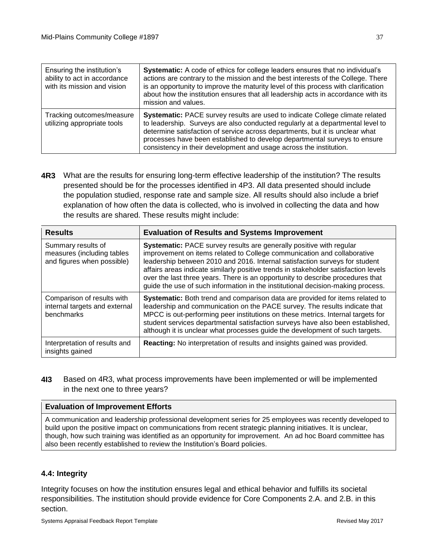| Ensuring the institution's<br>ability to act in accordance<br>with its mission and vision | Systematic: A code of ethics for college leaders ensures that no individual's<br>actions are contrary to the mission and the best interests of the College. There<br>is an opportunity to improve the maturity level of this process with clarification<br>about how the institution ensures that all leadership acts in accordance with its<br>mission and values.                               |
|-------------------------------------------------------------------------------------------|---------------------------------------------------------------------------------------------------------------------------------------------------------------------------------------------------------------------------------------------------------------------------------------------------------------------------------------------------------------------------------------------------|
| Tracking outcomes/measure<br>utilizing appropriate tools                                  | Systematic: PACE survey results are used to indicate College climate related<br>to leadership. Surveys are also conducted regularly at a departmental level to<br>determine satisfaction of service across departments, but it is unclear what<br>processes have been established to develop departmental surveys to ensure<br>consistency in their development and usage across the institution. |

**4R3** What are the results for ensuring long-term effective leadership of the institution? The results presented should be for the processes identified in 4P3. All data presented should include the population studied, response rate and sample size. All results should also include a brief explanation of how often the data is collected, who is involved in collecting the data and how the results are shared. These results might include:

| <b>Results</b>                                                                 | <b>Evaluation of Results and Systems Improvement</b>                                                                                                                                                                                                                                                                                                                                                                                                                                             |
|--------------------------------------------------------------------------------|--------------------------------------------------------------------------------------------------------------------------------------------------------------------------------------------------------------------------------------------------------------------------------------------------------------------------------------------------------------------------------------------------------------------------------------------------------------------------------------------------|
| Summary results of<br>measures (including tables<br>and figures when possible) | <b>Systematic:</b> PACE survey results are generally positive with regular<br>improvement on items related to College communication and collaborative<br>leadership between 2010 and 2016. Internal satisfaction surveys for student<br>affairs areas indicate similarly positive trends in stakeholder satisfaction levels<br>over the last three years. There is an opportunity to describe procedures that<br>guide the use of such information in the institutional decision-making process. |
| Comparison of results with<br>internal targets and external<br>benchmarks      | <b>Systematic:</b> Both trend and comparison data are provided for items related to<br>leadership and communication on the PACE survey. The results indicate that<br>MPCC is out-performing peer institutions on these metrics. Internal targets for<br>student services departmental satisfaction surveys have also been established,<br>although it is unclear what processes guide the development of such targets.                                                                           |
| Interpretation of results and<br>insights gained                               | Reacting: No interpretation of results and insights gained was provided.                                                                                                                                                                                                                                                                                                                                                                                                                         |

**4I3** Based on 4R3, what process improvements have been implemented or will be implemented in the next one to three years?

## **Evaluation of Improvement Efforts**

A communication and leadership professional development series for 25 employees was recently developed to build upon the positive impact on communications from recent strategic planning initiatives. It is unclear, though, how such training was identified as an opportunity for improvement. An ad hoc Board committee has also been recently established to review the Institution's Board policies.

## **4.4: Integrity**

Integrity focuses on how the institution ensures legal and ethical behavior and fulfills its societal responsibilities. The institution should provide evidence for Core Components 2.A. and 2.B. in this section.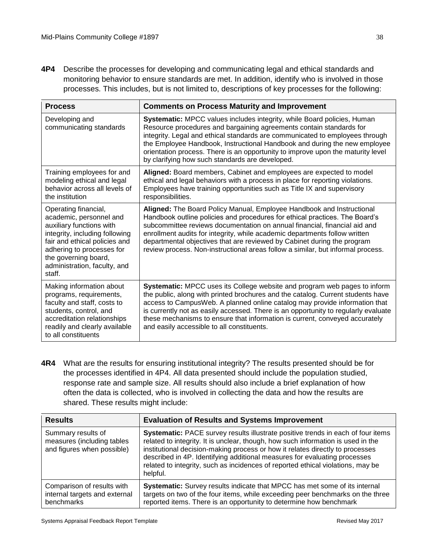**4P4** Describe the processes for developing and communicating legal and ethical standards and monitoring behavior to ensure standards are met. In addition, identify who is involved in those processes. This includes, but is not limited to, descriptions of key processes for the following:

| <b>Process</b>                                                                                                                                                                                                                                | <b>Comments on Process Maturity and Improvement</b>                                                                                                                                                                                                                                                                                                                                                                                                                           |
|-----------------------------------------------------------------------------------------------------------------------------------------------------------------------------------------------------------------------------------------------|-------------------------------------------------------------------------------------------------------------------------------------------------------------------------------------------------------------------------------------------------------------------------------------------------------------------------------------------------------------------------------------------------------------------------------------------------------------------------------|
| Developing and<br>communicating standards                                                                                                                                                                                                     | Systematic: MPCC values includes integrity, while Board policies, Human<br>Resource procedures and bargaining agreements contain standards for<br>integrity. Legal and ethical standards are communicated to employees through<br>the Employee Handbook, Instructional Handbook and during the new employee<br>orientation process. There is an opportunity to improve upon the maturity level<br>by clarifying how such standards are developed.                             |
| Training employees for and<br>modeling ethical and legal<br>behavior across all levels of<br>the institution                                                                                                                                  | Aligned: Board members, Cabinet and employees are expected to model<br>ethical and legal behaviors with a process in place for reporting violations.<br>Employees have training opportunities such as Title IX and supervisory<br>responsibilities.                                                                                                                                                                                                                           |
| Operating financial,<br>academic, personnel and<br>auxiliary functions with<br>integrity, including following<br>fair and ethical policies and<br>adhering to processes for<br>the governing board,<br>administration, faculty, and<br>staff. | Aligned: The Board Policy Manual, Employee Handbook and Instructional<br>Handbook outline policies and procedures for ethical practices. The Board's<br>subcommittee reviews documentation on annual financial, financial aid and<br>enrollment audits for integrity, while academic departments follow written<br>departmental objectives that are reviewed by Cabinet during the program<br>review process. Non-instructional areas follow a similar, but informal process. |
| Making information about<br>programs, requirements,<br>faculty and staff, costs to<br>students, control, and<br>accreditation relationships<br>readily and clearly available<br>to all constituents                                           | Systematic: MPCC uses its College website and program web pages to inform<br>the public, along with printed brochures and the catalog. Current students have<br>access to CampusWeb. A planned online catalog may provide information that<br>is currently not as easily accessed. There is an opportunity to regularly evaluate<br>these mechanisms to ensure that information is current, conveyed accurately<br>and easily accessible to all constituents.                 |

**4R4** What are the results for ensuring institutional integrity? The results presented should be for the processes identified in 4P4. All data presented should include the population studied, response rate and sample size. All results should also include a brief explanation of how often the data is collected, who is involved in collecting the data and how the results are shared. These results might include:

| <b>Results</b>                                                                 | <b>Evaluation of Results and Systems Improvement</b>                                                                                                                                                                                                                                                                                                                                                                              |
|--------------------------------------------------------------------------------|-----------------------------------------------------------------------------------------------------------------------------------------------------------------------------------------------------------------------------------------------------------------------------------------------------------------------------------------------------------------------------------------------------------------------------------|
| Summary results of<br>measures (including tables<br>and figures when possible) | Systematic: PACE survey results illustrate positive trends in each of four items<br>related to integrity. It is unclear, though, how such information is used in the<br>institutional decision-making process or how it relates directly to processes<br>described in 4P. Identifying additional measures for evaluating processes<br>related to integrity, such as incidences of reported ethical violations, may be<br>helpful. |
| Comparison of results with<br>internal targets and external<br>benchmarks      | Systematic: Survey results indicate that MPCC has met some of its internal<br>targets on two of the four items, while exceeding peer benchmarks on the three<br>reported items. There is an opportunity to determine how benchmark                                                                                                                                                                                                |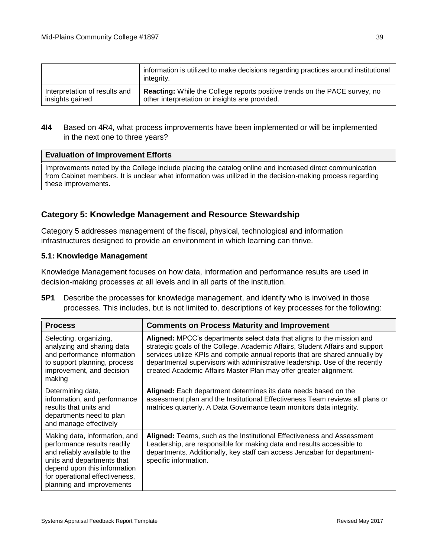|                               | information is utilized to make decisions regarding practices around institutional<br>integrity. |
|-------------------------------|--------------------------------------------------------------------------------------------------|
| Interpretation of results and | <b>Reacting:</b> While the College reports positive trends on the PACE survey, no                |
| insights gained               | other interpretation or insights are provided.                                                   |

## **4I4** Based on 4R4, what process improvements have been implemented or will be implemented in the next one to three years?

#### **Evaluation of Improvement Efforts**

Improvements noted by the College include placing the catalog online and increased direct communication from Cabinet members. It is unclear what information was utilized in the decision-making process regarding these improvements.

## **Category 5: Knowledge Management and Resource Stewardship**

Category 5 addresses management of the fiscal, physical, technological and information infrastructures designed to provide an environment in which learning can thrive.

#### **5.1: Knowledge Management**

Knowledge Management focuses on how data, information and performance results are used in decision-making processes at all levels and in all parts of the institution.

**5P1** Describe the processes for knowledge management, and identify who is involved in those processes. This includes, but is not limited to, descriptions of key processes for the following:

| <b>Process</b>                                                                                                                                                                                                             | <b>Comments on Process Maturity and Improvement</b>                                                                                                                                                                                                                                                                                                                                          |
|----------------------------------------------------------------------------------------------------------------------------------------------------------------------------------------------------------------------------|----------------------------------------------------------------------------------------------------------------------------------------------------------------------------------------------------------------------------------------------------------------------------------------------------------------------------------------------------------------------------------------------|
| Selecting, organizing,<br>analyzing and sharing data<br>and performance information<br>to support planning, process<br>improvement, and decision<br>making                                                                 | Aligned: MPCC's departments select data that aligns to the mission and<br>strategic goals of the College. Academic Affairs, Student Affairs and support<br>services utilize KPIs and compile annual reports that are shared annually by<br>departmental supervisors with administrative leadership. Use of the recently<br>created Academic Affairs Master Plan may offer greater alignment. |
| Determining data,<br>information, and performance<br>results that units and<br>departments need to plan<br>and manage effectively                                                                                          | Aligned: Each department determines its data needs based on the<br>assessment plan and the Institutional Effectiveness Team reviews all plans or<br>matrices quarterly. A Data Governance team monitors data integrity.                                                                                                                                                                      |
| Making data, information, and<br>performance results readily<br>and reliably available to the<br>units and departments that<br>depend upon this information<br>for operational effectiveness,<br>planning and improvements | Aligned: Teams, such as the Institutional Effectiveness and Assessment<br>Leadership, are responsible for making data and results accessible to<br>departments. Additionally, key staff can access Jenzabar for department-<br>specific information.                                                                                                                                         |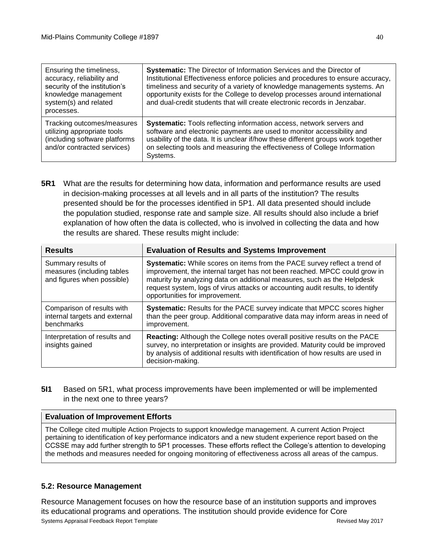| Ensuring the timeliness,<br>accuracy, reliability and<br>security of the institution's<br>knowledge management<br>system(s) and related<br>processes. | <b>Systematic:</b> The Director of Information Services and the Director of<br>Institutional Effectiveness enforce policies and procedures to ensure accuracy,<br>timeliness and security of a variety of knowledge managements systems. An<br>opportunity exists for the College to develop processes around international<br>and dual-credit students that will create electronic records in Jenzabar. |
|-------------------------------------------------------------------------------------------------------------------------------------------------------|----------------------------------------------------------------------------------------------------------------------------------------------------------------------------------------------------------------------------------------------------------------------------------------------------------------------------------------------------------------------------------------------------------|
| Tracking outcomes/measures<br>utilizing appropriate tools<br>(including software platforms<br>and/or contracted services)                             | Systematic: Tools reflecting information access, network servers and<br>software and electronic payments are used to monitor accessibility and<br>usability of the data. It is unclear if/how these different groups work together<br>on selecting tools and measuring the effectiveness of College Information<br>Systems.                                                                              |

**5R1** What are the results for determining how data, information and performance results are used in decision-making processes at all levels and in all parts of the institution? The results presented should be for the processes identified in 5P1. All data presented should include the population studied, response rate and sample size. All results should also include a brief explanation of how often the data is collected, who is involved in collecting the data and how the results are shared. These results might include:

| <b>Results</b>                                                                 | <b>Evaluation of Results and Systems Improvement</b>                                                                                                                                                                                                                                                                                                  |
|--------------------------------------------------------------------------------|-------------------------------------------------------------------------------------------------------------------------------------------------------------------------------------------------------------------------------------------------------------------------------------------------------------------------------------------------------|
| Summary results of<br>measures (including tables<br>and figures when possible) | Systematic: While scores on items from the PACE survey reflect a trend of<br>improvement, the internal target has not been reached. MPCC could grow in<br>maturity by analyzing data on additional measures, such as the Helpdesk<br>request system, logs of virus attacks or accounting audit results, to identify<br>opportunities for improvement. |
| Comparison of results with<br>internal targets and external<br>benchmarks      | Systematic: Results for the PACE survey indicate that MPCC scores higher<br>than the peer group. Additional comparative data may inform areas in need of<br>improvement.                                                                                                                                                                              |
| Interpretation of results and<br>insights gained                               | Reacting: Although the College notes overall positive results on the PACE<br>survey, no interpretation or insights are provided. Maturity could be improved<br>by analysis of additional results with identification of how results are used in<br>decision-making.                                                                                   |

**5I1** Based on 5R1, what process improvements have been implemented or will be implemented in the next one to three years?

## **Evaluation of Improvement Efforts**

The College cited multiple Action Projects to support knowledge management. A current Action Project pertaining to identification of key performance indicators and a new student experience report based on the CCSSE may add further strength to 5P1 processes. These efforts reflect the College's attention to developing the methods and measures needed for ongoing monitoring of effectiveness across all areas of the campus.

## **5.2: Resource Management**

Systems Appraisal Feedback Report Template Revised May 2017 Resource Management focuses on how the resource base of an institution supports and improves its educational programs and operations. The institution should provide evidence for Core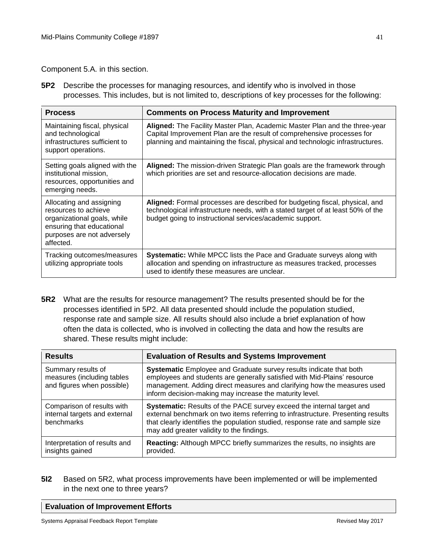Component 5.A. in this section.

**5P2** Describe the processes for managing resources, and identify who is involved in those processes. This includes, but is not limited to, descriptions of key processes for the following:

| <b>Process</b>                                                                                                                                          | <b>Comments on Process Maturity and Improvement</b>                                                                                                                                                                                    |
|---------------------------------------------------------------------------------------------------------------------------------------------------------|----------------------------------------------------------------------------------------------------------------------------------------------------------------------------------------------------------------------------------------|
| Maintaining fiscal, physical<br>and technological<br>infrastructures sufficient to<br>support operations.                                               | Aligned: The Facility Master Plan, Academic Master Plan and the three-year<br>Capital Improvement Plan are the result of comprehensive processes for<br>planning and maintaining the fiscal, physical and technologic infrastructures. |
| Setting goals aligned with the<br>institutional mission,<br>resources, opportunities and<br>emerging needs.                                             | Aligned: The mission-driven Strategic Plan goals are the framework through<br>which priorities are set and resource-allocation decisions are made.                                                                                     |
| Allocating and assigning<br>resources to achieve<br>organizational goals, while<br>ensuring that educational<br>purposes are not adversely<br>affected. | Aligned: Formal processes are described for budgeting fiscal, physical, and<br>technological infrastructure needs, with a stated target of at least 50% of the<br>budget going to instructional services/academic support.             |
| Tracking outcomes/measures<br>utilizing appropriate tools                                                                                               | <b>Systematic:</b> While MPCC lists the Pace and Graduate surveys along with<br>allocation and spending on infrastructure as measures tracked, processes<br>used to identify these measures are unclear.                               |

**5R2** What are the results for resource management? The results presented should be for the processes identified in 5P2. All data presented should include the population studied, response rate and sample size. All results should also include a brief explanation of how often the data is collected, who is involved in collecting the data and how the results are shared. These results might include:

| <b>Results</b>                                                                 | <b>Evaluation of Results and Systems Improvement</b>                                                                                                                                                                                                                                   |
|--------------------------------------------------------------------------------|----------------------------------------------------------------------------------------------------------------------------------------------------------------------------------------------------------------------------------------------------------------------------------------|
| Summary results of<br>measures (including tables<br>and figures when possible) | Systematic Employee and Graduate survey results indicate that both<br>employees and students are generally satisfied with Mid-Plains' resource<br>management. Adding direct measures and clarifying how the measures used<br>inform decision-making may increase the maturity level.   |
| Comparison of results with<br>internal targets and external<br>benchmarks      | Systematic: Results of the PACE survey exceed the internal target and<br>external benchmark on two items referring to infrastructure. Presenting results<br>that clearly identifies the population studied, response rate and sample size<br>may add greater validity to the findings. |
| Interpretation of results and<br>insights gained                               | Reacting: Although MPCC briefly summarizes the results, no insights are<br>provided.                                                                                                                                                                                                   |

**5I2** Based on 5R2, what process improvements have been implemented or will be implemented in the next one to three years?

#### **Evaluation of Improvement Efforts**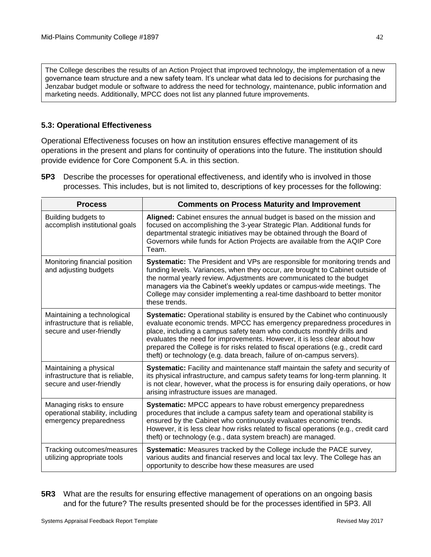The College describes the results of an Action Project that improved technology, the implementation of a new governance team structure and a new safety team. It's unclear what data led to decisions for purchasing the Jenzabar budget module or software to address the need for technology, maintenance, public information and marketing needs. Additionally, MPCC does not list any planned future improvements.

## **5.3: Operational Effectiveness**

Operational Effectiveness focuses on how an institution ensures effective management of its operations in the present and plans for continuity of operations into the future. The institution should provide evidence for Core Component 5.A. in this section.

**5P3** Describe the processes for operational effectiveness, and identify who is involved in those processes. This includes, but is not limited to, descriptions of key processes for the following:

| <b>Process</b>                                                                              | <b>Comments on Process Maturity and Improvement</b>                                                                                                                                                                                                                                                                                                                                                                                                                         |
|---------------------------------------------------------------------------------------------|-----------------------------------------------------------------------------------------------------------------------------------------------------------------------------------------------------------------------------------------------------------------------------------------------------------------------------------------------------------------------------------------------------------------------------------------------------------------------------|
| Building budgets to<br>accomplish institutional goals                                       | Aligned: Cabinet ensures the annual budget is based on the mission and<br>focused on accomplishing the 3-year Strategic Plan. Additional funds for<br>departmental strategic initiatives may be obtained through the Board of<br>Governors while funds for Action Projects are available from the AQIP Core<br>Team.                                                                                                                                                        |
| Monitoring financial position<br>and adjusting budgets                                      | Systematic: The President and VPs are responsible for monitoring trends and<br>funding levels. Variances, when they occur, are brought to Cabinet outside of<br>the normal yearly review. Adjustments are communicated to the budget<br>managers via the Cabinet's weekly updates or campus-wide meetings. The<br>College may consider implementing a real-time dashboard to better monitor<br>these trends.                                                                |
| Maintaining a technological<br>infrastructure that is reliable,<br>secure and user-friendly | Systematic: Operational stability is ensured by the Cabinet who continuously<br>evaluate economic trends. MPCC has emergency preparedness procedures in<br>place, including a campus safety team who conducts monthly drills and<br>evaluates the need for improvements. However, it is less clear about how<br>prepared the College is for risks related to fiscal operations (e.g., credit card<br>theft) or technology (e.g. data breach, failure of on-campus servers). |
| Maintaining a physical<br>infrastructure that is reliable,<br>secure and user-friendly      | Systematic: Facility and maintenance staff maintain the safety and security of<br>its physical infrastructure, and campus safety teams for long-term planning. It<br>is not clear, however, what the process is for ensuring daily operations, or how<br>arising infrastructure issues are managed.                                                                                                                                                                         |
| Managing risks to ensure<br>operational stability, including<br>emergency preparedness      | Systematic: MPCC appears to have robust emergency preparedness<br>procedures that include a campus safety team and operational stability is<br>ensured by the Cabinet who continuously evaluates economic trends.<br>However, it is less clear how risks related to fiscal operations (e.g., credit card<br>theft) or technology (e.g., data system breach) are managed.                                                                                                    |
| Tracking outcomes/measures<br>utilizing appropriate tools                                   | Systematic: Measures tracked by the College include the PACE survey,<br>various audits and financial reserves and local tax levy. The College has an<br>opportunity to describe how these measures are used                                                                                                                                                                                                                                                                 |

**5R3** What are the results for ensuring effective management of operations on an ongoing basis and for the future? The results presented should be for the processes identified in 5P3. All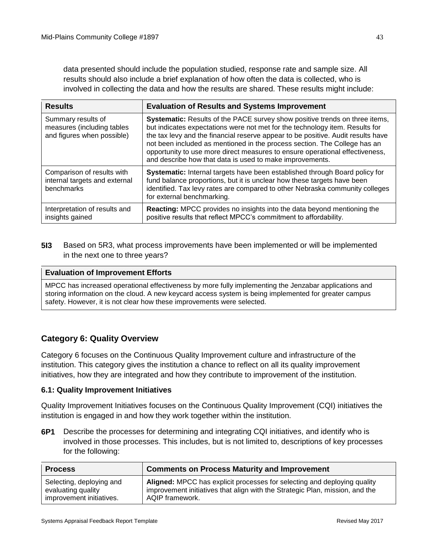data presented should include the population studied, response rate and sample size. All results should also include a brief explanation of how often the data is collected, who is involved in collecting the data and how the results are shared. These results might include:

| <b>Results</b>                                                                 | <b>Evaluation of Results and Systems Improvement</b>                                                                                                                                                                                                                                                                                                                                                                                                                     |
|--------------------------------------------------------------------------------|--------------------------------------------------------------------------------------------------------------------------------------------------------------------------------------------------------------------------------------------------------------------------------------------------------------------------------------------------------------------------------------------------------------------------------------------------------------------------|
| Summary results of<br>measures (including tables<br>and figures when possible) | Systematic: Results of the PACE survey show positive trends on three items,<br>but indicates expectations were not met for the technology item. Results for<br>the tax levy and the financial reserve appear to be positive. Audit results have<br>not been included as mentioned in the process section. The College has an<br>opportunity to use more direct measures to ensure operational effectiveness,<br>and describe how that data is used to make improvements. |
| Comparison of results with<br>internal targets and external<br>benchmarks      | <b>Systematic:</b> Internal targets have been established through Board policy for<br>fund balance proportions, but it is unclear how these targets have been<br>identified. Tax levy rates are compared to other Nebraska community colleges<br>for external benchmarking.                                                                                                                                                                                              |
| Interpretation of results and<br>insights gained                               | Reacting: MPCC provides no insights into the data beyond mentioning the<br>positive results that reflect MPCC's commitment to affordability.                                                                                                                                                                                                                                                                                                                             |

**5I3** Based on 5R3, what process improvements have been implemented or will be implemented in the next one to three years?

#### **Evaluation of Improvement Efforts**

MPCC has increased operational effectiveness by more fully implementing the Jenzabar applications and storing information on the cloud. A new keycard access system is being implemented for greater campus safety. However, it is not clear how these improvements were selected.

## **Category 6: Quality Overview**

Category 6 focuses on the Continuous Quality Improvement culture and infrastructure of the institution. This category gives the institution a chance to reflect on all its quality improvement initiatives, how they are integrated and how they contribute to improvement of the institution.

#### **6.1: Quality Improvement Initiatives**

Quality Improvement Initiatives focuses on the Continuous Quality Improvement (CQI) initiatives the institution is engaged in and how they work together within the institution.

**6P1** Describe the processes for determining and integrating CQI initiatives, and identify who is involved in those processes. This includes, but is not limited to, descriptions of key processes for the following:

| <b>Process</b>           | <b>Comments on Process Maturity and Improvement</b>                          |
|--------------------------|------------------------------------------------------------------------------|
| Selecting, deploying and | Aligned: MPCC has explicit processes for selecting and deploying quality     |
| evaluating quality       | improvement initiatives that align with the Strategic Plan, mission, and the |
| improvement initiatives. | AQIP framework.                                                              |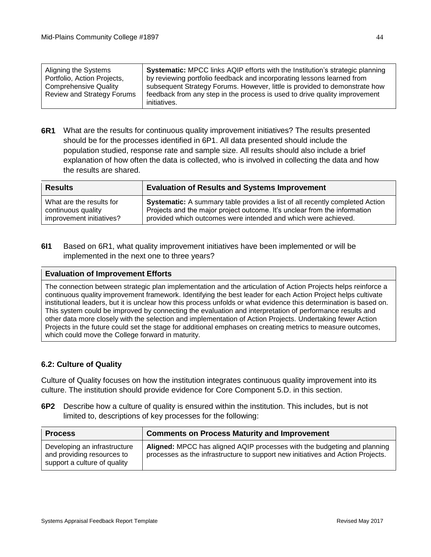| Aligning the Systems         | <b>Systematic:</b> MPCC links AQIP efforts with the Institution's strategic planning |
|------------------------------|--------------------------------------------------------------------------------------|
| Portfolio, Action Projects,  | by reviewing portfolio feedback and incorporating lessons learned from               |
| <b>Comprehensive Quality</b> | subsequent Strategy Forums. However, little is provided to demonstrate how           |
| Review and Strategy Forums   | feedback from any step in the process is used to drive quality improvement           |
|                              | initiatives.                                                                         |

**6R1** What are the results for continuous quality improvement initiatives? The results presented should be for the processes identified in 6P1. All data presented should include the population studied, response rate and sample size. All results should also include a brief explanation of how often the data is collected, who is involved in collecting the data and how the results are shared.

| <b>Results</b>           | <b>Evaluation of Results and Systems Improvement</b>                                |
|--------------------------|-------------------------------------------------------------------------------------|
| What are the results for | <b>Systematic:</b> A summary table provides a list of all recently completed Action |
| continuous quality       | Projects and the major project outcome. It's unclear from the information           |
| improvement initiatives? | provided which outcomes were intended and which were achieved.                      |

**6I1** Based on 6R1, what quality improvement initiatives have been implemented or will be implemented in the next one to three years?

#### **Evaluation of Improvement Efforts**

The connection between strategic plan implementation and the articulation of Action Projects helps reinforce a continuous quality improvement framework. Identifying the best leader for each Action Project helps cultivate institutional leaders, but it is unclear how this process unfolds or what evidence this determination is based on. This system could be improved by connecting the evaluation and interpretation of performance results and other data more closely with the selection and implementation of Action Projects. Undertaking fewer Action Projects in the future could set the stage for additional emphases on creating metrics to measure outcomes, which could move the College forward in maturity.

#### **6.2: Culture of Quality**

Culture of Quality focuses on how the institution integrates continuous quality improvement into its culture. The institution should provide evidence for Core Component 5.D. in this section.

**6P2** Describe how a culture of quality is ensured within the institution. This includes, but is not limited to, descriptions of key processes for the following:

| <b>Process</b>                                                                             | <b>Comments on Process Maturity and Improvement</b>                                                                                                         |
|--------------------------------------------------------------------------------------------|-------------------------------------------------------------------------------------------------------------------------------------------------------------|
| Developing an infrastructure<br>and providing resources to<br>support a culture of quality | Aligned: MPCC has aligned AQIP processes with the budgeting and planning<br>processes as the infrastructure to support new initiatives and Action Projects. |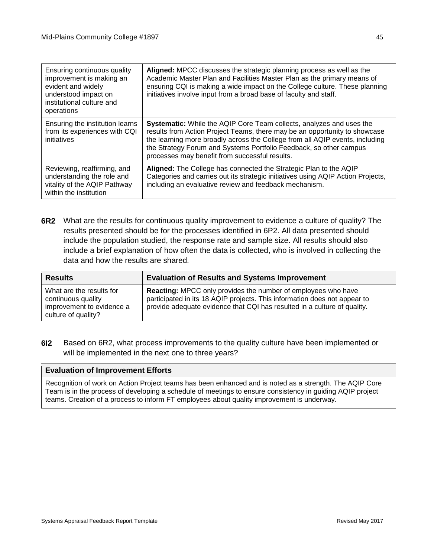| Ensuring continuous quality<br>improvement is making an<br>evident and widely<br>understood impact on<br>institutional culture and<br>operations | Aligned: MPCC discusses the strategic planning process as well as the<br>Academic Master Plan and Facilities Master Plan as the primary means of<br>ensuring CQI is making a wide impact on the College culture. These planning<br>initiatives involve input from a broad base of faculty and staff.                                                              |
|--------------------------------------------------------------------------------------------------------------------------------------------------|-------------------------------------------------------------------------------------------------------------------------------------------------------------------------------------------------------------------------------------------------------------------------------------------------------------------------------------------------------------------|
| Ensuring the institution learns<br>from its experiences with CQI<br>initiatives                                                                  | <b>Systematic:</b> While the AQIP Core Team collects, analyzes and uses the<br>results from Action Project Teams, there may be an opportunity to showcase<br>the learning more broadly across the College from all AQIP events, including<br>the Strategy Forum and Systems Portfolio Feedback, so other campus<br>processes may benefit from successful results. |
| Reviewing, reaffirming, and<br>understanding the role and<br>vitality of the AQIP Pathway<br>within the institution                              | Aligned: The College has connected the Strategic Plan to the AQIP<br>Categories and carries out its strategic initiatives using AQIP Action Projects,<br>including an evaluative review and feedback mechanism.                                                                                                                                                   |

**6R2** What are the results for continuous quality improvement to evidence a culture of quality? The results presented should be for the processes identified in 6P2. All data presented should include the population studied, the response rate and sample size. All results should also include a brief explanation of how often the data is collected, who is involved in collecting the data and how the results are shared.

| <b>Results</b>                                                                                     | <b>Evaluation of Results and Systems Improvement</b>                                                                                                                                                                          |
|----------------------------------------------------------------------------------------------------|-------------------------------------------------------------------------------------------------------------------------------------------------------------------------------------------------------------------------------|
| What are the results for<br>continuous quality<br>improvement to evidence a<br>culture of quality? | <b>Reacting:</b> MPCC only provides the number of employees who have<br>participated in its 18 AQIP projects. This information does not appear to<br>provide adequate evidence that CQI has resulted in a culture of quality. |

**6I2** Based on 6R2, what process improvements to the quality culture have been implemented or will be implemented in the next one to three years?

#### **Evaluation of Improvement Efforts**

Recognition of work on Action Project teams has been enhanced and is noted as a strength. The AQIP Core Team is in the process of developing a schedule of meetings to ensure consistency in guiding AQIP project teams. Creation of a process to inform FT employees about quality improvement is underway.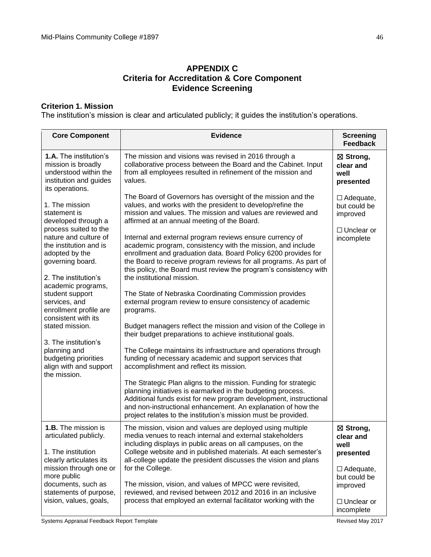## **APPENDIX C Criteria for Accreditation & Core Component Evidence Screening**

## **Criterion 1. Mission**

The institution's mission is clear and articulated publicly; it guides the institution's operations.

| <b>Core Component</b>                                                                                                                                                                                                                                                                                                                                                                                                                   | <b>Evidence</b>                                                                                                                                                                                                                                                                                                                                                                                                                                                                                                                                                                                                                                                                                                                                                                                                                                                                                                                                                                                                                                                                                                                                                                                                                                                                                                                                                                                     | <b>Screening</b><br><b>Feedback</b>                                                                                            |
|-----------------------------------------------------------------------------------------------------------------------------------------------------------------------------------------------------------------------------------------------------------------------------------------------------------------------------------------------------------------------------------------------------------------------------------------|-----------------------------------------------------------------------------------------------------------------------------------------------------------------------------------------------------------------------------------------------------------------------------------------------------------------------------------------------------------------------------------------------------------------------------------------------------------------------------------------------------------------------------------------------------------------------------------------------------------------------------------------------------------------------------------------------------------------------------------------------------------------------------------------------------------------------------------------------------------------------------------------------------------------------------------------------------------------------------------------------------------------------------------------------------------------------------------------------------------------------------------------------------------------------------------------------------------------------------------------------------------------------------------------------------------------------------------------------------------------------------------------------------|--------------------------------------------------------------------------------------------------------------------------------|
| <b>1.A.</b> The institution's<br>mission is broadly<br>understood within the<br>institution and guides<br>its operations.                                                                                                                                                                                                                                                                                                               | The mission and visions was revised in 2016 through a<br>collaborative process between the Board and the Cabinet. Input<br>from all employees resulted in refinement of the mission and<br>values.                                                                                                                                                                                                                                                                                                                                                                                                                                                                                                                                                                                                                                                                                                                                                                                                                                                                                                                                                                                                                                                                                                                                                                                                  | ⊠ Strong,<br>clear and<br>well<br>presented                                                                                    |
| 1. The mission<br>statement is<br>developed through a<br>process suited to the<br>nature and culture of<br>the institution and is<br>adopted by the<br>governing board.<br>2. The institution's<br>academic programs,<br>student support<br>services, and<br>enrollment profile are<br>consistent with its<br>stated mission.<br>3. The institution's<br>planning and<br>budgeting priorities<br>align with and support<br>the mission. | The Board of Governors has oversight of the mission and the<br>values, and works with the president to develop/refine the<br>mission and values. The mission and values are reviewed and<br>affirmed at an annual meeting of the Board.<br>Internal and external program reviews ensure currency of<br>academic program, consistency with the mission, and include<br>enrollment and graduation data. Board Policy 6200 provides for<br>the Board to receive program reviews for all programs. As part of<br>this policy, the Board must review the program's consistency with<br>the institutional mission.<br>The State of Nebraska Coordinating Commission provides<br>external program review to ensure consistency of academic<br>programs.<br>Budget managers reflect the mission and vision of the College in<br>their budget preparations to achieve institutional goals.<br>The College maintains its infrastructure and operations through<br>funding of necessary academic and support services that<br>accomplishment and reflect its mission.<br>The Strategic Plan aligns to the mission. Funding for strategic<br>planning initiatives is earmarked in the budgeting process.<br>Additional funds exist for new program development, instructional<br>and non-instructional enhancement. An explanation of how the<br>project relates to the institution's mission must be provided. | $\Box$ Adequate,<br>but could be<br>improved<br>$\Box$ Unclear or<br>incomplete                                                |
| 1.B. The mission is<br>articulated publicly.<br>1. The institution<br>clearly articulates its<br>mission through one or<br>more public<br>documents, such as<br>statements of purpose,<br>vision, values, goals,                                                                                                                                                                                                                        | The mission, vision and values are deployed using multiple<br>media venues to reach internal and external stakeholders<br>including displays in public areas on all campuses, on the<br>College website and in published materials. At each semester's<br>all-college update the president discusses the vision and plans<br>for the College.<br>The mission, vision, and values of MPCC were revisited,<br>reviewed, and revised between 2012 and 2016 in an inclusive<br>process that employed an external facilitator working with the                                                                                                                                                                                                                                                                                                                                                                                                                                                                                                                                                                                                                                                                                                                                                                                                                                                           | ⊠ Strong,<br>clear and<br>well<br>presented<br>$\Box$ Adequate,<br>but could be<br>improved<br>$\Box$ Unclear or<br>incomplete |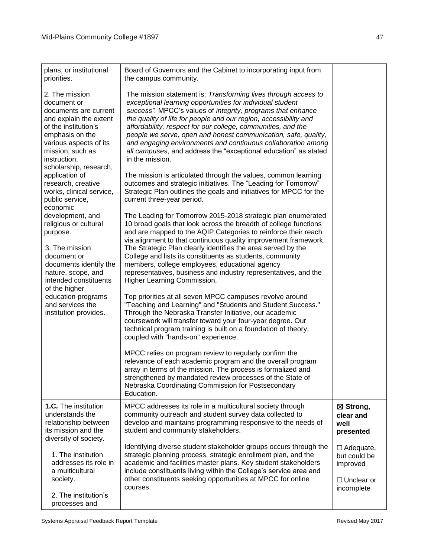| plans, or institutional<br>priorities.                                                                                                                                                                                                                                                  | Board of Governors and the Cabinet to incorporating input from<br>the campus community.                                                                                                                                                                                                                                                                                                                                                                                                                                                                                                                                                                                                                                                                                                                                                                                     |                                                                   |
|-----------------------------------------------------------------------------------------------------------------------------------------------------------------------------------------------------------------------------------------------------------------------------------------|-----------------------------------------------------------------------------------------------------------------------------------------------------------------------------------------------------------------------------------------------------------------------------------------------------------------------------------------------------------------------------------------------------------------------------------------------------------------------------------------------------------------------------------------------------------------------------------------------------------------------------------------------------------------------------------------------------------------------------------------------------------------------------------------------------------------------------------------------------------------------------|-------------------------------------------------------------------|
| 2. The mission<br>document or<br>documents are current<br>and explain the extent<br>of the institution's<br>emphasis on the<br>various aspects of its<br>mission, such as<br>instruction,<br>scholarship, research,<br>application of<br>research, creative<br>works, clinical service, | The mission statement is: Transforming lives through access to<br>exceptional learning opportunities for individual student<br>success". MPCC's values of integrity, programs that enhance<br>the quality of life for people and our region, accessibility and<br>affordability, respect for our college, communities, and the<br>people we serve, open and honest communication, safe, quality,<br>and engaging environments and continuous collaboration among<br>all campuses, and address the "exceptional education" as stated<br>in the mission.<br>The mission is articulated through the values, common learning<br>outcomes and strategic initiatives. The "Leading for Tomorrow"<br>Strategic Plan outlines the goals and initiatives for MPCC for the                                                                                                            |                                                                   |
| public service,                                                                                                                                                                                                                                                                         | current three-year period.                                                                                                                                                                                                                                                                                                                                                                                                                                                                                                                                                                                                                                                                                                                                                                                                                                                  |                                                                   |
| economic<br>development, and<br>religious or cultural<br>purpose.<br>3. The mission<br>document or<br>documents identify the<br>nature, scope, and<br>intended constituents<br>of the higher<br>education programs<br>and services the<br>institution provides.                         | The Leading for Tomorrow 2015-2018 strategic plan enumerated<br>10 broad goals that look across the breadth of college functions<br>and are mapped to the AQIP Categories to reinforce their reach<br>via alignment to that continuous quality improvement framework.<br>The Strategic Plan clearly identifies the area served by the<br>College and lists its constituents as students, community<br>members, college employees, educational agency<br>representatives, business and industry representatives, and the<br>Higher Learning Commission.<br>Top priorities at all seven MPCC campuses revolve around<br>"Teaching and Learning" and "Students and Student Success."<br>Through the Nebraska Transfer Initiative, our academic<br>coursework will transfer toward your four-year degree. Our<br>technical program training is built on a foundation of theory, |                                                                   |
|                                                                                                                                                                                                                                                                                         | coupled with "hands-on" experience.<br>MPCC relies on program review to regularly confirm the<br>relevance of each academic program and the overall program<br>array in terms of the mission. The process is formalized and<br>strengthened by mandated review processes of the State of<br>Nebraska Coordinating Commission for Postsecondary<br>Education.                                                                                                                                                                                                                                                                                                                                                                                                                                                                                                                |                                                                   |
| 1.C. The institution<br>understands the<br>relationship between<br>its mission and the<br>diversity of society.                                                                                                                                                                         | MPCC addresses its role in a multicultural society through<br>community outreach and student survey data collected to<br>develop and maintains programming responsive to the needs of<br>student and community stakeholders.                                                                                                                                                                                                                                                                                                                                                                                                                                                                                                                                                                                                                                                | ⊠ Strong,<br>clear and<br>well<br>presented                       |
| 1. The institution<br>addresses its role in<br>a multicultural<br>society.                                                                                                                                                                                                              | Identifying diverse student stakeholder groups occurs through the<br>strategic planning process, strategic enrollment plan, and the<br>academic and facilities master plans. Key student stakeholders<br>include constituents living within the College's service area and<br>other constituents seeking opportunities at MPCC for online<br>courses.                                                                                                                                                                                                                                                                                                                                                                                                                                                                                                                       | $\Box$ Adequate,<br>but could be<br>improved<br>$\Box$ Unclear or |
| 2. The institution's<br>processes and                                                                                                                                                                                                                                                   |                                                                                                                                                                                                                                                                                                                                                                                                                                                                                                                                                                                                                                                                                                                                                                                                                                                                             | incomplete                                                        |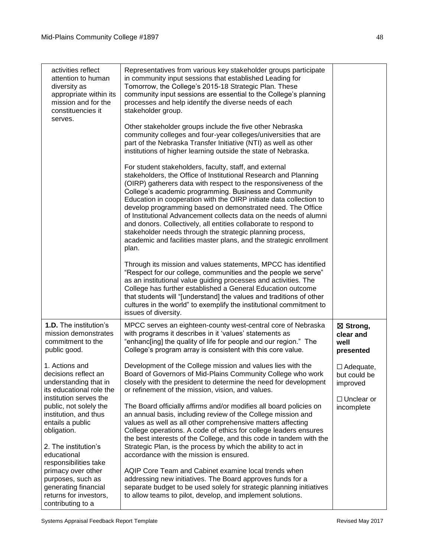| activities reflect<br>attention to human<br>diversity as<br>appropriate within its<br>mission and for the<br>constituencies it<br>serves. | Representatives from various key stakeholder groups participate<br>in community input sessions that established Leading for<br>Tomorrow, the College's 2015-18 Strategic Plan. These<br>community input sessions are essential to the College's planning<br>processes and help identify the diverse needs of each<br>stakeholder group.                                                                                                                                                                                                                                                                                                                                         |                                              |
|-------------------------------------------------------------------------------------------------------------------------------------------|---------------------------------------------------------------------------------------------------------------------------------------------------------------------------------------------------------------------------------------------------------------------------------------------------------------------------------------------------------------------------------------------------------------------------------------------------------------------------------------------------------------------------------------------------------------------------------------------------------------------------------------------------------------------------------|----------------------------------------------|
|                                                                                                                                           | Other stakeholder groups include the five other Nebraska<br>community colleges and four-year colleges/universities that are<br>part of the Nebraska Transfer Initiative (NTI) as well as other<br>institutions of higher learning outside the state of Nebraska.                                                                                                                                                                                                                                                                                                                                                                                                                |                                              |
|                                                                                                                                           | For student stakeholders, faculty, staff, and external<br>stakeholders, the Office of Institutional Research and Planning<br>(OIRP) gatherers data with respect to the responsiveness of the<br>College's academic programming. Business and Community<br>Education in cooperation with the OIRP initiate data collection to<br>develop programming based on demonstrated need. The Office<br>of Institutional Advancement collects data on the needs of alumni<br>and donors. Collectively, all entities collaborate to respond to<br>stakeholder needs through the strategic planning process,<br>academic and facilities master plans, and the strategic enrollment<br>plan. |                                              |
|                                                                                                                                           | Through its mission and values statements, MPCC has identified<br>"Respect for our college, communities and the people we serve"<br>as an institutional value guiding processes and activities. The<br>College has further established a General Education outcome<br>that students will "[understand] the values and traditions of other<br>cultures in the world" to exemplify the institutional commitment to<br>issues of diversity.                                                                                                                                                                                                                                        |                                              |
| 1.D. The institution's<br>mission demonstrates<br>commitment to the<br>public good.                                                       | MPCC serves an eighteen-county west-central core of Nebraska<br>with programs it describes in it 'values' statements as<br>"enhanc[ing] the quality of life for people and our region." The<br>College's program array is consistent with this core value.                                                                                                                                                                                                                                                                                                                                                                                                                      | ⊠ Strong,<br>clear and<br>well<br>presented  |
| 1. Actions and<br>decisions reflect an<br>understanding that in<br>its educational role the<br>institution serves the                     | Development of the College mission and values lies with the<br>Board of Governors of Mid-Plains Community College who work<br>closely with the president to determine the need for development<br>or refinement of the mission, vision, and values.                                                                                                                                                                                                                                                                                                                                                                                                                             | $\Box$ Adequate,<br>but could be<br>improved |
| public, not solely the<br>institution, and thus<br>entails a public<br>obligation.                                                        | The Board officially affirms and/or modifies all board policies on<br>an annual basis, including review of the College mission and<br>values as well as all other comprehensive matters affecting<br>College operations. A code of ethics for college leaders ensures<br>the best interests of the College, and this code in tandem with the                                                                                                                                                                                                                                                                                                                                    | $\Box$ Unclear or<br>incomplete              |
| 2. The institution's<br>educational<br>responsibilities take                                                                              | Strategic Plan, is the process by which the ability to act in<br>accordance with the mission is ensured.                                                                                                                                                                                                                                                                                                                                                                                                                                                                                                                                                                        |                                              |
| primacy over other<br>purposes, such as<br>generating financial<br>returns for investors,<br>contributing to a                            | AQIP Core Team and Cabinet examine local trends when<br>addressing new initiatives. The Board approves funds for a<br>separate budget to be used solely for strategic planning initiatives<br>to allow teams to pilot, develop, and implement solutions.                                                                                                                                                                                                                                                                                                                                                                                                                        |                                              |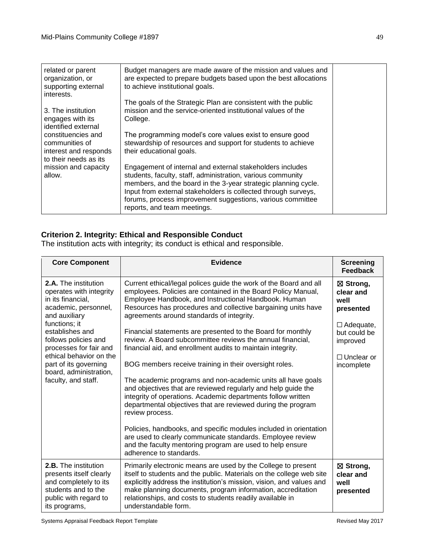| related or parent<br>organization, or<br>supporting external<br>interests.             | Budget managers are made aware of the mission and values and<br>are expected to prepare budgets based upon the best allocations<br>to achieve institutional goals.                                                                                                                                                                                        |  |
|----------------------------------------------------------------------------------------|-----------------------------------------------------------------------------------------------------------------------------------------------------------------------------------------------------------------------------------------------------------------------------------------------------------------------------------------------------------|--|
| 3. The institution<br>engages with its<br>identified external                          | The goals of the Strategic Plan are consistent with the public<br>mission and the service-oriented institutional values of the<br>College.                                                                                                                                                                                                                |  |
| constituencies and<br>communities of<br>interest and responds<br>to their needs as its | The programming model's core values exist to ensure good<br>stewardship of resources and support for students to achieve<br>their educational goals.                                                                                                                                                                                                      |  |
| mission and capacity<br>allow.                                                         | Engagement of internal and external stakeholders includes<br>students, faculty, staff, administration, various community<br>members, and the board in the 3-year strategic planning cycle.<br>Input from external stakeholders is collected through surveys,<br>forums, process improvement suggestions, various committee<br>reports, and team meetings. |  |

## **Criterion 2. Integrity: Ethical and Responsible Conduct**

The institution acts with integrity; its conduct is ethical and responsible.

| <b>Core Component</b>                                                                                                                                                                                                                                                                                    | <b>Evidence</b>                                                                                                                                                                                                                                                                                                                                                                                                                                                                                                                                                                                                                                                                                                                                                                                                                                                                                                                                                                                                                                                              | <b>Screening</b><br><b>Feedback</b>                                                                                            |
|----------------------------------------------------------------------------------------------------------------------------------------------------------------------------------------------------------------------------------------------------------------------------------------------------------|------------------------------------------------------------------------------------------------------------------------------------------------------------------------------------------------------------------------------------------------------------------------------------------------------------------------------------------------------------------------------------------------------------------------------------------------------------------------------------------------------------------------------------------------------------------------------------------------------------------------------------------------------------------------------------------------------------------------------------------------------------------------------------------------------------------------------------------------------------------------------------------------------------------------------------------------------------------------------------------------------------------------------------------------------------------------------|--------------------------------------------------------------------------------------------------------------------------------|
| 2.A. The institution<br>operates with integrity<br>in its financial,<br>academic, personnel,<br>and auxiliary<br>functions; it<br>establishes and<br>follows policies and<br>processes for fair and<br>ethical behavior on the<br>part of its governing<br>board, administration,<br>faculty, and staff. | Current ethical/legal polices guide the work of the Board and all<br>employees. Policies are contained in the Board Policy Manual,<br>Employee Handbook, and Instructional Handbook. Human<br>Resources has procedures and collective bargaining units have<br>agreements around standards of integrity.<br>Financial statements are presented to the Board for monthly<br>review. A Board subcommittee reviews the annual financial,<br>financial aid, and enrollment audits to maintain integrity.<br>BOG members receive training in their oversight roles.<br>The academic programs and non-academic units all have goals<br>and objectives that are reviewed regularly and help guide the<br>integrity of operations. Academic departments follow written<br>departmental objectives that are reviewed during the program<br>review process.<br>Policies, handbooks, and specific modules included in orientation<br>are used to clearly communicate standards. Employee review<br>and the faculty mentoring program are used to help ensure<br>adherence to standards. | ⊠ Strong,<br>clear and<br>well<br>presented<br>$\Box$ Adequate,<br>but could be<br>improved<br>$\Box$ Unclear or<br>incomplete |
| <b>2.B.</b> The institution<br>presents itself clearly<br>and completely to its<br>students and to the<br>public with regard to<br>its programs,                                                                                                                                                         | Primarily electronic means are used by the College to present<br>itself to students and the public. Materials on the college web site<br>explicitly address the institution's mission, vision, and values and<br>make planning documents, program information, accreditation<br>relationships, and costs to students readily available in<br>understandable form.                                                                                                                                                                                                                                                                                                                                                                                                                                                                                                                                                                                                                                                                                                            | ⊠ Strong,<br>clear and<br>well<br>presented                                                                                    |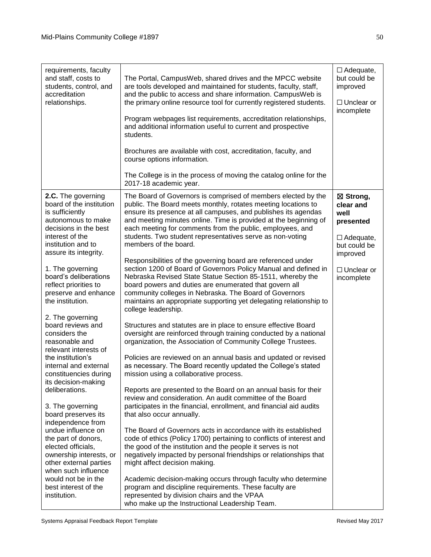| requirements, faculty                                                                                                                                                                                                                                                                                                                                                                                                                                                                                                                                                                                                                                                                                                                                                                                   | The Portal, CampusWeb, shared drives and the MPCC website                                                                                                                                                                                                                                                                                                                                                                                                                                                                                                                                                                                                                                                                                                                                                                                                                                                                                                                                                                                                                                                                                                                                                                                                                                                                                                                                                                                                                                                                                                                                                                                                                                                                                                                                                                                                                                                                                                                                                     | $\Box$ Adequate,<br>but could be                                                                                               |
|---------------------------------------------------------------------------------------------------------------------------------------------------------------------------------------------------------------------------------------------------------------------------------------------------------------------------------------------------------------------------------------------------------------------------------------------------------------------------------------------------------------------------------------------------------------------------------------------------------------------------------------------------------------------------------------------------------------------------------------------------------------------------------------------------------|---------------------------------------------------------------------------------------------------------------------------------------------------------------------------------------------------------------------------------------------------------------------------------------------------------------------------------------------------------------------------------------------------------------------------------------------------------------------------------------------------------------------------------------------------------------------------------------------------------------------------------------------------------------------------------------------------------------------------------------------------------------------------------------------------------------------------------------------------------------------------------------------------------------------------------------------------------------------------------------------------------------------------------------------------------------------------------------------------------------------------------------------------------------------------------------------------------------------------------------------------------------------------------------------------------------------------------------------------------------------------------------------------------------------------------------------------------------------------------------------------------------------------------------------------------------------------------------------------------------------------------------------------------------------------------------------------------------------------------------------------------------------------------------------------------------------------------------------------------------------------------------------------------------------------------------------------------------------------------------------------------------|--------------------------------------------------------------------------------------------------------------------------------|
| and staff, costs to<br>students, control, and<br>accreditation<br>relationships.                                                                                                                                                                                                                                                                                                                                                                                                                                                                                                                                                                                                                                                                                                                        | are tools developed and maintained for students, faculty, staff,<br>and the public to access and share information. CampusWeb is<br>the primary online resource tool for currently registered students.<br>Program webpages list requirements, accreditation relationships,<br>and additional information useful to current and prospective<br>students.<br>Brochures are available with cost, accreditation, faculty, and<br>course options information.<br>The College is in the process of moving the catalog online for the<br>2017-18 academic year.                                                                                                                                                                                                                                                                                                                                                                                                                                                                                                                                                                                                                                                                                                                                                                                                                                                                                                                                                                                                                                                                                                                                                                                                                                                                                                                                                                                                                                                     | improved<br>$\Box$ Unclear or<br>incomplete                                                                                    |
| 2.C. The governing<br>board of the institution<br>is sufficiently<br>autonomous to make<br>decisions in the best<br>interest of the<br>institution and to<br>assure its integrity.<br>1. The governing<br>board's deliberations<br>reflect priorities to<br>preserve and enhance<br>the institution.<br>2. The governing<br>board reviews and<br>considers the<br>reasonable and<br>relevant interests of<br>the institution's<br>internal and external<br>constituencies during<br>its decision-making<br>deliberations.<br>3. The governing<br>board preserves its<br>independence from<br>undue influence on<br>the part of donors,<br>elected officials,<br>ownership interests, or<br>other external parties<br>when such influence<br>would not be in the<br>best interest of the<br>institution. | The Board of Governors is comprised of members elected by the<br>public. The Board meets monthly, rotates meeting locations to<br>ensure its presence at all campuses, and publishes its agendas<br>and meeting minutes online. Time is provided at the beginning of<br>each meeting for comments from the public, employees, and<br>students. Two student representatives serve as non-voting<br>members of the board.<br>Responsibilities of the governing board are referenced under<br>section 1200 of Board of Governors Policy Manual and defined in<br>Nebraska Revised State Statue Section 85-1511, whereby the<br>board powers and duties are enumerated that govern all<br>community colleges in Nebraska. The Board of Governors<br>maintains an appropriate supporting yet delegating relationship to<br>college leadership.<br>Structures and statutes are in place to ensure effective Board<br>oversight are reinforced through training conducted by a national<br>organization, the Association of Community College Trustees.<br>Policies are reviewed on an annual basis and updated or revised<br>as necessary. The Board recently updated the College's stated<br>mission using a collaborative process.<br>Reports are presented to the Board on an annual basis for their<br>review and consideration. An audit committee of the Board<br>participates in the financial, enrollment, and financial aid audits<br>that also occur annually.<br>The Board of Governors acts in accordance with its established<br>code of ethics (Policy 1700) pertaining to conflicts of interest and<br>the good of the institution and the people it serves is not<br>negatively impacted by personal friendships or relationships that<br>might affect decision making.<br>Academic decision-making occurs through faculty who determine<br>program and discipline requirements. These faculty are<br>represented by division chairs and the VPAA<br>who make up the Instructional Leadership Team. | ⊠ Strong,<br>clear and<br>well<br>presented<br>$\Box$ Adequate,<br>but could be<br>improved<br>$\Box$ Unclear or<br>incomplete |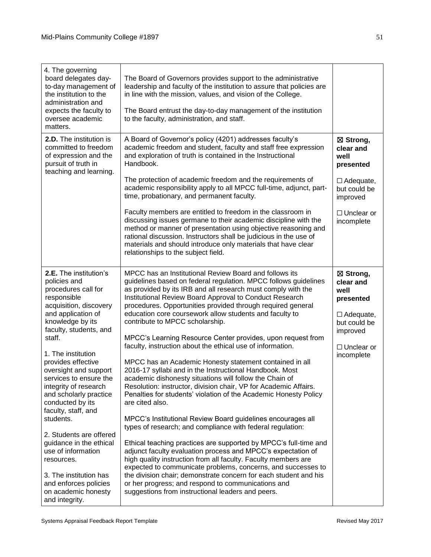| 4. The governing<br>board delegates day-<br>to-day management of<br>the institution to the<br>administration and<br>expects the faculty to<br>oversee academic<br>matters.                             | The Board of Governors provides support to the administrative<br>leadership and faculty of the institution to assure that policies are<br>in line with the mission, values, and vision of the College.<br>The Board entrust the day-to-day management of the institution<br>to the faculty, administration, and staff.                                                                                                                                                                                                                         |                                                                                                                  |
|--------------------------------------------------------------------------------------------------------------------------------------------------------------------------------------------------------|------------------------------------------------------------------------------------------------------------------------------------------------------------------------------------------------------------------------------------------------------------------------------------------------------------------------------------------------------------------------------------------------------------------------------------------------------------------------------------------------------------------------------------------------|------------------------------------------------------------------------------------------------------------------|
| 2.D. The institution is<br>committed to freedom<br>of expression and the<br>pursuit of truth in<br>teaching and learning.                                                                              | A Board of Governor's policy (4201) addresses faculty's<br>academic freedom and student, faculty and staff free expression<br>and exploration of truth is contained in the Instructional<br>Handbook.<br>The protection of academic freedom and the requirements of<br>academic responsibility apply to all MPCC full-time, adjunct, part-<br>time, probationary, and permanent faculty.                                                                                                                                                       | ⊠ Strong,<br>clear and<br>well<br>presented<br>$\Box$ Adequate,<br>but could be<br>improved                      |
|                                                                                                                                                                                                        | Faculty members are entitled to freedom in the classroom in<br>discussing issues germane to their academic discipline with the<br>method or manner of presentation using objective reasoning and<br>rational discussion. Instructors shall be judicious in the use of<br>materials and should introduce only materials that have clear<br>relationships to the subject field.                                                                                                                                                                  | $\Box$ Unclear or<br>incomplete                                                                                  |
| 2.E. The institution's<br>policies and<br>procedures call for<br>responsible<br>acquisition, discovery<br>and application of<br>knowledge by its<br>faculty, students, and<br>staff.                   | MPCC has an Institutional Review Board and follows its<br>guidelines based on federal regulation. MPCC follows guidelines<br>as provided by its IRB and all research must comply with the<br>Institutional Review Board Approval to Conduct Research<br>procedures. Opportunities provided through required general<br>education core coursework allow students and faculty to<br>contribute to MPCC scholarship.<br>MPCC's Learning Resource Center provides, upon request from<br>faculty, instruction about the ethical use of information. | ⊠ Strong,<br>clear and<br>well<br>presented<br>$\Box$ Adequate,<br>but could be<br>improved<br>$\Box$ Unclear or |
| 1. The institution<br>provides effective<br>oversight and support<br>services to ensure the<br>integrity of research<br>and scholarly practice<br>conducted by its<br>faculty, staff, and<br>students. | MPCC has an Academic Honesty statement contained in all<br>2016-17 syllabi and in the Instructional Handbook. Most<br>academic dishonesty situations will follow the Chain of<br>Resolution: instructor, division chair, VP for Academic Affairs.<br>Penalties for students' violation of the Academic Honesty Policy<br>are cited also.<br>MPCC's Institutional Review Board guidelines encourages all                                                                                                                                        | incomplete                                                                                                       |
| 2. Students are offered<br>guidance in the ethical<br>use of information<br>resources.<br>3. The institution has<br>and enforces policies<br>on academic honesty<br>and integrity.                     | types of research; and compliance with federal regulation:<br>Ethical teaching practices are supported by MPCC's full-time and<br>adjunct faculty evaluation process and MPCC's expectation of<br>high quality instruction from all faculty. Faculty members are<br>expected to communicate problems, concerns, and successes to<br>the division chair; demonstrate concern for each student and his<br>or her progress; and respond to communications and<br>suggestions from instructional leaders and peers.                                |                                                                                                                  |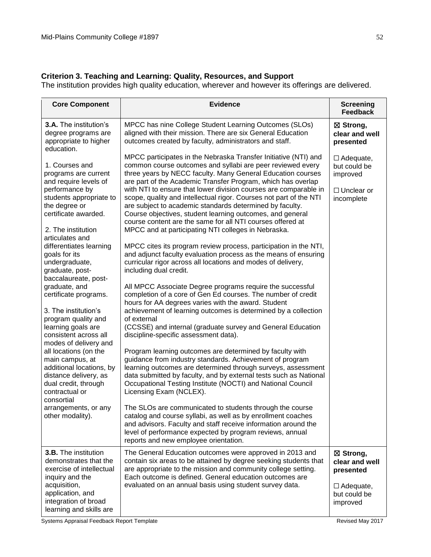## **Criterion 3. Teaching and Learning: Quality, Resources, and Support**

The institution provides high quality education, wherever and however its offerings are delivered.

| <b>Core Component</b>                                                                                                                                                                                                                                                                                                                                                                                                                                                                                                                                          | <b>Evidence</b>                                                                                                                                                                                                                                                                                                                                                                                                                                                                                                                                                                                                                                                                                                                                                                                                                                                                                                                                                                                                                                                                                                                                                                                                                                                                                                                                                                                                                                            | <b>Screening</b><br><b>Feedback</b>                                                      |
|----------------------------------------------------------------------------------------------------------------------------------------------------------------------------------------------------------------------------------------------------------------------------------------------------------------------------------------------------------------------------------------------------------------------------------------------------------------------------------------------------------------------------------------------------------------|------------------------------------------------------------------------------------------------------------------------------------------------------------------------------------------------------------------------------------------------------------------------------------------------------------------------------------------------------------------------------------------------------------------------------------------------------------------------------------------------------------------------------------------------------------------------------------------------------------------------------------------------------------------------------------------------------------------------------------------------------------------------------------------------------------------------------------------------------------------------------------------------------------------------------------------------------------------------------------------------------------------------------------------------------------------------------------------------------------------------------------------------------------------------------------------------------------------------------------------------------------------------------------------------------------------------------------------------------------------------------------------------------------------------------------------------------------|------------------------------------------------------------------------------------------|
| 3.A. The institution's<br>degree programs are<br>appropriate to higher                                                                                                                                                                                                                                                                                                                                                                                                                                                                                         | MPCC has nine College Student Learning Outcomes (SLOs)<br>aligned with their mission. There are six General Education<br>outcomes created by faculty, administrators and staff.                                                                                                                                                                                                                                                                                                                                                                                                                                                                                                                                                                                                                                                                                                                                                                                                                                                                                                                                                                                                                                                                                                                                                                                                                                                                            | ⊠ Strong,<br>clear and well<br>presented                                                 |
| education.<br>1. Courses and<br>programs are current<br>and require levels of<br>performance by<br>students appropriate to<br>the degree or<br>certificate awarded.<br>2. The institution<br>articulates and<br>differentiates learning<br>goals for its<br>undergraduate,<br>graduate, post-<br>baccalaureate, post-<br>graduate, and<br>certificate programs.<br>3. The institution's<br>program quality and<br>learning goals are<br>consistent across all<br>modes of delivery and<br>all locations (on the<br>main campus, at<br>additional locations, by | MPCC participates in the Nebraska Transfer Initiative (NTI) and<br>common course outcomes and syllabi are peer reviewed every<br>three years by NECC faculty. Many General Education courses<br>are part of the Academic Transfer Program, which has overlap<br>with NTI to ensure that lower division courses are comparable in<br>scope, quality and intellectual rigor. Courses not part of the NTI<br>are subject to academic standards determined by faculty.<br>Course objectives, student learning outcomes, and general<br>course content are the same for all NTI courses offered at<br>MPCC and at participating NTI colleges in Nebraska.<br>MPCC cites its program review process, participation in the NTI,<br>and adjunct faculty evaluation process as the means of ensuring<br>curricular rigor across all locations and modes of delivery,<br>including dual credit.<br>All MPCC Associate Degree programs require the successful<br>completion of a core of Gen Ed courses. The number of credit<br>hours for AA degrees varies with the award. Student<br>achievement of learning outcomes is determined by a collection<br>of external<br>(CCSSE) and internal (graduate survey and General Education<br>discipline-specific assessment data).<br>Program learning outcomes are determined by faculty with<br>guidance from industry standards. Achievement of program<br>learning outcomes are determined through surveys, assessment | $\Box$ Adequate,<br>but could be<br>improved<br>$\Box$ Unclear or<br>incomplete          |
| distance delivery, as<br>dual credit, through<br>contractual or<br>consortial                                                                                                                                                                                                                                                                                                                                                                                                                                                                                  | data submitted by faculty, and by external tests such as National<br>Occupational Testing Institute (NOCTI) and National Council<br>Licensing Exam (NCLEX).                                                                                                                                                                                                                                                                                                                                                                                                                                                                                                                                                                                                                                                                                                                                                                                                                                                                                                                                                                                                                                                                                                                                                                                                                                                                                                |                                                                                          |
| arrangements, or any<br>other modality).                                                                                                                                                                                                                                                                                                                                                                                                                                                                                                                       | The SLOs are communicated to students through the course<br>catalog and course syllabi, as well as by enrollment coaches<br>and advisors. Faculty and staff receive information around the<br>level of performance expected by program reviews, annual<br>reports and new employee orientation.                                                                                                                                                                                                                                                                                                                                                                                                                                                                                                                                                                                                                                                                                                                                                                                                                                                                                                                                                                                                                                                                                                                                                            |                                                                                          |
| 3.B. The institution<br>demonstrates that the<br>exercise of intellectual<br>inquiry and the<br>acquisition,<br>application, and<br>integration of broad<br>learning and skills are                                                                                                                                                                                                                                                                                                                                                                            | The General Education outcomes were approved in 2013 and<br>contain six areas to be attained by degree seeking students that<br>are appropriate to the mission and community college setting.<br>Each outcome is defined. General education outcomes are<br>evaluated on an annual basis using student survey data.                                                                                                                                                                                                                                                                                                                                                                                                                                                                                                                                                                                                                                                                                                                                                                                                                                                                                                                                                                                                                                                                                                                                        | ⊠ Strong,<br>clear and well<br>presented<br>$\Box$ Adequate,<br>but could be<br>improved |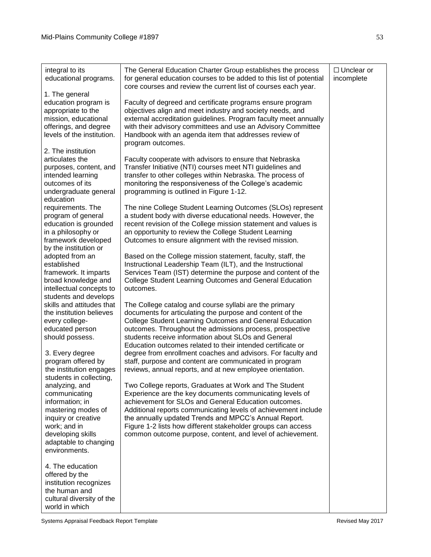| integral to its<br>educational programs.                                                                                                                                                                  | The General Education Charter Group establishes the process<br>for general education courses to be added to this list of potential<br>core courses and review the current list of courses each year.                                                                                                                                                                                                                                | $\Box$ Unclear or<br>incomplete |
|-----------------------------------------------------------------------------------------------------------------------------------------------------------------------------------------------------------|-------------------------------------------------------------------------------------------------------------------------------------------------------------------------------------------------------------------------------------------------------------------------------------------------------------------------------------------------------------------------------------------------------------------------------------|---------------------------------|
| 1. The general<br>education program is<br>appropriate to the<br>mission, educational<br>offerings, and degree<br>levels of the institution.<br>2. The institution                                         | Faculty of degreed and certificate programs ensure program<br>objectives align and meet industry and society needs, and<br>external accreditation guidelines. Program faculty meet annually<br>with their advisory committees and use an Advisory Committee<br>Handbook with an agenda item that addresses review of<br>program outcomes.                                                                                           |                                 |
| articulates the<br>purposes, content, and<br>intended learning<br>outcomes of its<br>undergraduate general<br>education                                                                                   | Faculty cooperate with advisors to ensure that Nebraska<br>Transfer Initiative (NTI) courses meet NTI guidelines and<br>transfer to other colleges within Nebraska. The process of<br>monitoring the responsiveness of the College's academic<br>programming is outlined in Figure 1-12.                                                                                                                                            |                                 |
| requirements. The<br>program of general<br>education is grounded<br>in a philosophy or<br>framework developed<br>by the institution or                                                                    | The nine College Student Learning Outcomes (SLOs) represent<br>a student body with diverse educational needs. However, the<br>recent revision of the College mission statement and values is<br>an opportunity to review the College Student Learning<br>Outcomes to ensure alignment with the revised mission.                                                                                                                     |                                 |
| adopted from an<br>established<br>framework. It imparts<br>broad knowledge and<br>intellectual concepts to<br>students and develops                                                                       | Based on the College mission statement, faculty, staff, the<br>Instructional Leadership Team (ILT), and the Instructional<br>Services Team (IST) determine the purpose and content of the<br>College Student Learning Outcomes and General Education<br>outcomes.                                                                                                                                                                   |                                 |
| skills and attitudes that<br>the institution believes<br>every college-<br>educated person<br>should possess.                                                                                             | The College catalog and course syllabi are the primary<br>documents for articulating the purpose and content of the<br>College Student Learning Outcomes and General Education<br>outcomes. Throughout the admissions process, prospective<br>students receive information about SLOs and General<br>Education outcomes related to their intended certificate or                                                                    |                                 |
| 3. Every degree<br>program offered by<br>the institution engages                                                                                                                                          | degree from enrollment coaches and advisors. For faculty and<br>staff, purpose and content are communicated in program<br>reviews, annual reports, and at new employee orientation.                                                                                                                                                                                                                                                 |                                 |
| students in collecting,<br>analyzing, and<br>communicating<br>information; in<br>mastering modes of<br>inquiry or creative<br>work; and in<br>developing skills<br>adaptable to changing<br>environments. | Two College reports, Graduates at Work and The Student<br>Experience are the key documents communicating levels of<br>achievement for SLOs and General Education outcomes.<br>Additional reports communicating levels of achievement include<br>the annually updated Trends and MPCC's Annual Report.<br>Figure 1-2 lists how different stakeholder groups can access<br>common outcome purpose, content, and level of achievement. |                                 |
| 4. The education<br>offered by the<br>institution recognizes<br>the human and<br>cultural diversity of the<br>world in which                                                                              |                                                                                                                                                                                                                                                                                                                                                                                                                                     |                                 |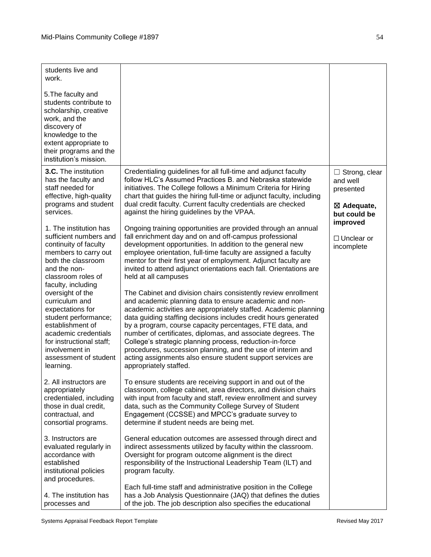| students live and<br>work.<br>5. The faculty and<br>students contribute to<br>scholarship, creative<br>work, and the<br>discovery of<br>knowledge to the<br>extent appropriate to<br>their programs and the                                                                                                                                                                                                                                                                                                                                                                                         |                                                                                                                                                                                                                                                                                                                                                                                                                                                                                                                                                                                                                                                                                                                                                                                                                                                                                                                                                                                                                                                                                                                                                                                                                                                                                                                                                                                                                                                                                               |                                                                                                                                       |
|-----------------------------------------------------------------------------------------------------------------------------------------------------------------------------------------------------------------------------------------------------------------------------------------------------------------------------------------------------------------------------------------------------------------------------------------------------------------------------------------------------------------------------------------------------------------------------------------------------|-----------------------------------------------------------------------------------------------------------------------------------------------------------------------------------------------------------------------------------------------------------------------------------------------------------------------------------------------------------------------------------------------------------------------------------------------------------------------------------------------------------------------------------------------------------------------------------------------------------------------------------------------------------------------------------------------------------------------------------------------------------------------------------------------------------------------------------------------------------------------------------------------------------------------------------------------------------------------------------------------------------------------------------------------------------------------------------------------------------------------------------------------------------------------------------------------------------------------------------------------------------------------------------------------------------------------------------------------------------------------------------------------------------------------------------------------------------------------------------------------|---------------------------------------------------------------------------------------------------------------------------------------|
| institution's mission.<br><b>3.C.</b> The institution<br>has the faculty and<br>staff needed for<br>effective, high-quality<br>programs and student<br>services.<br>1. The institution has<br>sufficient numbers and<br>continuity of faculty<br>members to carry out<br>both the classroom<br>and the non-<br>classroom roles of<br>faculty, including<br>oversight of the<br>curriculum and<br>expectations for<br>student performance;<br>establishment of<br>academic credentials<br>for instructional staff;<br>involvement in<br>assessment of student<br>learning.<br>2. All instructors are | Credentialing guidelines for all full-time and adjunct faculty<br>follow HLC's Assumed Practices B. and Nebraska statewide<br>initiatives. The College follows a Minimum Criteria for Hiring<br>chart that guides the hiring full-time or adjunct faculty, including<br>dual credit faculty. Current faculty credentials are checked<br>against the hiring guidelines by the VPAA.<br>Ongoing training opportunities are provided through an annual<br>fall enrichment day and on and off-campus professional<br>development opportunities. In addition to the general new<br>employee orientation, full-time faculty are assigned a faculty<br>mentor for their first year of employment. Adjunct faculty are<br>invited to attend adjunct orientations each fall. Orientations are<br>held at all campuses<br>The Cabinet and division chairs consistently review enrollment<br>and academic planning data to ensure academic and non-<br>academic activities are appropriately staffed. Academic planning<br>data guiding staffing decisions includes credit hours generated<br>by a program, course capacity percentages, FTE data, and<br>number of certificates, diplomas, and associate degrees. The<br>College's strategic planning process, reduction-in-force<br>procedures, succession planning, and the use of interim and<br>acting assignments also ensure student support services are<br>appropriately staffed.<br>To ensure students are receiving support in and out of the | $\Box$ Strong, clear<br>and well<br>presented<br>$\boxtimes$ Adequate,<br>but could be<br>improved<br>$\Box$ Unclear or<br>incomplete |
| appropriately<br>credentialed, including<br>those in dual credit,<br>contractual, and<br>consortial programs.<br>3. Instructors are<br>evaluated regularly in<br>accordance with<br>established<br>institutional policies<br>and procedures.                                                                                                                                                                                                                                                                                                                                                        | classroom, college cabinet, area directors, and division chairs<br>with input from faculty and staff, review enrollment and survey<br>data, such as the Community College Survey of Student<br>Engagement (CCSSE) and MPCC's graduate survey to<br>determine if student needs are being met.<br>General education outcomes are assessed through direct and<br>indirect assessments utilized by faculty within the classroom.<br>Oversight for program outcome alignment is the direct<br>responsibility of the Instructional Leadership Team (ILT) and<br>program faculty.<br>Each full-time staff and administrative position in the College                                                                                                                                                                                                                                                                                                                                                                                                                                                                                                                                                                                                                                                                                                                                                                                                                                                 |                                                                                                                                       |
| 4. The institution has<br>processes and                                                                                                                                                                                                                                                                                                                                                                                                                                                                                                                                                             | has a Job Analysis Questionnaire (JAQ) that defines the duties<br>of the job. The job description also specifies the educational                                                                                                                                                                                                                                                                                                                                                                                                                                                                                                                                                                                                                                                                                                                                                                                                                                                                                                                                                                                                                                                                                                                                                                                                                                                                                                                                                              |                                                                                                                                       |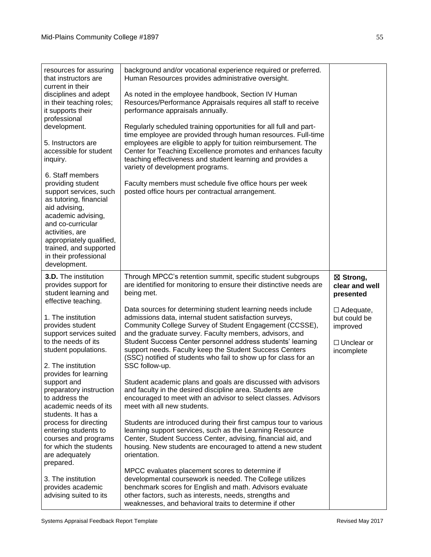| resources for assuring<br>that instructors are<br>current in their                                                                                                       | background and/or vocational experience required or preferred.<br>Human Resources provides administrative oversight.                                                                                                                                                                         |                                              |
|--------------------------------------------------------------------------------------------------------------------------------------------------------------------------|----------------------------------------------------------------------------------------------------------------------------------------------------------------------------------------------------------------------------------------------------------------------------------------------|----------------------------------------------|
| disciplines and adept<br>in their teaching roles;<br>it supports their                                                                                                   | As noted in the employee handbook, Section IV Human<br>Resources/Performance Appraisals requires all staff to receive<br>performance appraisals annually.                                                                                                                                    |                                              |
| professional<br>development.                                                                                                                                             | Regularly scheduled training opportunities for all full and part-<br>time employee are provided through human resources. Full-time                                                                                                                                                           |                                              |
| 5. Instructors are<br>accessible for student<br>inquiry.                                                                                                                 | employees are eligible to apply for tuition reimbursement. The<br>Center for Teaching Excellence promotes and enhances faculty<br>teaching effectiveness and student learning and provides a<br>variety of development programs.                                                             |                                              |
| 6. Staff members<br>providing student<br>support services, such<br>as tutoring, financial<br>aid advising,<br>academic advising,<br>and co-curricular<br>activities, are | Faculty members must schedule five office hours per week<br>posted office hours per contractual arrangement.                                                                                                                                                                                 |                                              |
| appropriately qualified,<br>trained, and supported<br>in their professional<br>development.                                                                              |                                                                                                                                                                                                                                                                                              |                                              |
| <b>3.D.</b> The institution<br>provides support for<br>student learning and<br>effective teaching.                                                                       | Through MPCC's retention summit, specific student subgroups<br>are identified for monitoring to ensure their distinctive needs are<br>being met.                                                                                                                                             | ⊠ Strong,<br>clear and well<br>presented     |
| 1. The institution<br>provides student<br>support services suited                                                                                                        | Data sources for determining student learning needs include<br>admissions data, internal student satisfaction surveys,<br>Community College Survey of Student Engagement (CCSSE),<br>and the graduate survey. Faculty members, advisors, and                                                 | $\Box$ Adequate,<br>but could be<br>improved |
| to the needs of its<br>student populations.<br>2. The institution                                                                                                        | Student Success Center personnel address students' learning<br>support needs. Faculty keep the Student Success Centers<br>(SSC) notified of students who fail to show up for class for an<br>SSC follow-up.                                                                                  | $\Box$ Unclear or<br>incomplete              |
| provides for learning                                                                                                                                                    | Student academic plans and goals are discussed with advisors                                                                                                                                                                                                                                 |                                              |
| support and<br>preparatory instruction<br>to address the<br>academic needs of its<br>students. It has a                                                                  | and faculty in the desired discipline area. Students are<br>encouraged to meet with an advisor to select classes. Advisors<br>meet with all new students.                                                                                                                                    |                                              |
| process for directing<br>entering students to<br>courses and programs<br>for which the students<br>are adequately<br>prepared.                                           | Students are introduced during their first campus tour to various<br>learning support services, such as the Learning Resource<br>Center, Student Success Center, advising, financial aid, and<br>housing. New students are encouraged to attend a new student<br>orientation.                |                                              |
| 3. The institution<br>provides academic<br>advising suited to its                                                                                                        | MPCC evaluates placement scores to determine if<br>developmental coursework is needed. The College utilizes<br>benchmark scores for English and math. Advisors evaluate<br>other factors, such as interests, needs, strengths and<br>weaknesses, and behavioral traits to determine if other |                                              |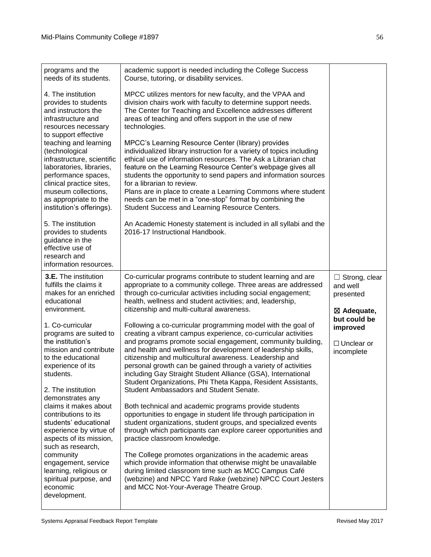| programs and the<br>needs of its students.                                                                                                                                                                                                                | academic support is needed including the College Success<br>Course, tutoring, or disability services.                                                                                                                                                                                                                                                                                                                                                                                                                                       |                                                                        |
|-----------------------------------------------------------------------------------------------------------------------------------------------------------------------------------------------------------------------------------------------------------|---------------------------------------------------------------------------------------------------------------------------------------------------------------------------------------------------------------------------------------------------------------------------------------------------------------------------------------------------------------------------------------------------------------------------------------------------------------------------------------------------------------------------------------------|------------------------------------------------------------------------|
| 4. The institution<br>provides to students<br>and instructors the<br>infrastructure and<br>resources necessary                                                                                                                                            | MPCC utilizes mentors for new faculty, and the VPAA and<br>division chairs work with faculty to determine support needs.<br>The Center for Teaching and Excellence addresses different<br>areas of teaching and offers support in the use of new<br>technologies.                                                                                                                                                                                                                                                                           |                                                                        |
| to support effective<br>teaching and learning<br>(technological<br>infrastructure, scientific<br>laboratories, libraries,<br>performance spaces,<br>clinical practice sites,<br>museum collections,<br>as appropriate to the<br>institution's offerings). | MPCC's Learning Resource Center (library) provides<br>individualized library instruction for a variety of topics including<br>ethical use of information resources. The Ask a Librarian chat<br>feature on the Learning Resource Center's webpage gives all<br>students the opportunity to send papers and information sources<br>for a librarian to review.<br>Plans are in place to create a Learning Commons where student<br>needs can be met in a "one-stop" format by combining the<br>Student Success and Learning Resource Centers. |                                                                        |
| 5. The institution<br>provides to students<br>guidance in the<br>effective use of<br>research and<br>information resources.                                                                                                                               | An Academic Honesty statement is included in all syllabi and the<br>2016-17 Instructional Handbook.                                                                                                                                                                                                                                                                                                                                                                                                                                         |                                                                        |
| <b>3.E.</b> The institution<br>fulfills the claims it<br>makes for an enriched<br>educational<br>environment.                                                                                                                                             | Co-curricular programs contribute to student learning and are<br>appropriate to a community college. Three areas are addressed<br>through co-curricular activities including social engagement;<br>health, wellness and student activities; and, leadership,<br>citizenship and multi-cultural awareness.                                                                                                                                                                                                                                   | $\Box$ Strong, clear<br>and well<br>presented<br>$\boxtimes$ Adequate, |
| 1. Co-curricular<br>programs are suited to                                                                                                                                                                                                                | Following a co-curricular programming model with the goal of<br>creating a vibrant campus experience, co-curricular activities                                                                                                                                                                                                                                                                                                                                                                                                              | but could be<br>improved                                               |
| the institution's<br>mission and contribute<br>to the educational<br>experience of its<br>students.<br>2. The institution                                                                                                                                 | and programs promote social engagement, community building,<br>and health and wellness for development of leadership skills,<br>citizenship and multicultural awareness. Leadership and<br>personal growth can be gained through a variety of activities<br>including Gay Straight Student Alliance (GSA), International<br>Student Organizations, Phi Theta Kappa, Resident Assistants,<br>Student Ambassadors and Student Senate.                                                                                                         | $\Box$ Unclear or<br>incomplete                                        |
| demonstrates any<br>claims it makes about<br>contributions to its<br>students' educational<br>experience by virtue of<br>aspects of its mission,<br>such as research,                                                                                     | Both technical and academic programs provide students<br>opportunities to engage in student life through participation in<br>student organizations, student groups, and specialized events<br>through which participants can explore career opportunities and<br>practice classroom knowledge.                                                                                                                                                                                                                                              |                                                                        |
| community<br>engagement, service<br>learning, religious or<br>spiritual purpose, and<br>economic<br>development.                                                                                                                                          | The College promotes organizations in the academic areas<br>which provide information that otherwise might be unavailable<br>during limited classroom time such as MCC Campus Café<br>(webzine) and NPCC Yard Rake (webzine) NPCC Court Jesters<br>and MCC Not-Your-Average Theatre Group.                                                                                                                                                                                                                                                  |                                                                        |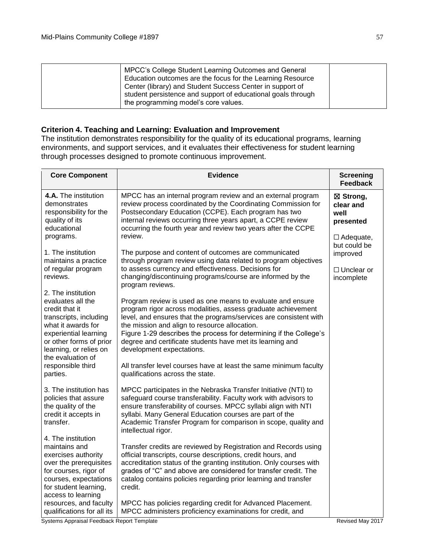| MPCC's College Student Learning Outcomes and General<br>Education outcomes are the focus for the Learning Resource<br>Center (library) and Student Success Center in support of<br>student persistence and support of educational goals through |  |
|-------------------------------------------------------------------------------------------------------------------------------------------------------------------------------------------------------------------------------------------------|--|
| the programming model's core values.                                                                                                                                                                                                            |  |

## **Criterion 4. Teaching and Learning: Evaluation and Improvement**

The institution demonstrates responsibility for the quality of its educational programs, learning environments, and support services, and it evaluates their effectiveness for student learning through processes designed to promote continuous improvement.

| <b>Core Component</b>                                                                                                                                                                                                                         | <b>Evidence</b>                                                                                                                                                                                                                                                                                                                                                                                                                                                                                                           | <b>Screening</b><br><b>Feedback</b>                             |
|-----------------------------------------------------------------------------------------------------------------------------------------------------------------------------------------------------------------------------------------------|---------------------------------------------------------------------------------------------------------------------------------------------------------------------------------------------------------------------------------------------------------------------------------------------------------------------------------------------------------------------------------------------------------------------------------------------------------------------------------------------------------------------------|-----------------------------------------------------------------|
| 4.A. The institution<br>demonstrates<br>responsibility for the<br>quality of its<br>educational<br>programs.                                                                                                                                  | MPCC has an internal program review and an external program<br>review process coordinated by the Coordinating Commission for<br>Postsecondary Education (CCPE). Each program has two<br>internal reviews occurring three years apart, a CCPE review<br>occurring the fourth year and review two years after the CCPE<br>review.                                                                                                                                                                                           | ⊠ Strong,<br>clear and<br>well<br>presented<br>$\Box$ Adequate, |
| 1. The institution<br>maintains a practice                                                                                                                                                                                                    | The purpose and content of outcomes are communicated<br>through program review using data related to program objectives                                                                                                                                                                                                                                                                                                                                                                                                   | but could be<br>improved                                        |
| of regular program<br>reviews.                                                                                                                                                                                                                | to assess currency and effectiveness. Decisions for<br>changing/discontinuing programs/course are informed by the<br>program reviews.                                                                                                                                                                                                                                                                                                                                                                                     | $\Box$ Unclear or<br>incomplete                                 |
| 2. The institution<br>evaluates all the<br>credit that it<br>transcripts, including<br>what it awards for<br>experiential learning<br>or other forms of prior<br>learning, or relies on<br>the evaluation of<br>responsible third<br>parties. | Program review is used as one means to evaluate and ensure<br>program rigor across modalities, assess graduate achievement<br>level, and ensures that the programs/services are consistent with<br>the mission and align to resource allocation.<br>Figure 1-29 describes the process for determining if the College's<br>degree and certificate students have met its learning and<br>development expectations.<br>All transfer level courses have at least the same minimum faculty<br>qualifications across the state. |                                                                 |
| 3. The institution has<br>policies that assure<br>the quality of the<br>credit it accepts in<br>transfer.                                                                                                                                     | MPCC participates in the Nebraska Transfer Initiative (NTI) to<br>safeguard course transferability. Faculty work with advisors to<br>ensure transferability of courses. MPCC syllabi align with NTI<br>syllabi. Many General Education courses are part of the<br>Academic Transfer Program for comparison in scope, quality and<br>intellectual rigor.                                                                                                                                                                   |                                                                 |
| 4. The institution<br>maintains and<br>exercises authority<br>over the prerequisites<br>for courses, rigor of<br>courses, expectations<br>for student learning,<br>access to learning                                                         | Transfer credits are reviewed by Registration and Records using<br>official transcripts, course descriptions, credit hours, and<br>accreditation status of the granting institution. Only courses with<br>grades of "C" and above are considered for transfer credit. The<br>catalog contains policies regarding prior learning and transfer<br>credit.                                                                                                                                                                   |                                                                 |
| resources, and faculty<br>qualifications for all its                                                                                                                                                                                          | MPCC has policies regarding credit for Advanced Placement.<br>MPCC administers proficiency examinations for credit, and                                                                                                                                                                                                                                                                                                                                                                                                   |                                                                 |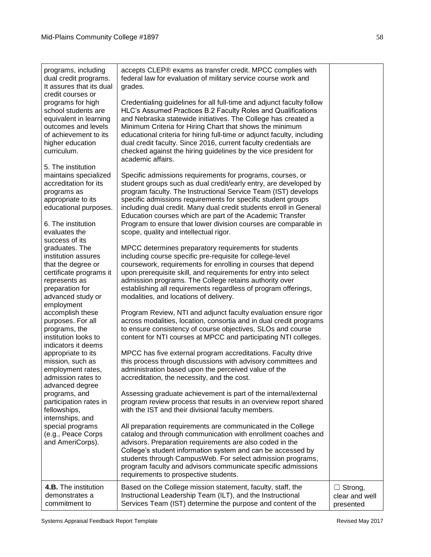| programs, including<br>dual credit programs.<br>It assures that its dual<br>credit courses or<br>programs for high<br>school students are<br>equivalent in learning<br>outcomes and levels<br>of achievement to its<br>higher education<br>curriculum.<br>5. The institution<br>maintains specialized<br>accreditation for its<br>programs as<br>appropriate to its | accepts CLEP® exams as transfer credit. MPCC complies with<br>federal law for evaluation of military service course work and<br>grades.<br>Credentialing guidelines for all full-time and adjunct faculty follow<br>HLC's Assumed Practices B.2 Faculty Roles and Qualifications<br>and Nebraska statewide initiatives. The College has created a<br>Minimum Criteria for Hiring Chart that shows the minimum<br>educational criteria for hiring full-time or adjunct faculty, including<br>dual credit faculty. Since 2016, current faculty credentials are<br>checked against the hiring guidelines by the vice president for<br>academic affairs.<br>Specific admissions requirements for programs, courses, or<br>student groups such as dual credit/early entry, are developed by<br>program faculty. The Instructional Service Team (IST) develops<br>specific admissions requirements for specific student groups |                                               |
|---------------------------------------------------------------------------------------------------------------------------------------------------------------------------------------------------------------------------------------------------------------------------------------------------------------------------------------------------------------------|--------------------------------------------------------------------------------------------------------------------------------------------------------------------------------------------------------------------------------------------------------------------------------------------------------------------------------------------------------------------------------------------------------------------------------------------------------------------------------------------------------------------------------------------------------------------------------------------------------------------------------------------------------------------------------------------------------------------------------------------------------------------------------------------------------------------------------------------------------------------------------------------------------------------------|-----------------------------------------------|
| educational purposes.<br>6. The institution<br>evaluates the                                                                                                                                                                                                                                                                                                        | including dual credit. Many dual credit students enroll in General<br>Education courses which are part of the Academic Transfer<br>Program to ensure that lower division courses are comparable in<br>scope, quality and intellectual rigor.                                                                                                                                                                                                                                                                                                                                                                                                                                                                                                                                                                                                                                                                             |                                               |
| success of its<br>graduates. The<br>institution assures<br>that the degree or<br>certificate programs it<br>represents as<br>preparation for<br>advanced study or                                                                                                                                                                                                   | MPCC determines preparatory requirements for students<br>including course specific pre-requisite for college-level<br>coursework, requirements for enrolling in courses that depend<br>upon prerequisite skill, and requirements for entry into select<br>admission programs. The College retains authority over<br>establishing all requirements regardless of program offerings,<br>modalities, and locations of delivery.                                                                                                                                                                                                                                                                                                                                                                                                                                                                                             |                                               |
| employment<br>accomplish these<br>purposes. For all<br>programs, the<br>institution looks to<br>indicators it deems<br>appropriate to its<br>mission, such as<br>employment rates,                                                                                                                                                                                  | Program Review, NTI and adjunct faculty evaluation ensure rigor<br>across modalities, location, consortia and in dual credit programs<br>to ensure consistency of course objectives, SLOs and course<br>content for NTI courses at MPCC and participating NTI colleges.<br>MPCC has five external program accreditations. Faculty drive<br>this process through discussions with advisory committees and<br>administration based upon the perceived value of the                                                                                                                                                                                                                                                                                                                                                                                                                                                         |                                               |
| admission rates to<br>advanced degree<br>programs, and<br>participation rates in<br>fellowships,<br>internships, and                                                                                                                                                                                                                                                | accreditation, the necessity, and the cost.<br>Assessing graduate achievement is part of the internal/external<br>program review process that results in an overview report shared<br>with the IST and their divisional faculty members.                                                                                                                                                                                                                                                                                                                                                                                                                                                                                                                                                                                                                                                                                 |                                               |
| special programs<br>(e.g., Peace Corps<br>and AmeriCorps).                                                                                                                                                                                                                                                                                                          | All preparation requirements are communicated in the College<br>catalog and through communication with enrollment coaches and<br>advisors. Preparation requirements are also coded in the<br>College's student information system and can be accessed by<br>students through CampusWeb. For select admission programs,<br>program faculty and advisors communicate specific admissions<br>requirements to prospective students.                                                                                                                                                                                                                                                                                                                                                                                                                                                                                          |                                               |
| 4.B. The institution<br>demonstrates a<br>commitment to                                                                                                                                                                                                                                                                                                             | Based on the College mission statement, faculty, staff, the<br>Instructional Leadership Team (ILT), and the Instructional<br>Services Team (IST) determine the purpose and content of the                                                                                                                                                                                                                                                                                                                                                                                                                                                                                                                                                                                                                                                                                                                                | $\Box$ Strong,<br>clear and well<br>presented |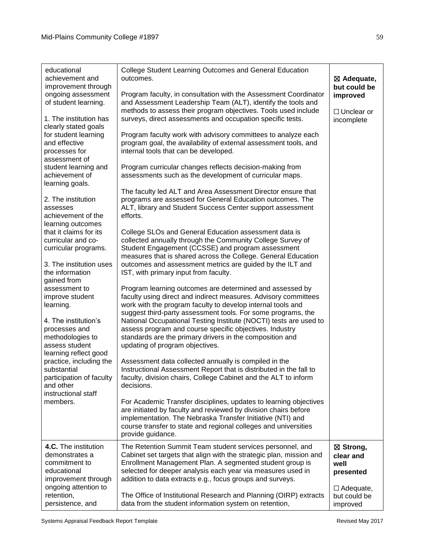| educational<br>achievement and<br>improvement through<br>ongoing assessment<br>of student learning.<br>1. The institution has<br>clearly stated goals<br>for student learning<br>and effective<br>processes for<br>assessment of<br>student learning and<br>achievement of<br>learning goals.                 | College Student Learning Outcomes and General Education<br>outcomes.<br>Program faculty, in consultation with the Assessment Coordinator<br>and Assessment Leadership Team (ALT), identify the tools and<br>methods to assess their program objectives. Tools used include<br>surveys, direct assessments and occupation specific tests.<br>Program faculty work with advisory committees to analyze each<br>program goal, the availability of external assessment tools, and<br>internal tools that can be developed.<br>Program curricular changes reflects decision-making from<br>assessments such as the development of curricular maps.<br>The faculty led ALT and Area Assessment Director ensure that                                                                                                                                                                        | $\boxtimes$ Adequate,<br>but could be<br>improved<br>$\Box$ Unclear or<br>incomplete |
|---------------------------------------------------------------------------------------------------------------------------------------------------------------------------------------------------------------------------------------------------------------------------------------------------------------|--------------------------------------------------------------------------------------------------------------------------------------------------------------------------------------------------------------------------------------------------------------------------------------------------------------------------------------------------------------------------------------------------------------------------------------------------------------------------------------------------------------------------------------------------------------------------------------------------------------------------------------------------------------------------------------------------------------------------------------------------------------------------------------------------------------------------------------------------------------------------------------|--------------------------------------------------------------------------------------|
| 2. The institution<br>assesses<br>achievement of the<br>learning outcomes<br>that it claims for its<br>curricular and co-<br>curricular programs.<br>3. The institution uses                                                                                                                                  | programs are assessed for General Education outcomes. The<br>ALT, library and Student Success Center support assessment<br>efforts.<br>College SLOs and General Education assessment data is<br>collected annually through the Community College Survey of<br>Student Engagement (CCSSE) and program assessment<br>measures that is shared across the College. General Education                                                                                                                                                                                                                                                                                                                                                                                                                                                                                                     |                                                                                      |
| the information<br>gained from<br>assessment to<br>improve student<br>learning.<br>4. The institution's<br>processes and<br>methodologies to<br>assess student<br>learning reflect good<br>practice, including the<br>substantial<br>participation of faculty<br>and other<br>instructional staff<br>members. | outcomes and assessment metrics are guided by the ILT and<br>IST, with primary input from faculty.<br>Program learning outcomes are determined and assessed by<br>faculty using direct and indirect measures. Advisory committees<br>work with the program faculty to develop internal tools and<br>suggest third-party assessment tools. For some programs, the<br>National Occupational Testing Institute (NOCTI) tests are used to<br>assess program and course specific objectives. Industry<br>standards are the primary drivers in the composition and<br>updating of program objectives.<br>Assessment data collected annually is compiled in the<br>Instructional Assessment Report that is distributed in the fall to<br>faculty, division chairs, College Cabinet and the ALT to inform<br>decisions.<br>For Academic Transfer disciplines, updates to learning objectives |                                                                                      |
|                                                                                                                                                                                                                                                                                                               | are initiated by faculty and reviewed by division chairs before<br>implementation. The Nebraska Transfer Initiative (NTI) and<br>course transfer to state and regional colleges and universities<br>provide guidance.                                                                                                                                                                                                                                                                                                                                                                                                                                                                                                                                                                                                                                                                |                                                                                      |
| 4.C. The institution<br>demonstrates a<br>commitment to<br>educational<br>improvement through<br>ongoing attention to                                                                                                                                                                                         | The Retention Summit Team student services personnel, and<br>Cabinet set targets that align with the strategic plan, mission and<br>Enrollment Management Plan. A segmented student group is<br>selected for deeper analysis each year via measures used in<br>addition to data extracts e.g., focus groups and surveys.                                                                                                                                                                                                                                                                                                                                                                                                                                                                                                                                                             | ⊠ Strong,<br>clear and<br>well<br>presented<br>$\Box$ Adequate,                      |
| retention,<br>persistence, and                                                                                                                                                                                                                                                                                | The Office of Institutional Research and Planning (OIRP) extracts<br>data from the student information system on retention,                                                                                                                                                                                                                                                                                                                                                                                                                                                                                                                                                                                                                                                                                                                                                          | but could be<br>improved                                                             |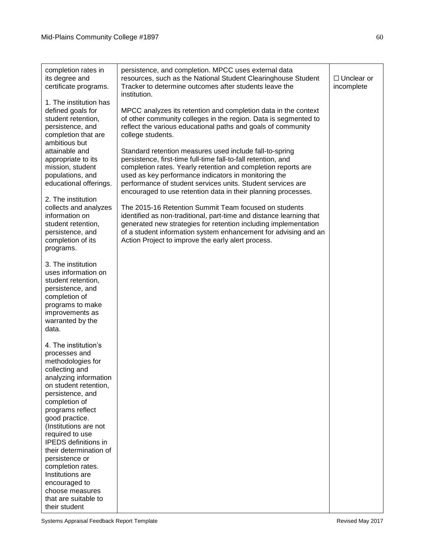| completion rates in<br>its degree and<br>certificate programs.                                                                                                                                                                                                                                                                                                                                                                        | persistence, and completion. MPCC uses external data<br>resources, such as the National Student Clearinghouse Student<br>Tracker to determine outcomes after students leave the<br>institution.                                                                                                                                                                                   | $\Box$ Unclear or<br>incomplete |
|---------------------------------------------------------------------------------------------------------------------------------------------------------------------------------------------------------------------------------------------------------------------------------------------------------------------------------------------------------------------------------------------------------------------------------------|-----------------------------------------------------------------------------------------------------------------------------------------------------------------------------------------------------------------------------------------------------------------------------------------------------------------------------------------------------------------------------------|---------------------------------|
| 1. The institution has<br>defined goals for<br>student retention,<br>persistence, and<br>completion that are<br>ambitious but                                                                                                                                                                                                                                                                                                         | MPCC analyzes its retention and completion data in the context<br>of other community colleges in the region. Data is segmented to<br>reflect the various educational paths and goals of community<br>college students.                                                                                                                                                            |                                 |
| attainable and<br>appropriate to its<br>mission, student<br>populations, and<br>educational offerings.                                                                                                                                                                                                                                                                                                                                | Standard retention measures used include fall-to-spring<br>persistence, first-time full-time fall-to-fall retention, and<br>completion rates. Yearly retention and completion reports are<br>used as key performance indicators in monitoring the<br>performance of student services units. Student services are<br>encouraged to use retention data in their planning processes. |                                 |
| 2. The institution<br>collects and analyzes<br>information on<br>student retention,<br>persistence, and<br>completion of its<br>programs.                                                                                                                                                                                                                                                                                             | The 2015-16 Retention Summit Team focused on students<br>identified as non-traditional, part-time and distance learning that<br>generated new strategies for retention including implementation<br>of a student information system enhancement for advising and an<br>Action Project to improve the early alert process.                                                          |                                 |
| 3. The institution<br>uses information on<br>student retention,<br>persistence, and<br>completion of<br>programs to make<br>improvements as<br>warranted by the<br>data.                                                                                                                                                                                                                                                              |                                                                                                                                                                                                                                                                                                                                                                                   |                                 |
| 4. The institution's<br>processes and<br>methodologies for<br>collecting and<br>analyzing information<br>on student retention,<br>persistence, and<br>completion of<br>programs reflect<br>good practice.<br>(Institutions are not<br>required to use<br><b>IPEDS</b> definitions in<br>their determination of<br>persistence or<br>completion rates.<br>Institutions are<br>encouraged to<br>choose measures<br>that are suitable to |                                                                                                                                                                                                                                                                                                                                                                                   |                                 |
| their student                                                                                                                                                                                                                                                                                                                                                                                                                         |                                                                                                                                                                                                                                                                                                                                                                                   |                                 |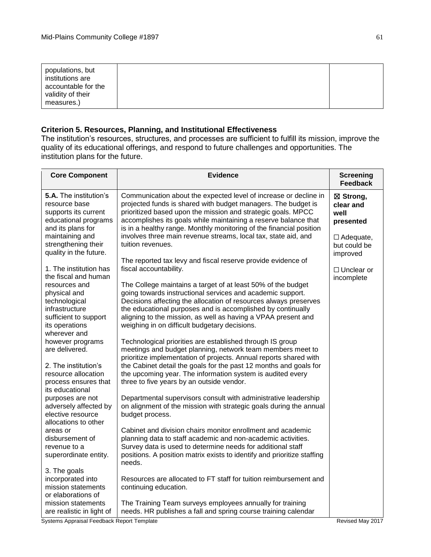| populations, but<br>institutions are<br>accountable for the<br>validity of their<br>measures.) |  |
|------------------------------------------------------------------------------------------------|--|
|                                                                                                |  |

## **Criterion 5. Resources, Planning, and Institutional Effectiveness**

The institution's resources, structures, and processes are sufficient to fulfill its mission, improve the quality of its educational offerings, and respond to future challenges and opportunities. The institution plans for the future.

| <b>Core Component</b>                                                                                                                                                            | <b>Evidence</b>                                                                                                                                                                                                                                                                                                                                                                                                                                                           | <b>Screening</b><br><b>Feedback</b>                                                                                            |
|----------------------------------------------------------------------------------------------------------------------------------------------------------------------------------|---------------------------------------------------------------------------------------------------------------------------------------------------------------------------------------------------------------------------------------------------------------------------------------------------------------------------------------------------------------------------------------------------------------------------------------------------------------------------|--------------------------------------------------------------------------------------------------------------------------------|
| 5.A. The institution's<br>resource base<br>supports its current<br>educational programs<br>and its plans for<br>maintaining and<br>strengthening their<br>quality in the future. | Communication about the expected level of increase or decline in<br>projected funds is shared with budget managers. The budget is<br>prioritized based upon the mission and strategic goals. MPCC<br>accomplishes its goals while maintaining a reserve balance that<br>is in a healthy range. Monthly monitoring of the financial position<br>involves three main revenue streams, local tax, state aid, and<br>tuition revenues.                                        | ⊠ Strong,<br>clear and<br>well<br>presented<br>$\Box$ Adequate,<br>but could be<br>improved<br>$\Box$ Unclear or<br>incomplete |
| 1. The institution has<br>the fiscal and human<br>resources and<br>physical and<br>technological<br>infrastructure<br>sufficient to support<br>its operations                    | The reported tax levy and fiscal reserve provide evidence of<br>fiscal accountability.<br>The College maintains a target of at least 50% of the budget<br>going towards instructional services and academic support.<br>Decisions affecting the allocation of resources always preserves<br>the educational purposes and is accomplished by continually<br>aligning to the mission, as well as having a VPAA present and<br>weighing in on difficult budgetary decisions. |                                                                                                                                |
| wherever and<br>however programs<br>are delivered.<br>2. The institution's<br>resource allocation<br>process ensures that<br>its educational                                     | Technological priorities are established through IS group<br>meetings and budget planning, network team members meet to<br>prioritize implementation of projects. Annual reports shared with<br>the Cabinet detail the goals for the past 12 months and goals for<br>the upcoming year. The information system is audited every<br>three to five years by an outside vendor.                                                                                              |                                                                                                                                |
| purposes are not<br>adversely affected by<br>elective resource<br>allocations to other                                                                                           | Departmental supervisors consult with administrative leadership<br>on alignment of the mission with strategic goals during the annual<br>budget process.                                                                                                                                                                                                                                                                                                                  |                                                                                                                                |
| areas or<br>disbursement of<br>revenue to a<br>superordinate entity.                                                                                                             | Cabinet and division chairs monitor enrollment and academic<br>planning data to staff academic and non-academic activities.<br>Survey data is used to determine needs for additional staff<br>positions. A position matrix exists to identify and prioritize staffing<br>needs.                                                                                                                                                                                           |                                                                                                                                |
| 3. The goals<br>incorporated into<br>mission statements<br>or elaborations of                                                                                                    | Resources are allocated to FT staff for tuition reimbursement and<br>continuing education.                                                                                                                                                                                                                                                                                                                                                                                |                                                                                                                                |
| mission statements<br>are realistic in light of                                                                                                                                  | The Training Team surveys employees annually for training<br>needs. HR publishes a fall and spring course training calendar                                                                                                                                                                                                                                                                                                                                               |                                                                                                                                |

61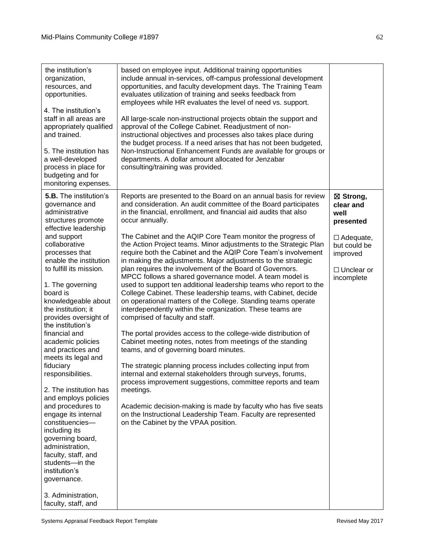| the institution's<br>organization,<br>resources, and<br>opportunities.<br>4. The institution's<br>staff in all areas are<br>appropriately qualified<br>and trained.<br>5. The institution has<br>a well-developed<br>process in place for<br>budgeting and for<br>monitoring expenses.                                                                                                                                                                                                                                                                                                                 | based on employee input. Additional training opportunities<br>include annual in-services, off-campus professional development<br>opportunities, and faculty development days. The Training Team<br>evaluates utilization of training and seeks feedback from<br>employees while HR evaluates the level of need vs. support.<br>All large-scale non-instructional projects obtain the support and<br>approval of the College Cabinet. Readjustment of non-<br>instructional objectives and processes also takes place during<br>the budget process. If a need arises that has not been budgeted,<br>Non-Instructional Enhancement Funds are available for groups or<br>departments. A dollar amount allocated for Jenzabar<br>consulting/training was provided.                                                                                                                                                                                                                                                                                                                                                                                                                                                                                                   |                                                                                 |
|--------------------------------------------------------------------------------------------------------------------------------------------------------------------------------------------------------------------------------------------------------------------------------------------------------------------------------------------------------------------------------------------------------------------------------------------------------------------------------------------------------------------------------------------------------------------------------------------------------|------------------------------------------------------------------------------------------------------------------------------------------------------------------------------------------------------------------------------------------------------------------------------------------------------------------------------------------------------------------------------------------------------------------------------------------------------------------------------------------------------------------------------------------------------------------------------------------------------------------------------------------------------------------------------------------------------------------------------------------------------------------------------------------------------------------------------------------------------------------------------------------------------------------------------------------------------------------------------------------------------------------------------------------------------------------------------------------------------------------------------------------------------------------------------------------------------------------------------------------------------------------|---------------------------------------------------------------------------------|
| <b>5.B.</b> The institution's<br>governance and<br>administrative<br>structures promote<br>effective leadership                                                                                                                                                                                                                                                                                                                                                                                                                                                                                        | Reports are presented to the Board on an annual basis for review<br>and consideration. An audit committee of the Board participates<br>in the financial, enrollment, and financial aid audits that also<br>occur annually.                                                                                                                                                                                                                                                                                                                                                                                                                                                                                                                                                                                                                                                                                                                                                                                                                                                                                                                                                                                                                                       | ⊠ Strong,<br>clear and<br>well<br>presented                                     |
| and support<br>collaborative<br>processes that<br>enable the institution<br>to fulfill its mission.<br>1. The governing<br>board is<br>knowledgeable about<br>the institution; it<br>provides oversight of<br>the institution's<br>financial and<br>academic policies<br>and practices and<br>meets its legal and<br>fiduciary<br>responsibilities.<br>2. The institution has<br>and employs policies<br>and procedures to<br>engage its internal<br>constituencies-<br>including its<br>governing board,<br>administration,<br>faculty, staff, and<br>students-in the<br>institution's<br>governance. | The Cabinet and the AQIP Core Team monitor the progress of<br>the Action Project teams. Minor adjustments to the Strategic Plan<br>require both the Cabinet and the AQIP Core Team's involvement<br>in making the adjustments. Major adjustments to the strategic<br>plan requires the involvement of the Board of Governors.<br>MPCC follows a shared governance model. A team model is<br>used to support ten additional leadership teams who report to the<br>College Cabinet. These leadership teams, with Cabinet, decide<br>on operational matters of the College. Standing teams operate<br>interdependently within the organization. These teams are<br>comprised of faculty and staff.<br>The portal provides access to the college-wide distribution of<br>Cabinet meeting notes, notes from meetings of the standing<br>teams, and of governing board minutes.<br>The strategic planning process includes collecting input from<br>internal and external stakeholders through surveys, forums,<br>process improvement suggestions, committee reports and team<br>meetings.<br>Academic decision-making is made by faculty who has five seats<br>on the Instructional Leadership Team. Faculty are represented<br>on the Cabinet by the VPAA position. | $\Box$ Adequate,<br>but could be<br>improved<br>$\Box$ Unclear or<br>incomplete |
| 3. Administration,<br>faculty, staff, and                                                                                                                                                                                                                                                                                                                                                                                                                                                                                                                                                              |                                                                                                                                                                                                                                                                                                                                                                                                                                                                                                                                                                                                                                                                                                                                                                                                                                                                                                                                                                                                                                                                                                                                                                                                                                                                  |                                                                                 |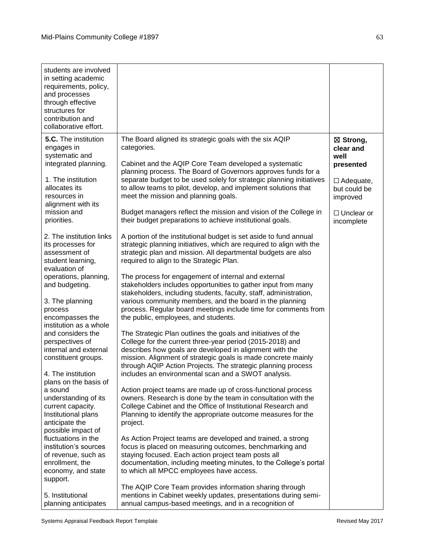| students are involved<br>in setting academic<br>requirements, policy,<br>and processes<br>through effective<br>structures for<br>contribution and<br>collaborative effort.                                                                                                                                                                                                                                                                                                                                                                                                                                           |                                                                                                                                                                                                                                                                                                                                                                                                                                                                                                                                                                                                                                                                                                                                                                                                                                                                                                                                                                                                                                                                                                                                                                                                                                                                                                                                                                                                                                                                                                                                                                                                                                                      |                                                                                                                                |
|----------------------------------------------------------------------------------------------------------------------------------------------------------------------------------------------------------------------------------------------------------------------------------------------------------------------------------------------------------------------------------------------------------------------------------------------------------------------------------------------------------------------------------------------------------------------------------------------------------------------|------------------------------------------------------------------------------------------------------------------------------------------------------------------------------------------------------------------------------------------------------------------------------------------------------------------------------------------------------------------------------------------------------------------------------------------------------------------------------------------------------------------------------------------------------------------------------------------------------------------------------------------------------------------------------------------------------------------------------------------------------------------------------------------------------------------------------------------------------------------------------------------------------------------------------------------------------------------------------------------------------------------------------------------------------------------------------------------------------------------------------------------------------------------------------------------------------------------------------------------------------------------------------------------------------------------------------------------------------------------------------------------------------------------------------------------------------------------------------------------------------------------------------------------------------------------------------------------------------------------------------------------------------|--------------------------------------------------------------------------------------------------------------------------------|
| 5.C. The institution<br>engages in<br>systematic and<br>integrated planning.<br>1. The institution<br>allocates its<br>resources in<br>alignment with its<br>mission and<br>priorities.                                                                                                                                                                                                                                                                                                                                                                                                                              | The Board aligned its strategic goals with the six AQIP<br>categories.<br>Cabinet and the AQIP Core Team developed a systematic<br>planning process. The Board of Governors approves funds for a<br>separate budget to be used solely for strategic planning initiatives<br>to allow teams to pilot, develop, and implement solutions that<br>meet the mission and planning goals.<br>Budget managers reflect the mission and vision of the College in<br>their budget preparations to achieve institutional goals.                                                                                                                                                                                                                                                                                                                                                                                                                                                                                                                                                                                                                                                                                                                                                                                                                                                                                                                                                                                                                                                                                                                                  | ⊠ Strong,<br>clear and<br>well<br>presented<br>$\Box$ Adequate,<br>but could be<br>improved<br>$\Box$ Unclear or<br>incomplete |
| 2. The institution links<br>its processes for<br>assessment of<br>student learning,<br>evaluation of<br>operations, planning,<br>and budgeting.<br>3. The planning<br>process<br>encompasses the<br>institution as a whole<br>and considers the<br>perspectives of<br>internal and external<br>constituent groups.<br>4. The institution<br>plans on the basis of<br>a sound<br>understanding of its<br>current capacity.<br>Institutional plans<br>anticipate the<br>possible impact of<br>fluctuations in the<br>institution's sources<br>of revenue, such as<br>enrollment, the<br>economy, and state<br>support. | A portion of the institutional budget is set aside to fund annual<br>strategic planning initiatives, which are required to align with the<br>strategic plan and mission. All departmental budgets are also<br>required to align to the Strategic Plan.<br>The process for engagement of internal and external<br>stakeholders includes opportunities to gather input from many<br>stakeholders, including students, faculty, staff, administration,<br>various community members, and the board in the planning<br>process. Regular board meetings include time for comments from<br>the public, employees, and students.<br>The Strategic Plan outlines the goals and initiatives of the<br>College for the current three-year period (2015-2018) and<br>describes how goals are developed in alignment with the<br>mission. Alignment of strategic goals is made concrete mainly<br>through AQIP Action Projects. The strategic planning process<br>includes an environmental scan and a SWOT analysis.<br>Action project teams are made up of cross-functional process<br>owners. Research is done by the team in consultation with the<br>College Cabinet and the Office of Institutional Research and<br>Planning to identify the appropriate outcome measures for the<br>project.<br>As Action Project teams are developed and trained, a strong<br>focus is placed on measuring outcomes, benchmarking and<br>staying focused. Each action project team posts all<br>documentation, including meeting minutes, to the College's portal<br>to which all MPCC employees have access.<br>The AQIP Core Team provides information sharing through |                                                                                                                                |
| 5. Institutional<br>planning anticipates                                                                                                                                                                                                                                                                                                                                                                                                                                                                                                                                                                             | mentions in Cabinet weekly updates, presentations during semi-<br>annual campus-based meetings, and in a recognition of                                                                                                                                                                                                                                                                                                                                                                                                                                                                                                                                                                                                                                                                                                                                                                                                                                                                                                                                                                                                                                                                                                                                                                                                                                                                                                                                                                                                                                                                                                                              |                                                                                                                                |